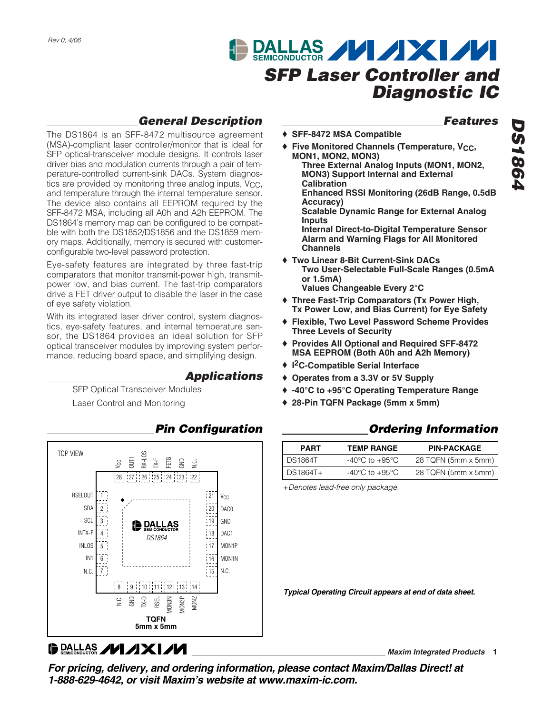# **DALLAS MIXIMI** *SFP Laser Controller and Diagnostic IC*

### *General Description*

The DS1864 is an SFF-8472 multisource agreement (MSA)-compliant laser controller/monitor that is ideal for SFP optical-transceiver module designs. It controls laser driver bias and modulation currents through a pair of temperature-controlled current-sink DACs. System diagnostics are provided by monitoring three analog inputs, V<sub>CC</sub>, and temperature through the internal temperature sensor. The device also contains all EEPROM required by the SFF-8472 MSA, including all A0h and A2h EEPROM. The DS1864's memory map can be configured to be compatible with both the DS1852/DS1856 and the DS1859 memory maps. Additionally, memory is secured with customerconfigurable two-level password protection.

Eye-safety features are integrated by three fast-trip comparators that monitor transmit-power high, transmitpower low, and bias current. The fast-trip comparators drive a FET driver output to disable the laser in the case of eye safety violation.

With its integrated laser driver control, system diagnostics, eye-safety features, and internal temperature sensor, the DS1864 provides an ideal solution for SFP optical transceiver modules by improving system performance, reducing board space, and simplifying design.

### *Applications*

SFP Optical Transceiver Modules Laser Control and Monitoring



### *Pin Configuration*

### *Features*

- ♦ **SFF-8472 MSA Compatible**
- ♦ **Five Monitored Channels (Temperature, VCC, MON1, MON2, MON3) Three External Analog Inputs (MON1, MON2, MON3) Support Internal and External Calibration Enhanced RSSI Monitoring (26dB Range, 0.5dB Accuracy) Scalable Dynamic Range for External Analog Inputs**

**Internal Direct-to-Digital Temperature Sensor Alarm and Warning Flags for All Monitored Channels**

- ♦ **Two Linear 8-Bit Current-Sink DACs Two User-Selectable Full-Scale Ranges (0.5mA or 1.5mA) Values Changeable Every 2°C**
- ♦ **Three Fast-Trip Comparators (Tx Power High, Tx Power Low, and Bias Current) for Eye Safety**
- ♦ **Flexible, Two Level Password Scheme Provides Three Levels of Security**
- ♦ **Provides All Optional and Required SFF-8472 MSA EEPROM (Both A0h and A2h Memory)**
- ♦ **I 2C-Compatible Serial Interface**
- ♦ **Operates from a 3.3V or 5V Supply**
- ♦ **-40°C to +95°C Operating Temperature Range**
- ♦ **28-Pin TQFN Package (5mm x 5mm)**

### *Ordering Information*

| <b>PART</b>    | <b>TEMP RANGE</b>                  | <b>PIN-PACKAGE</b>  |
|----------------|------------------------------------|---------------------|
| <b>DS1864T</b> | $-40^{\circ}$ C to $+95^{\circ}$ C | 28 TQFN (5mm x 5mm) |
| DS1864T+       | $-40^{\circ}$ C to $+95^{\circ}$ C | 28 TQFN (5mm x 5mm) |

+*Denotes lead-free only package.*

*Typical Operating Circuit appears at end of data sheet.*

**DALLAS /VI/IXI/VI** 

**\_\_\_\_\_\_\_\_\_\_\_\_\_\_\_\_\_\_\_\_\_\_\_\_\_\_\_\_\_\_\_\_\_\_\_\_\_\_\_\_\_\_\_\_\_\_** *Maxim Integrated Products* **1**

*For pricing, delivery, and ordering information, please contact Maxim/Dallas Direct! at 1-888-629-4642, or visit Maxim's website at www.maxim-ic.com.*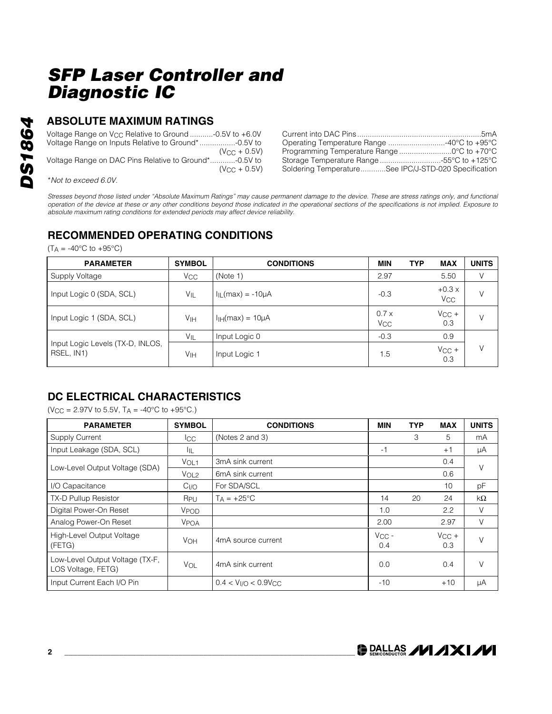### **ABSOLUTE MAXIMUM RATINGS**

| Voltage Range on $V_{CC}$ Relative to Ground -0.5V to +6.0V |                   |
|-------------------------------------------------------------|-------------------|
| Voltage Range on Inputs Relative to Ground*-0.5V to         |                   |
|                                                             | $(V_{CC} + 0.5V)$ |
| Voltage Range on DAC Pins Relative to Ground*-0.5V to       |                   |
|                                                             | $(V_{C}C + 0.5V)$ |

| Operating Temperature Range 40°C to +95°C            |  |
|------------------------------------------------------|--|
| Programming Temperature Range 0°C to +70°C           |  |
| Storage Temperature Range -55°C to +125°C            |  |
| Soldering TemperatureSee IPC/J-STD-020 Specification |  |

\**Not to exceed 6.0V.*

*Stresses beyond those listed under "Absolute Maximum Ratings" may cause permanent damage to the device. These are stress ratings only, and functional operation of the device at these or any other conditions beyond those indicated in the operational sections of the specifications is not implied. Exposure to absolute maximum rating conditions for extended periods may affect device reliability.*

### **RECOMMENDED OPERATING CONDITIONS**

 $(T_A = -40\degree C$  to  $+95\degree C)$ 

| <b>PARAMETER</b>                               | <b>SYMBOL</b>         | <b>CONDITIONS</b>                     | <b>MIN</b>                    | <b>TYP</b><br><b>MAX</b>   | <b>UNITS</b> |
|------------------------------------------------|-----------------------|---------------------------------------|-------------------------------|----------------------------|--------------|
| Supply Voltage                                 | <b>V<sub>CC</sub></b> | (Note 1)                              | 2.97                          | 5.50                       | V            |
| Input Logic 0 (SDA, SCL)                       | VIL                   | $I_{\parallel L}$ (max) = -10 $\mu$ A | $-0.3$                        | $+0.3x$<br>V <sub>CC</sub> | V            |
| Input Logic 1 (SDA, SCL)                       | Vін                   | $IIH(max) = 10µA$                     | 0.7x<br><b>V<sub>CC</sub></b> | $V_{CC}$ +<br>0.3          | V            |
|                                                | $V_{IL}$              | Input Logic 0                         | $-0.3$                        | 0.9                        |              |
| Input Logic Levels (TX-D, INLOS,<br>RSEL, IN1) | Vін                   | Input Logic 1                         | 1.5                           | $V_{CC}$ +<br>0.3          | V            |

### **DC ELECTRICAL CHARACTERISTICS**

 $(V_{CC} = 2.97V$  to 5.5V,  $T_A = -40°C$  to  $+95°C$ .)

| <b>PARAMETER</b>                                      | <b>SYMBOL</b>          | <b>CONDITIONS</b>            | <b>MIN</b>        | <b>TYP</b> | <b>MAX</b>            | <b>UNITS</b> |
|-------------------------------------------------------|------------------------|------------------------------|-------------------|------------|-----------------------|--------------|
| Supply Current                                        | lcc.                   | (Notes 2 and 3)              |                   | 3          | 5                     | mA           |
| Input Leakage (SDA, SCL)                              | ЧL                     |                              | -1                |            | $+1$                  | μA           |
| Low-Level Output Voltage (SDA)                        | V <sub>OL1</sub>       | 3mA sink current             |                   |            | 0.4                   | $\vee$       |
|                                                       | V <sub>OL2</sub>       | 6mA sink current             |                   |            | 0.6                   |              |
| I/O Capacitance                                       | C <sub>I/O</sub>       | For SDA/SCL                  |                   |            | 10                    | pF           |
| TX-D Pullup Resistor                                  | R <sub>PU</sub>        | $T_A = +25$ °C               | 14                | 20         | 24                    | $k\Omega$    |
| Digital Power-On Reset                                | VPOD                   |                              | 1.0               |            | 2.2                   | $\vee$       |
| Analog Power-On Reset                                 | <b>V<sub>POA</sub></b> |                              | 2.00              |            | 2.97                  | V            |
| High-Level Output Voltage<br>(FETG)                   | <b>VOH</b>             | 4mA source current           | $V_{CC}$ -<br>0.4 |            | $V_{\rm CC}$ +<br>0.3 | $\vee$       |
| Low-Level Output Voltage (TX-F,<br>LOS Voltage, FETG) | VOL                    | 4mA sink current             | 0.0               |            | 0.4                   | $\vee$       |
| Input Current Each I/O Pin                            |                        | $0.4 < V_{V/O} < 0.9 V_{CC}$ | $-10$             |            | $+10$                 | μA           |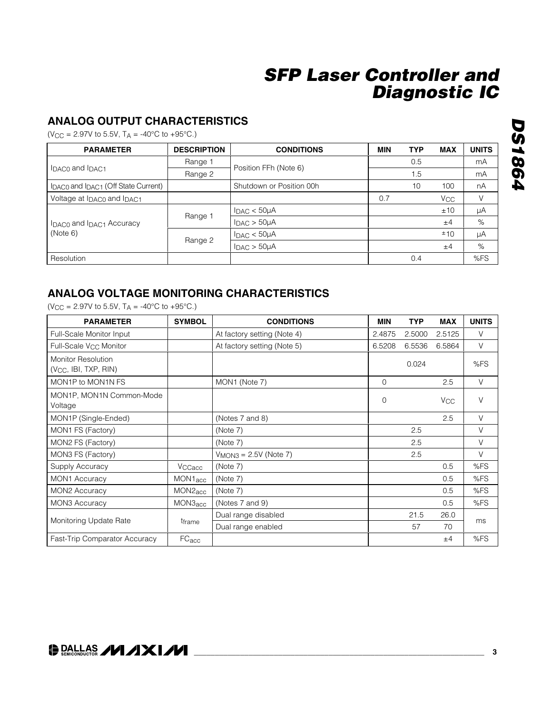### **ANALOG OUTPUT CHARACTERISTICS**

 $(V_{CC} = 2.97V$  to 5.5V,  $T_A = -40^{\circ}C$  to  $+95^{\circ}C$ .)

| <b>PARAMETER</b>                    | <b>DESCRIPTION</b> | <b>CONDITIONS</b>           | <b>MIN</b>                                                                        | <b>TYP</b> | <b>MAX</b> | <b>UNITS</b> |
|-------------------------------------|--------------------|-----------------------------|-----------------------------------------------------------------------------------|------------|------------|--------------|
| IDACO and IDAC1                     | Range 1            | Position FFh (Note 6)       |                                                                                   | 0.5        |            | mA           |
|                                     | Range 2            |                             | 1.5<br>100<br>10<br>0.7<br><b>V<sub>CC</sub></b><br>±10<br>±4<br>±10<br>±4<br>0.4 | mA         |            |              |
| IDACO and IDAC1 (Off State Current) |                    | Shutdown or Position 00h    |                                                                                   |            |            | nA           |
| Voltage at IDAC0 and IDAC1          |                    |                             |                                                                                   |            |            | V            |
|                                     |                    | $I_{DAC}$ < $50\mu A$       |                                                                                   |            |            | μA           |
| IDACO and IDAC1 Accuracy            | Range 1            | $I_{DAC}$ > $50\mu A$       |                                                                                   |            |            | $\%$         |
| (Note 6)                            |                    | $I_{\text{DAC}} < 50 \mu A$ |                                                                                   |            |            | μA           |
|                                     | Range 2            | $I_{DAC}$ > $50\mu A$       |                                                                                   |            |            | %            |
| Resolution                          |                    |                             |                                                                                   |            |            | %FS          |

### **ANALOG VOLTAGE MONITORING CHARACTERISTICS**

 $(V_{CC} = 2.97V$  to 5.5V,  $T_A = -40^{\circ}C$  to  $+95^{\circ}C$ .)

| <b>PARAMETER</b>                                               | <b>SYMBOL</b>        | <b>CONDITIONS</b>           | <b>MIN</b>  | <b>TYP</b> | <b>MAX</b>            | <b>UNITS</b> |
|----------------------------------------------------------------|----------------------|-----------------------------|-------------|------------|-----------------------|--------------|
| Full-Scale Monitor Input                                       |                      | At factory setting (Note 4) | 2.4875      | 2.5000     | 2.5125                | V            |
| Full-Scale V <sub>CC</sub> Monitor                             |                      | At factory setting (Note 5) | 6.5208      | 6.5536     | 6.5864                | V            |
| <b>Monitor Resolution</b><br>(V <sub>CC</sub> , IBI, TXP, RIN) |                      |                             |             | 0.024      |                       | %FS          |
| MON1P to MON1N FS                                              |                      | MON1 (Note 7)               | $\Omega$    |            | 2.5                   | V            |
| MON1P, MON1N Common-Mode<br>Voltage                            |                      |                             | $\mathbf 0$ |            | <b>V<sub>CC</sub></b> | $\vee$       |
| MON1P (Single-Ended)                                           |                      | (Notes 7 and 8)             |             |            | 2.5                   | V            |
| MON1 FS (Factory)                                              |                      | (Note 7)                    |             | 2.5        |                       | V            |
| MON2 FS (Factory)                                              |                      | (Note 7)                    |             | 2.5        |                       | V            |
| MON3 FS (Factory)                                              |                      | $VMON3 = 2.5V (Note 7)$     |             | 2.5        |                       | $\vee$       |
| Supply Accuracy                                                | VCCacc               | (Note 7)                    |             |            | 0.5                   | %FS          |
| <b>MON1 Accuracy</b>                                           | MON <sub>1</sub> acc | (Note 7)                    |             |            | 0.5                   | %FS          |
| MON2 Accuracy                                                  | MON2 <sub>acc</sub>  | (Note 7)                    |             |            | 0.5                   | %FS          |
| <b>MON3 Accuracy</b>                                           | MON3 <sub>acc</sub>  | (Notes 7 and 9)             |             |            | 0.5                   | %FS          |
| Monitoring Update Rate                                         |                      | Dual range disabled         |             | 21.5       | 26.0                  |              |
|                                                                | tframe               | Dual range enabled          |             | 57         | 70                    | ms           |
| Fast-Trip Comparator Accuracy                                  | FC <sub>acc</sub>    |                             |             |            | ±4                    | %FS          |

# **DS1864** *DS1864*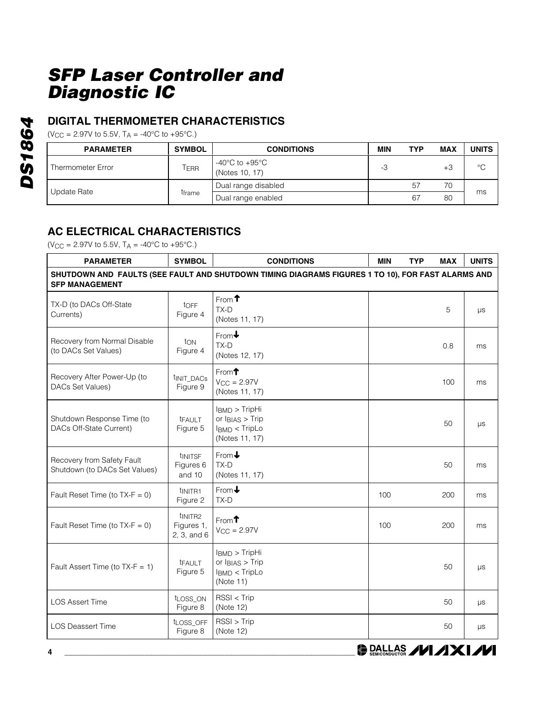### **DIGITAL THERMOMETER CHARACTERISTICS**

 $(V_{CC} = 2.97V$  to 5.5V,  $T_A = -40^{\circ}C$  to  $+95^{\circ}C$ .)

| <b>PARAMETER</b>  | <b>SYMBOL</b> | <b>CONDITIONS</b>                | <b>MIN</b> | <b>TYP</b> | <b>MAX</b> | <b>UNITS</b> |
|-------------------|---------------|----------------------------------|------------|------------|------------|--------------|
| Thermometer Error | Terr          | -40°C to +95°C<br>(Notes 10, 17) | -3         |            | +3         | °C           |
| Update Rate       | tframe        | Dual range disabled              |            | 57         | 70         |              |
|                   |               | Dual range enabled               |            | 67         | 80         | ms           |

### **AC ELECTRICAL CHARACTERISTICS**

 $(V_{CC} = 2.97V \text{ to } 5.5V, T_A = -40\degree C \text{ to } +95\degree C.)$ 

| <b>PARAMETER</b>                                                                                                           | <b>SYMBOL</b>                                    | <b>CONDITIONS</b>                                                                           | <b>MIN</b> | <b>TYP</b> | <b>MAX</b> | <b>UNITS</b> |  |
|----------------------------------------------------------------------------------------------------------------------------|--------------------------------------------------|---------------------------------------------------------------------------------------------|------------|------------|------------|--------------|--|
| SHUTDOWN AND FAULTS (SEE FAULT AND SHUTDOWN TIMING DIAGRAMS FIGURES 1 TO 10), FOR FAST ALARMS AND<br><b>SFP MANAGEMENT</b> |                                                  |                                                                                             |            |            |            |              |  |
| TX-D (to DACs Off-State<br>Currents)                                                                                       | tOFF<br>Figure 4                                 | From $\uparrow$<br>$TX-D$<br>(Notes 11, 17)                                                 |            |            | 5          | $\mu s$      |  |
| Recovery from Normal Disable<br>(to DACs Set Values)                                                                       | ton<br>Figure 4                                  | $From \rightarrow$<br>TX-D<br>(Notes 12, 17)                                                |            |            | 0.8        | ms           |  |
| Recovery After Power-Up (to<br>DACs Set Values)                                                                            | t <sub>INIT_DACs</sub><br>Figure 9               | From $\uparrow$<br>$V_{CC} = 2.97V$<br>(Notes 11, 17)                                       |            |            | 100        | ms           |  |
| Shutdown Response Time (to<br>DACs Off-State Current)                                                                      | tFAULT<br>Figure 5                               | $IBMD$ > TripHi<br>or $I_{BIAS}$ > Trip<br>IBMD < TripLo<br>(Notes 11, 17)                  |            |            | 50         | $\mu s$      |  |
| Recovery from Safety Fault<br>Shutdown (to DACs Set Values)                                                                | tINITSF<br>Figures 6<br>and 10                   | From $\bigstar$<br>TX-D<br>(Notes 11, 17)                                                   |            |            | 50         | ms           |  |
| Fault Reset Time (to $TX-F = 0$ )                                                                                          | t <sub>INITR1</sub><br>Figure 2                  | From $\bigstar$<br>TX-D                                                                     | 100        |            | 200        | ms           |  |
| Fault Reset Time (to $TX-F = 0$ )                                                                                          | t <sub>INITR2</sub><br>Figures 1,<br>2, 3, and 6 | From $\uparrow$<br>$V_{CC} = 2.97V$                                                         | 100        |            | 200        | ms           |  |
| Fault Assert Time (to $TX-F = 1$ )                                                                                         | <b>TFAULT</b><br>Figure 5                        | IBMD > TripHi<br>or $I_{BIAS}$ > Trip<br>I <sub>BMD</sub> < T <sub>ripLo</sub><br>(Note 11) |            |            | 50         | $\mu s$      |  |
| <b>LOS Assert Time</b>                                                                                                     | tLOSS_ON<br>Figure 8                             | $RSSI <$ Trip<br>(Note 12)                                                                  |            |            | 50         | μs           |  |
| <b>LOS Deassert Time</b>                                                                                                   | tLOSS_OFF<br>Figure 8                            | RSSI > Trip<br>(Note 12)                                                                    |            |            | 50         | μs           |  |

**DS1864** *DS1864*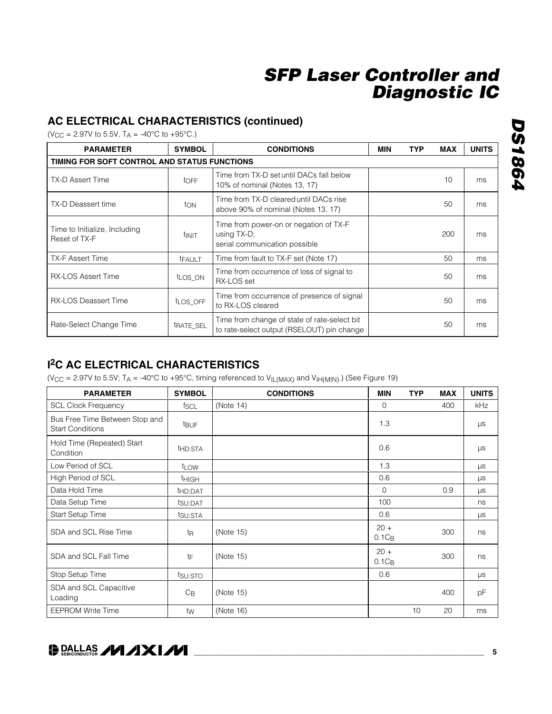### **AC ELECTRICAL CHARACTERISTICS (continued)**

 $(V_{CC} = 2.97V$  to 5.5V,  $T_A = -40^{\circ}C$  to  $+95^{\circ}C$ .)

| <b>PARAMETER</b>                               | <b>SYMBOL</b>       | <b>CONDITIONS</b>                                                                          | MIN | <b>TYP</b> | <b>MAX</b> | <b>UNITS</b> |
|------------------------------------------------|---------------------|--------------------------------------------------------------------------------------------|-----|------------|------------|--------------|
| TIMING FOR SOFT CONTROL AND STATUS FUNCTIONS   |                     |                                                                                            |     |            |            |              |
| <b>TX-D Assert Time</b>                        | toff                | Time from TX-D set until DACs fall below<br>10% of nominal (Notes 13, 17)                  |     |            | 10         | ms           |
| TX-D Deassert time                             | ton                 | Time from TX-D cleared until DACs rise<br>above 90% of nominal (Notes 13, 17)              |     |            | 50         | ms           |
| Time to Initialize, Including<br>Reset of TX-F | <b>TINIT</b>        | Time from power-on or negation of TX-F<br>using TX-D;<br>serial communication possible     |     |            | 200        | ms           |
| <b>TX-F Assert Time</b>                        | <b>TFAULT</b>       | Time from fault to TX-F set (Note 17)                                                      |     |            | 50         | ms           |
| <b>RX-LOS Assert Time</b>                      | t <sub>LOS</sub> ON | Time from occurrence of loss of signal to<br>RX-LOS set                                    |     |            | 50         | ms           |
| <b>RX-LOS Deassert Time</b>                    | tLOS OFF            | Time from occurrence of presence of signal<br>to RX-LOS cleared                            |     |            | 50         | ms           |
| Rate-Select Change Time                        | trate SEL           | Time from change of state of rate-select bit<br>to rate-select output (RSELOUT) pin change |     |            | 50         | ms           |

### **I 2C AC ELECTRICAL CHARACTERISTICS**

(V<sub>CC</sub> = 2.97V to 5.5V; T<sub>A</sub> = -40°C to +95°C, timing referenced to V<sub>IL(MAX)</sub> and V<sub>IH(MIN)</sub>.) (See Figure 19)

| <b>PARAMETER</b>                                          | <b>SYMBOL</b>       | <b>CONDITIONS</b> | <b>MIN</b>         | <b>TYP</b> | <b>MAX</b> | <b>UNITS</b> |
|-----------------------------------------------------------|---------------------|-------------------|--------------------|------------|------------|--------------|
| <b>SCL Clock Frequency</b>                                | fscl                | (Note 14)         | $\overline{0}$     |            | 400        | <b>kHz</b>   |
| Bus Free Time Between Stop and<br><b>Start Conditions</b> | t <sub>BUF</sub>    |                   | 1.3                |            |            | μs           |
| Hold Time (Repeated) Start<br>Condition                   | t <sub>HD:STA</sub> |                   | 0.6                |            |            | μs           |
| Low Period of SCL                                         | t <sub>LOW</sub>    |                   | 1.3                |            |            | μs           |
| High Period of SCL                                        | <b>THIGH</b>        |                   | 0.6                |            |            | μs           |
| Data Hold Time                                            | thd:DAT             |                   | 0                  |            | 0.9        | $\mu s$      |
| Data Setup Time                                           | tsu:DAT             |                   | 100                |            |            | ns           |
| Start Setup Time                                          | t <sub>SU:STA</sub> |                   | 0.6                |            |            | $\mu s$      |
| SDA and SCL Rise Time                                     | t <sub>R</sub>      | (Note 15)         | $20 +$<br>$0.1C_B$ |            | 300        | ns           |
| SDA and SCL Fall Time                                     | tF                  | (Note 15)         | $20 +$<br>$0.1C_B$ |            | 300        | ns           |
| Stop Setup Time                                           | tsu:STO             |                   | 0.6                |            |            | μs           |
| SDA and SCL Capacitive<br>Loading                         | $C_{\text{B}}$      | (Note 15)         |                    |            | 400        | pF           |
| <b>EEPROM Write Time</b>                                  | tw                  | (Note 16)         |                    | 10         | 20         | ms           |

### **DRALLAS /VI /IXI/VI**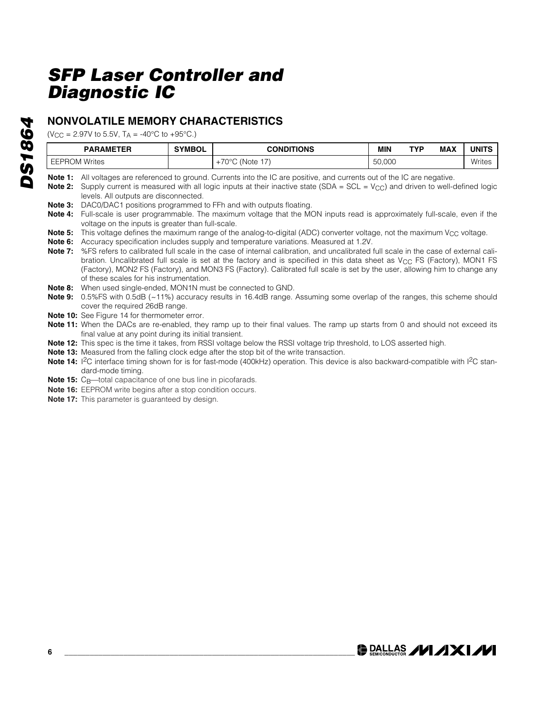### **NONVOLATILE MEMORY CHARACTERISTICS**

 $(V_{CC} = 2.97V$  to 5.5V,  $T_A = -40°C$  to  $+95°C$ .)

| <b>PARAMETER</b>         | <b>SYMBO</b> | TIONS<br>וחמס:                                 | <b>MIN</b>     | TVD<br>. | <b>MAX</b> | <b>JNIT!</b>  |
|--------------------------|--------------|------------------------------------------------|----------------|----------|------------|---------------|
| Writes<br>.UM<br>F F H H |              | 7001<br>∕Note<br>$\overline{\phantom{a}}$<br>◡ | 50,000<br>$ -$ |          |            | <b>Writes</b> |

Note 1: All voltages are referenced to ground. Currents into the IC are positive, and currents out of the IC are negative.

**Note 2:** Supply current is measured with all logic inputs at their inactive state (SDA = SCL = V<sub>CC</sub>) and driven to well-defined logic levels. All outputs are disconnected.

- **Note 3:** DAC0/DAC1 positions programmed to FFh and with outputs floating.
- **Note 4:** Full-scale is user programmable. The maximum voltage that the MON inputs read is approximately full-scale, even if the voltage on the inputs is greater than full-scale.
- Note 5: This voltage defines the maximum range of the analog-to-digital (ADC) converter voltage, not the maximum V<sub>CC</sub> voltage.
- **Note 6:** Accuracy specification includes supply and temperature variations. Measured at 1.2V.
- **Note 7:** %FS refers to calibrated full scale in the case of internal calibration, and uncalibrated full scale in the case of external calibration. Uncalibrated full scale is set at the factory and is specified in this data sheet as V<sub>CC</sub> FS (Factory), MON1 FS (Factory), MON2 FS (Factory), and MON3 FS (Factory). Calibrated full scale is set by the user, allowing him to change any of these scales for his instrumentation.
- **Note 8:** When used single-ended, MON1N must be connected to GND.
- **Note 9:** 0.5%FS with 0.5dB (~11%) accuracy results in 16.4dB range. Assuming some overlap of the ranges, this scheme should cover the required 26dB range.
- **Note 10:** See Figure 14 for thermometer error.

**Note 11:** When the DACs are re-enabled, they ramp up to their final values. The ramp up starts from 0 and should not exceed its final value at any point during its initial transient.

- **Note 12:** This spec is the time it takes, from RSSI voltage below the RSSI voltage trip threshold, to LOS asserted high.
- **Note 13:** Measured from the falling clock edge after the stop bit of the write transaction.
- Note 14: <sup>12</sup>C interface timing shown for is for fast-mode (400kHz) operation. This device is also backward-compatible with <sup>12</sup>C standard-mode timing.
- **Note 15:** C<sub>B</sub>—total capacitance of one bus line in picofarads.
- **Note 16:** EEPROM write begins after a stop condition occurs.
- **Note 17:** This parameter is guaranteed by design.

**DS1864** *DS1864*

**DALLAS /VI /IXI/VI**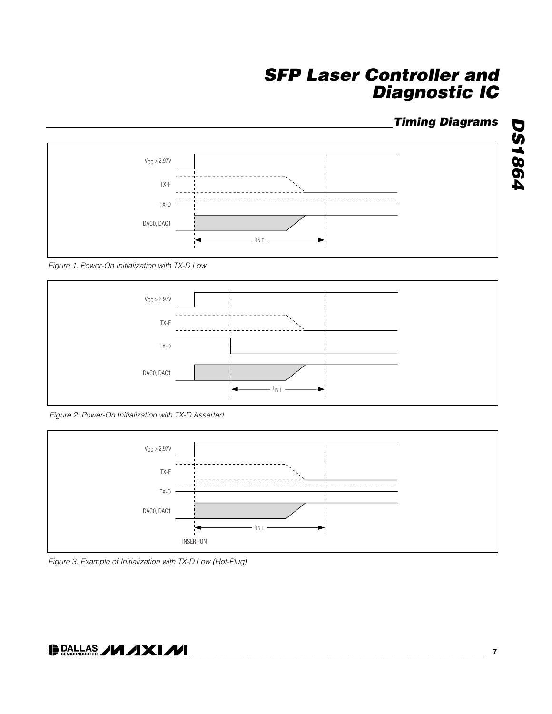### *Timing Diagrams*

*DS1864*

**DS1864** 



*Figure 1. Power-On Initialization with TX-D Low*



*Figure 2. Power-On Initialization with TX-D Asserted*



*Figure 3. Example of Initialization with TX-D Low (Hot-Plug)*

### O DALLAS **// /XI//**

**\_\_\_\_\_\_\_\_\_\_\_\_\_\_\_\_\_\_\_\_\_\_\_\_\_\_\_\_\_\_\_\_\_\_\_\_\_\_\_\_\_\_\_\_\_\_\_\_\_\_\_\_\_\_\_\_\_\_\_\_\_\_\_\_\_\_\_\_\_ 7**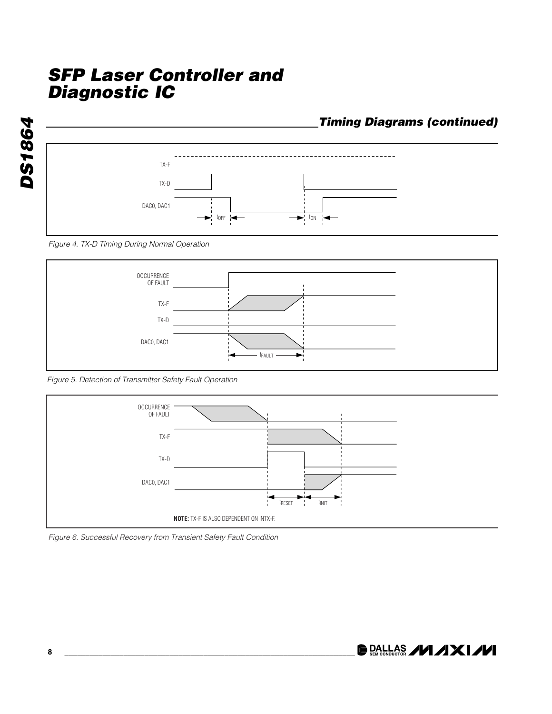

#### *Figure 4. TX-D Timing During Normal Operation*



*Figure 5. Detection of Transmitter Safety Fault Operation*



*Figure 6. Successful Recovery from Transient Safety Fault Condition*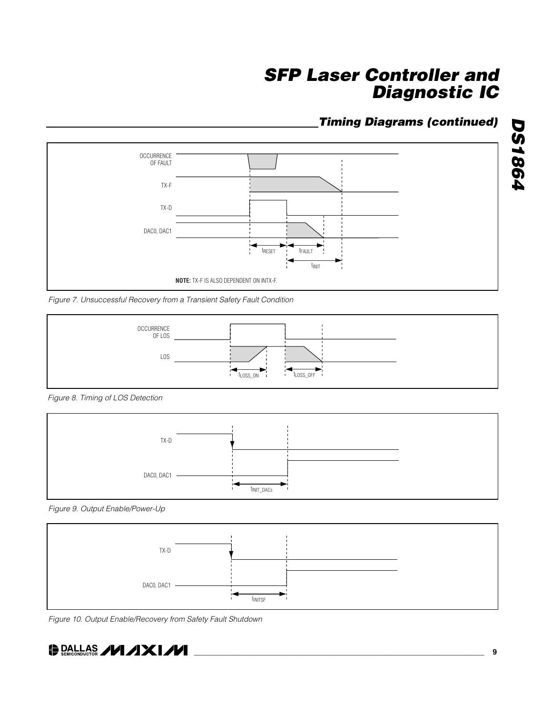### *Timing Diagrams (continued)*



*Figure 7. Unsuccessful Recovery from a Transient Safety Fault Condition*



*Figure 8. Timing of LOS Detection*



*Figure 9. Output Enable/Power-Up*



*Figure 10. Output Enable/Recovery from Safety Fault Shutdown*



*DS1864*

**DS1864**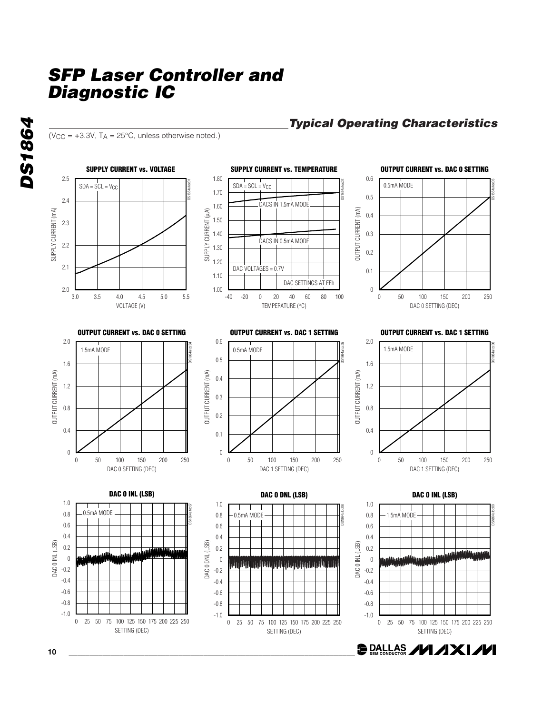( $V_{CC}$  = +3.3V,  $T_A$  = 25°C, unless otherwise noted.)

*DS1864*

**DS1864** 



### *Typical Operating Characteristics*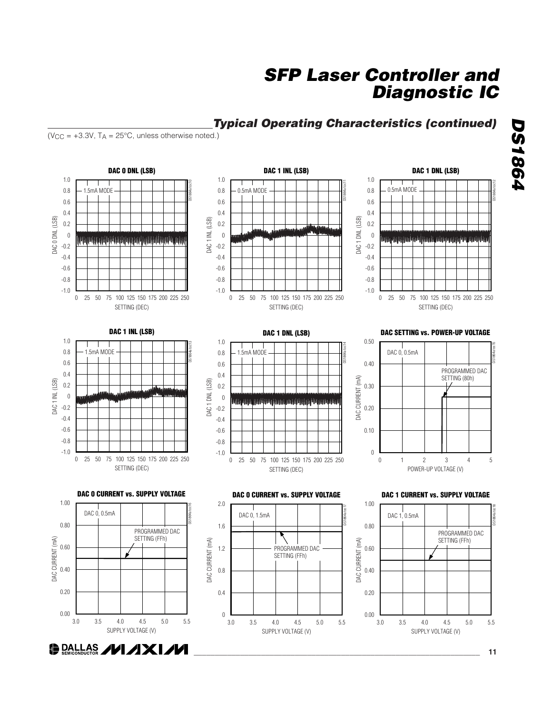

### *Typical Operating Characteristics (continued)*

 $(V_{CC} = +3.3V, T_A = 25°C,$  unless otherwise noted.)

# *SFP Laser Controller and Diagnostic IC*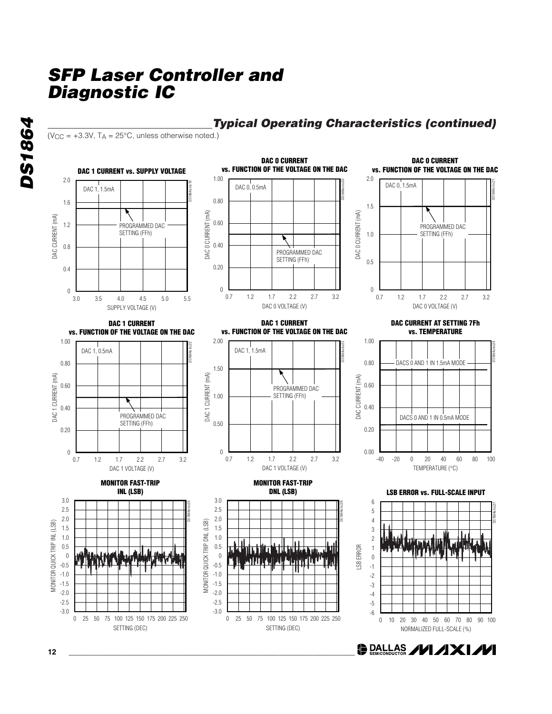

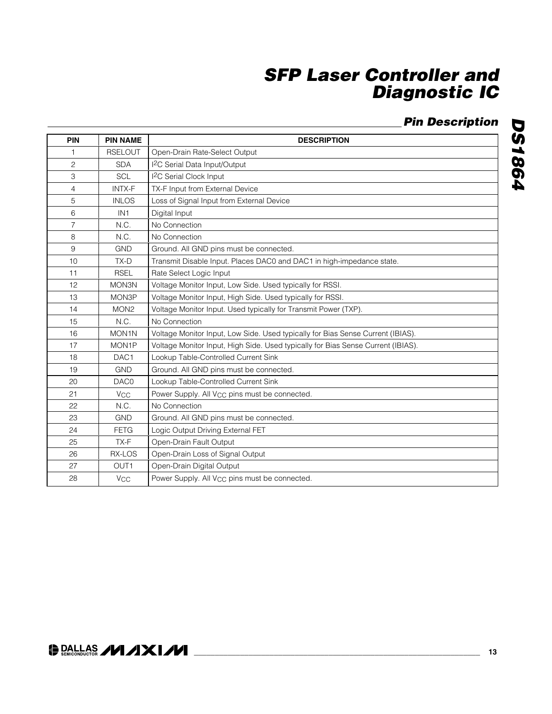### *Pin Description*

| PIN            | <b>PIN NAME</b>       | <b>DESCRIPTION</b>                                                               |  |
|----------------|-----------------------|----------------------------------------------------------------------------------|--|
| 1              | <b>RSELOUT</b>        | Open-Drain Rate-Select Output                                                    |  |
| $\overline{c}$ | <b>SDA</b>            | <sup>2</sup> C Serial Data Input/Output                                          |  |
| 3              | SCL                   | <sup>12</sup> C Serial Clock Input                                               |  |
| 4              | <b>INTX-F</b>         | TX-F Input from External Device                                                  |  |
| 5              | <b>INLOS</b>          | Loss of Signal Input from External Device                                        |  |
| 6              | IN <sub>1</sub>       | Digital Input                                                                    |  |
| $\overline{7}$ | N.C.                  | No Connection                                                                    |  |
| 8              | N.C.                  | No Connection                                                                    |  |
| 9              | <b>GND</b>            | Ground. All GND pins must be connected.                                          |  |
| 10             | $TX-D$                | Transmit Disable Input. Places DAC0 and DAC1 in high-impedance state.            |  |
| 11             | <b>RSEL</b>           | Rate Select Logic Input                                                          |  |
| 12             | MON3N                 | Voltage Monitor Input, Low Side. Used typically for RSSI.                        |  |
| 13             | MON3P                 | Voltage Monitor Input, High Side. Used typically for RSSI.                       |  |
| 14             | MON <sub>2</sub>      | Voltage Monitor Input. Used typically for Transmit Power (TXP).                  |  |
| 15             | N.C.                  | No Connection                                                                    |  |
| 16             | MON1N                 | Voltage Monitor Input, Low Side. Used typically for Bias Sense Current (IBIAS).  |  |
| 17             | MON1P                 | Voltage Monitor Input, High Side. Used typically for Bias Sense Current (IBIAS). |  |
| 18             | DAC <sub>1</sub>      | Lookup Table-Controlled Current Sink                                             |  |
| 19             | <b>GND</b>            | Ground. All GND pins must be connected.                                          |  |
| 20             | DAC0                  | Lookup Table-Controlled Current Sink                                             |  |
| 21             | <b>V<sub>CC</sub></b> | Power Supply. All V <sub>CC</sub> pins must be connected.                        |  |
| 22             | N.C.                  | No Connection                                                                    |  |
| 23             | <b>GND</b>            | Ground. All GND pins must be connected.                                          |  |
| 24             | <b>FETG</b>           | Logic Output Driving External FET                                                |  |
| 25             | TX-F                  | Open-Drain Fault Output                                                          |  |
| 26             | RX-LOS                | Open-Drain Loss of Signal Output                                                 |  |
| 27             | OUT <sub>1</sub>      | Open-Drain Digital Output                                                        |  |
| 28             | <b>V<sub>CC</sub></b> | Power Supply. All V <sub>CC</sub> pins must be connected.                        |  |

### **\_\_\_\_\_\_\_\_\_\_\_\_\_\_\_\_\_\_\_\_\_\_\_\_\_\_\_\_\_\_\_\_\_\_\_\_\_\_\_\_\_\_\_\_\_\_\_\_\_\_\_\_\_\_\_\_\_\_\_\_\_\_\_\_\_\_\_\_ 13**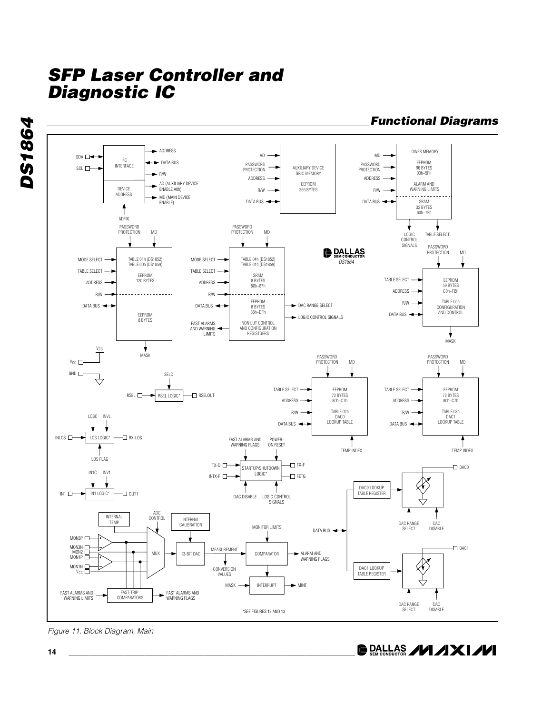

*Figure 11. Block Diagram, Main*

**DALLAS /VI /IXI/VI** 

*DS1864*

**DS1864**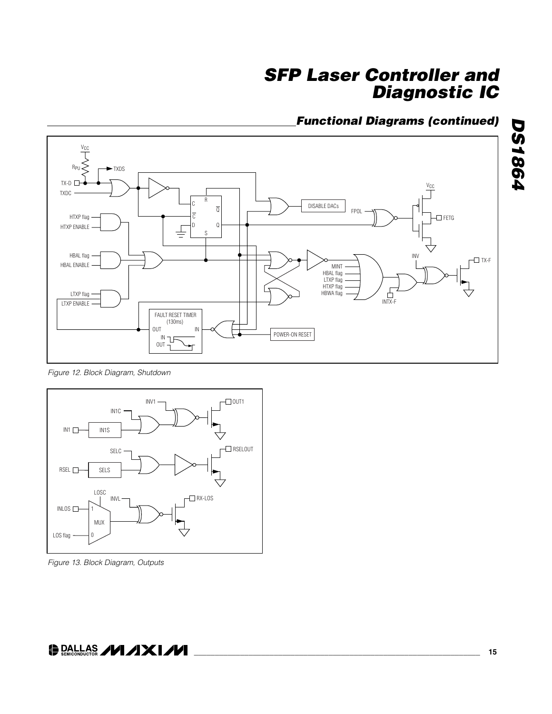### *Functional Diagrams (continued)*



*Figure 12. Block Diagram, Shutdown*



*Figure 13. Block Diagram, Outputs*

### **DALLAS /VI/IXI/VI**

*DS1864*

**DS1864**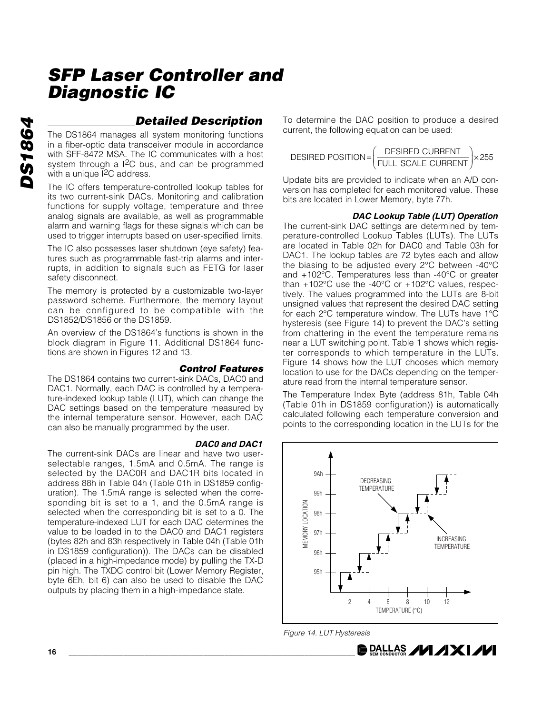### *Detailed Description*

The DS1864 manages all system monitoring functions in a fiber-optic data transceiver module in accordance with SFF-8472 MSA. The IC communicates with a host system through a  $1^2C$  bus, and can be programmed with a unique <sup>[2</sup>C address.

The IC offers temperature-controlled lookup tables for its two current-sink DACs. Monitoring and calibration functions for supply voltage, temperature and three analog signals are available, as well as programmable alarm and warning flags for these signals which can be used to trigger interrupts based on user-specified limits.

The IC also possesses laser shutdown (eye safety) features such as programmable fast-trip alarms and interrupts, in addition to signals such as FETG for laser safety disconnect.

The memory is protected by a customizable two-layer password scheme. Furthermore, the memory layout can be configured to be compatible with the DS1852/DS1856 or the DS1859.

An overview of the DS1864's functions is shown in the block diagram in Figure 11. Additional DS1864 functions are shown in Figures 12 and 13.

#### *Control Features*

The DS1864 contains two current-sink DACs, DAC0 and DAC1. Normally, each DAC is controlled by a temperature-indexed lookup table (LUT), which can change the DAC settings based on the temperature measured by the internal temperature sensor. However, each DAC can also be manually programmed by the user.

#### *DAC0 and DAC1*

The current-sink DACs are linear and have two userselectable ranges, 1.5mA and 0.5mA. The range is selected by the DAC0R and DAC1R bits located in address 88h in Table 04h (Table 01h in DS1859 configuration). The 1.5mA range is selected when the corresponding bit is set to a 1, and the 0.5mA range is selected when the corresponding bit is set to a 0. The temperature-indexed LUT for each DAC determines the value to be loaded in to the DAC0 and DAC1 registers (bytes 82h and 83h respectively in Table 04h (Table 01h in DS1859 configuration)). The DACs can be disabled (placed in a high-impedance mode) by pulling the TX-D pin high. The TXDC control bit (Lower Memory Register, byte 6Eh, bit 6) can also be used to disable the DAC outputs by placing them in a high-impedance state.

To determine the DAC position to produce a desired current, the following equation can be used:

$$
DESIRED\ POSTION = \left(\frac{DESIRED\ CURRENT}{FULL\ SCALE\ CURRENT}\right) \times 255
$$

Update bits are provided to indicate when an A/D conversion has completed for each monitored value. These bits are located in Lower Memory, byte 77h.

#### *DAC Lookup Table (LUT) Operation*

The current-sink DAC settings are determined by temperature-controlled Lookup Tables (LUTs). The LUTs are located in Table 02h for DAC0 and Table 03h for DAC1. The lookup tables are 72 bytes each and allow the biasing to be adjusted every 2°C between -40°C and +102°C. Temperatures less than -40°C or greater than +102°C use the -40°C or +102°C values, respectively. The values programmed into the LUTs are 8-bit unsigned values that represent the desired DAC setting for each 2°C temperature window. The LUTs have 1°C hysteresis (see Figure 14) to prevent the DAC's setting from chattering in the event the temperature remains near a LUT switching point. Table 1 shows which register corresponds to which temperature in the LUTs. Figure 14 shows how the LUT chooses which memory location to use for the DACs depending on the temperature read from the internal temperature sensor.

The Temperature Index Byte (address 81h, Table 04h (Table 01h in DS1859 configuration)) is automatically calculated following each temperature conversion and points to the corresponding location in the LUTs for the



**DALLAS /VI /IXI/VI** 

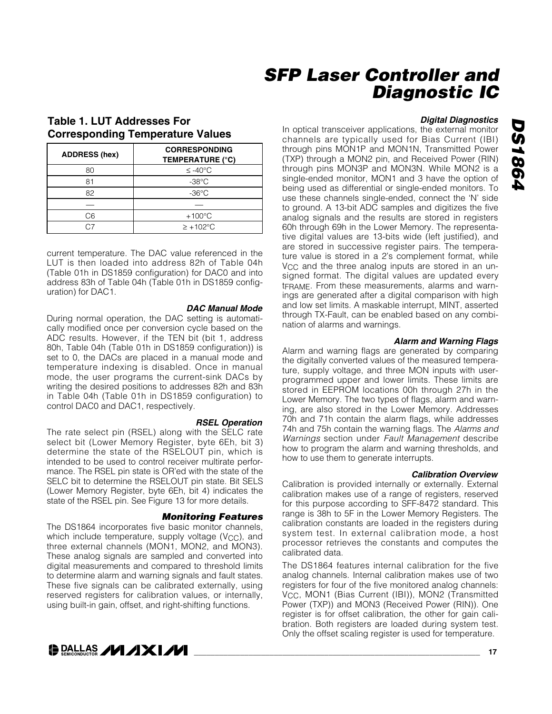### **Table 1. LUT Addresses For Corresponding Temperature Values**

| <b>ADDRESS (hex)</b> | <b>CORRESPONDING</b><br><b>TEMPERATURE (°C)</b> |
|----------------------|-------------------------------------------------|
| 80                   | $≤ -40$ °C                                      |
| 81                   | $-38^{\circ}$ C                                 |
| 82                   | $-36^{\circ}$ C                                 |
|                      |                                                 |
| C6                   | $+100^{\circ}$ C                                |
|                      | $\ge +102^{\circ}$ C                            |

current temperature. The DAC value referenced in the LUT is then loaded into address 82h of Table 04h (Table 01h in DS1859 configuration) for DAC0 and into address 83h of Table 04h (Table 01h in DS1859 configuration) for DAC1.

#### *DAC Manual Mode*

During normal operation, the DAC setting is automatically modified once per conversion cycle based on the ADC results. However, if the TEN bit (bit 1, address 80h, Table 04h (Table 01h in DS1859 configuration)) is set to 0, the DACs are placed in a manual mode and temperature indexing is disabled. Once in manual mode, the user programs the current-sink DACs by writing the desired positions to addresses 82h and 83h in Table 04h (Table 01h in DS1859 configuration) to control DAC0 and DAC1, respectively.

*RSEL Operation*

The rate select pin (RSEL) along with the SELC rate select bit (Lower Memory Register, byte 6Eh, bit 3) determine the state of the RSELOUT pin, which is intended to be used to control receiver multirate performance. The RSEL pin state is OR'ed with the state of the SELC bit to determine the RSELOUT pin state. Bit SELS (Lower Memory Register, byte 6Eh, bit 4) indicates the state of the RSEL pin. See Figure 13 for more details.

#### *Monitoring Features*

The DS1864 incorporates five basic monitor channels, which include temperature, supply voltage ( $V_{CC}$ ), and three external channels (MON1, MON2, and MON3). These analog signals are sampled and converted into digital measurements and compared to threshold limits to determine alarm and warning signals and fault states. These five signals can be calibrated externally, using reserved registers for calibration values, or internally, using built-in gain, offset, and right-shifting functions.

### **DALLAS /VI /IXI/VI**

#### *Digital Diagnostics*

In optical transceiver applications, the external monitor channels are typically used for Bias Current (IBI) through pins MON1P and MON1N, Transmitted Power (TXP) through a MON2 pin, and Received Power (RIN) through pins MON3P and MON3N. While MON2 is a single-ended monitor, MON1 and 3 have the option of being used as differential or single-ended monitors. To use these channels single-ended, connect the 'N' side to ground. A 13-bit ADC samples and digitizes the five analog signals and the results are stored in registers 60h through 69h in the Lower Memory. The representative digital values are 13-bits wide (left justified), and are stored in successive register pairs. The temperature value is stored in a 2's complement format, while V<sub>CC</sub> and the three analog inputs are stored in an unsigned format. The digital values are updated every tFRAME. From these measurements, alarms and warnings are generated after a digital comparison with high and low set limits. A maskable interrupt, MINT, asserted through TX-Fault, can be enabled based on any combination of alarms and warnings.

#### *Alarm and Warning Flags*

Alarm and warning flags are generated by comparing the digitally converted values of the measured temperature, supply voltage, and three MON inputs with userprogrammed upper and lower limits. These limits are stored in EEPROM locations 00h through 27h in the Lower Memory. The two types of flags, alarm and warning, are also stored in the Lower Memory. Addresses 70h and 71h contain the alarm flags, while addresses 74h and 75h contain the warning flags. The *Alarms and Warnings* section under *Fault Management* describe how to program the alarm and warning thresholds, and how to use them to generate interrupts.

#### *Calibration Overview*

Calibration is provided internally or externally. External calibration makes use of a range of registers, reserved for this purpose according to SFF-8472 standard. This range is 38h to 5F in the Lower Memory Registers. The calibration constants are loaded in the registers during system test. In external calibration mode, a host processor retrieves the constants and computes the calibrated data.

The DS1864 features internal calibration for the five analog channels. Internal calibration makes use of two registers for four of the five monitored analog channels: V<sub>CC</sub>, MON1 (Bias Current (IBI)), MON2 (Transmitted Power (TXP)) and MON3 (Received Power (RIN)). One register is for offset calibration, the other for gain calibration. Both registers are loaded during system test. Only the offset scaling register is used for temperature.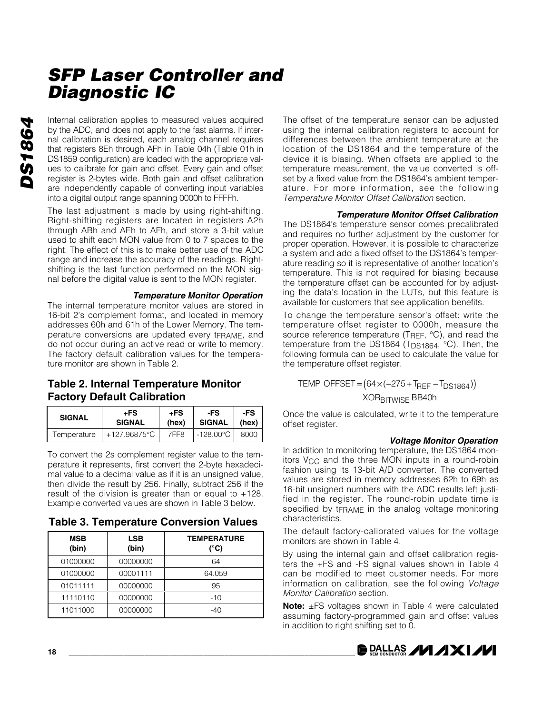*DS1864* **DS1864** 

Internal calibration applies to measured values acquired by the ADC, and does not apply to the fast alarms. If internal calibration is desired, each analog channel requires that registers 8Eh through AFh in Table 04h (Table 01h in DS1859 configuration) are loaded with the appropriate values to calibrate for gain and offset. Every gain and offset register is 2-bytes wide. Both gain and offset calibration are independently capable of converting input variables into a digital output range spanning 0000h to FFFFh.

The last adjustment is made by using right-shifting. Right-shifting registers are located in registers A2h through ABh and AEh to AFh, and store a 3-bit value used to shift each MON value from 0 to 7 spaces to the right. The effect of this is to make better use of the ADC range and increase the accuracy of the readings. Rightshifting is the last function performed on the MON signal before the digital value is sent to the MON register.

#### *Temperature Monitor Operation*

The internal temperature monitor values are stored in 16-bit 2's complement format, and located in memory addresses 60h and 61h of the Lower Memory. The temperature conversions are updated every tFRAME, and do not occur during an active read or write to memory. The factory default calibration values for the temperature monitor are shown in Table 2.

### **Table 2. Internal Temperature Monitor Factory Default Calibration**

| <b>SIGNAL</b> | +FS<br><b>SIGNAL</b> | +FS<br>(hex) | -FS<br>SIGNAL   (hex)              | -FS    |
|---------------|----------------------|--------------|------------------------------------|--------|
| Temperature   | +127.96875°C         | 7FF8         | $\mid$ -128.00 $^{\circ}$ C $\mid$ | 8000 L |

To convert the 2s complement register value to the temperature it represents, first convert the 2-byte hexadecimal value to a decimal value as if it is an unsigned value, then divide the result by 256. Finally, subtract 256 if the result of the division is greater than or equal to +128. Example converted values are shown in Table 3 below.

#### **Table 3. Temperature Conversion Values**

| <b>MSB</b><br>(bin) | <b>LSB</b><br>(bin) | <b>TEMPERATURE</b><br>(°C) |
|---------------------|---------------------|----------------------------|
| 01000000            | 00000000            | 64                         |
| 01000000            | 00001111            | 64.059                     |
| 01011111            | 00000000            | 95                         |
| 11110110            | 00000000            | $-10$                      |
| 11011000            | 00000000            | $-40$                      |

The offset of the temperature sensor can be adjusted using the internal calibration registers to account for differences between the ambient temperature at the location of the DS1864 and the temperature of the device it is biasing. When offsets are applied to the temperature measurement, the value converted is offset by a fixed value from the DS1864's ambient temperature. For more information, see the following *Temperature Monitor Offset Calibration* section.

#### *Temperature Monitor Offset Calibration*

The DS1864's temperature sensor comes precalibrated and requires no further adjustment by the customer for proper operation. However, it is possible to characterize a system and add a fixed offset to the DS1864's temperature reading so it is representative of another location's temperature. This is not required for biasing because the temperature offset can be accounted for by adjusting the data's location in the LUTs, but this feature is available for customers that see application benefits.

To change the temperature sensor's offset: write the temperature offset register to 0000h, measure the source reference temperature (TREF, °C), and read the temperature from the DS1864 (T<sub>DS1864</sub>, °C). Then, the following formula can be used to calculate the value for the temperature offset register.

### $\mathsf{TEMP}\ \mathsf{OFFSET}\ {\mathsf{=}}\ \left(64{\times}(-275{+}\mathsf{T_{REF}}-\mathsf{T_{DS1864}})\right)$

XOR<sub>BITWISE</sub> BB40h

Once the value is calculated, write it to the temperature offset register.

#### *Voltage Monitor Operation*

In addition to monitoring temperature, the DS1864 monitors V<sub>CC</sub> and the three MON inputs in a round-robin fashion using its 13-bit A/D converter. The converted values are stored in memory addresses 62h to 69h as 16-bit unsigned numbers with the ADC results left justified in the register. The round-robin update time is specified by tFRAME in the analog voltage monitoring characteristics.

The default factory-calibrated values for the voltage monitors are shown in Table 4.

By using the internal gain and offset calibration registers the +FS and -FS signal values shown in Table 4 can be modified to meet customer needs. For more information on calibration, see the following *Voltage Monitor Calibration* section.

**Note:** ±FS voltages shown in Table 4 were calculated assuming factory-programmed gain and offset values in addition to right shifting set to 0.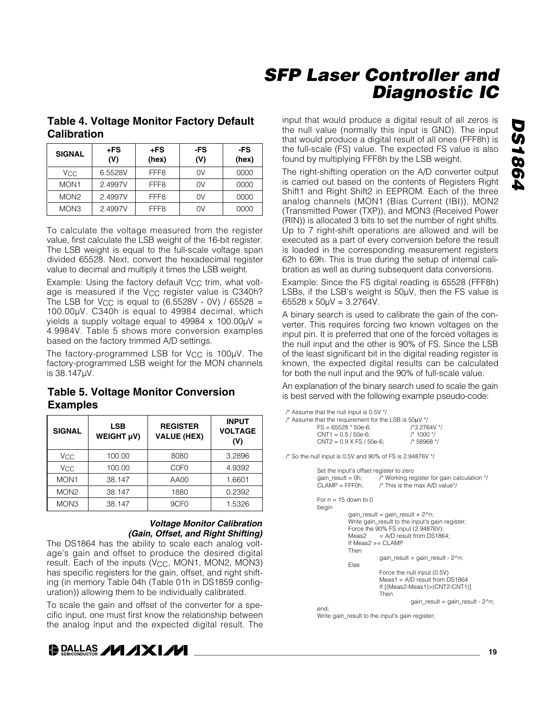### **Table 4. Voltage Monitor Factory Default Calibration**

| <b>SIGNAL</b>         | +FS<br>(V) | $+FS$<br>(hex)   | -FS<br>(V) | -FS<br>(hex) |
|-----------------------|------------|------------------|------------|--------------|
| <b>V<sub>CC</sub></b> | 6.5528V    |                  | 0V         | 0000         |
| MON <sub>1</sub>      | 2.4997V    | FFF <sub>8</sub> | 0V         | 0000         |
| MON <sub>2</sub>      | 2.4997V    | FFF <sub>8</sub> | 0V         | 0000         |
| MON <sub>3</sub>      | 2.4997V    | FFF <sub>8</sub> | ΩV         | 0000         |

To calculate the voltage measured from the register value, first calculate the LSB weight of the 16-bit register. The LSB weight is equal to the full-scale voltage span divided 65528. Next, convert the hexadecimal register value to decimal and multiply it times the LSB weight.

Example: Using the factory default V<sub>CC</sub> trim, what voltage is measured if the V<sub>CC</sub> register value is C340h? The LSB for V<sub>CC</sub> is equal to  $(6.5528V - 0V) / 65528 =$ 100.00µV. C340h is equal to 49984 decimal, which yields a supply voltage equal to 49984  $\times$  100.00 $\mu$ V = 4.9984V. Table 5 shows more conversion examples based on the factory trimmed A/D settings.

The factory-programmed LSB for  $V_{CC}$  is 100 $\mu$ V. The factory-programmed LSB weight for the MON channels is 38.147µV.

### **Table 5. Voltage Monitor Conversion Examples**

| <b>SIGNAL</b>    | <b>LSB</b><br>WEIGHT µV) | <b>REGISTER</b><br><b>VALUE (HEX)</b> | <b>INPUT</b><br><b>VOLTAGE</b><br>(V) |
|------------------|--------------------------|---------------------------------------|---------------------------------------|
| Vcc              | 100.00                   | 8080                                  | 3.2896                                |
| Vcc              | 100.00                   | C <sub>OFO</sub>                      | 4.9392                                |
| MON <sub>1</sub> | 38.147                   | AA00                                  | 1.6601                                |
| MON <sub>2</sub> | 38.147                   | 1880                                  | 0.2392                                |
| MON <sub>3</sub> | 38.147                   | 9CF <sub>0</sub>                      | 1.5326                                |

#### *Voltage Monitor Calibration (Gain, Offset, and Right Shifting)*

The DS1864 has the ability to scale each analog voltage's gain and offset to produce the desired digital result. Each of the inputs (V<sub>CC</sub>, MON1, MON2, MON3) has specific registers for the gain, offset, and right shifting (in memory Table 04h (Table 01h in DS1859 configuration)) allowing them to be individually calibrated.

To scale the gain and offset of the converter for a specific input, one must first know the relationship between the analog input and the expected digital result. The

### **DALLAS /VI /IXI/VI**

input that would produce a digital result of all zeros is the null value (normally this input is GND). The input that would produce a digital result of all ones (FFF8h) is the full-scale (FS) value. The expected FS value is also found by multiplying FFF8h by the LSB weight.

The right-shifting operation on the A/D converter output is carried out based on the contents of Registers Right Shift1 and Right Shift2 in EEPROM. Each of the three analog channels (MON1 (Bias Current (IBI)), MON2 (Transmitted Power (TXP)), and MON3 (Received Power (RIN)) is allocated 3 bits to set the number of right shifts. Up to 7 right-shift operations are allowed and will be executed as a part of every conversion before the result is loaded in the corresponding measurement registers 62h to 69h. This is true during the setup of internal calibration as well as during subsequent data conversions.

Example: Since the FS digital reading is 65528 (FFF8h) LSBs, if the LSB's weight is 50µV, then the FS value is 65528  $\times$  50 $\mu$ V = 3.2764V.

A binary search is used to calibrate the gain of the converter. This requires forcing two known voltages on the input pin. It is preferred that one of the forced voltages is the null input and the other is 90% of FS. Since the LSB of the least significant bit in the digital reading register is known, the expected digital results can be calculated for both the null input and the 90% of full-scale value.

An explanation of the binary search used to scale the gain is best served with the following example pseudo-code:

| /* Assume that the null input is 0.5V */                           |              |
|--------------------------------------------------------------------|--------------|
| /* Assume that the requirement for the LSB is $50\mu\mathrm{V}$ */ |              |
| $FS = 65528 * 50e-6$                                               | /*3.2764V */ |
| $CNT1 = 0.5 / 50e-6$                                               | /* 1000 */   |
| $CNT2 = 0.9 X FS / 50e-6;$                                         | /* 58968 */  |

/\* So the null input is 0.5V and 90% of FS is 2.94876V \*/

| Set the input's offset register to zero |                                                                             |
|-----------------------------------------|-----------------------------------------------------------------------------|
|                                         | gain_result = 0h; $\frac{1}{2}$ /* Working register for gain calculation */ |
|                                         | $CLAMP = FFFOh:$ /* This is the max A/D value*/                             |
| For $n = 15$ down to 0                  |                                                                             |
| begin                                   |                                                                             |
|                                         | gain result = gain result + $2^{\wedge}$ n;                                 |
|                                         | Write gain result to the input's gain register;                             |
|                                         | Force the 90% FS input (2.94876V);                                          |
| Meas2                                   | $=$ A/D result from DS1864;                                                 |
|                                         | If Meas2 $>=$ CLAMP                                                         |
| Then                                    |                                                                             |
|                                         | gain result = gain result - $2^{\wedge}$ n;                                 |
| <b>F</b> lse                            |                                                                             |
|                                         | Force the null input (0.5V)                                                 |
|                                         | Meas1 = $A/D$ result from DS1864                                            |
|                                         | If [(Meas2-Meas1)>(CNT2-CNT1)]                                              |
|                                         | Then                                                                        |
|                                         | gain result = gain result - 2^n;                                            |
| end:                                    |                                                                             |

Write gain\_result to the input's gain register;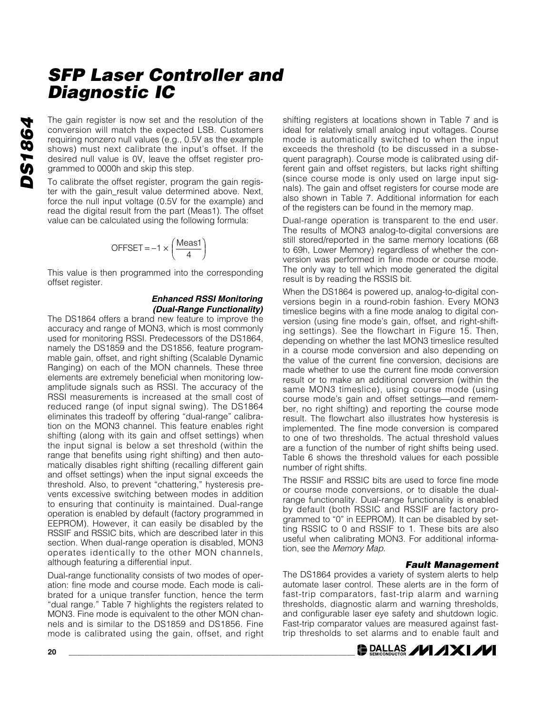The gain register is now set and the resolution of the conversion will match the expected LSB. Customers requiring nonzero null values (e.g., 0.5V as the example shows) must next calibrate the input's offset. If the desired null value is 0V, leave the offset register programmed to 0000h and skip this step.

To calibrate the offset register, program the gain register with the gain\_result value determined above. Next, force the null input voltage (0.5V for the example) and read the digital result from the part (Meas1). The offset value can be calculated using the following formula:

$$
\text{OFFSET} = -1 \times \left(\frac{\text{Meas1}}{4}\right)
$$

This value is then programmed into the corresponding offset register.

#### *Enhanced RSSI Monitoring (Dual-Range Functionality)*

The DS1864 offers a brand new feature to improve the accuracy and range of MON3, which is most commonly used for monitoring RSSI. Predecessors of the DS1864, namely the DS1859 and the DS1856, feature programmable gain, offset, and right shifting (Scalable Dynamic Ranging) on each of the MON channels. These three elements are extremely beneficial when monitoring lowamplitude signals such as RSSI. The accuracy of the RSSI measurements is increased at the small cost of reduced range (of input signal swing). The DS1864 eliminates this tradeoff by offering "dual-range" calibration on the MON3 channel. This feature enables right shifting (along with its gain and offset settings) when the input signal is below a set threshold (within the range that benefits using right shifting) and then automatically disables right shifting (recalling different gain and offset settings) when the input signal exceeds the threshold. Also, to prevent "chattering," hysteresis prevents excessive switching between modes in addition to ensuring that continuity is maintained. Dual-range operation is enabled by default (factory programmed in EEPROM). However, it can easily be disabled by the RSSIF and RSSIC bits, which are described later in this section. When dual-range operation is disabled, MON3 operates identically to the other MON channels, although featuring a differential input.

Dual-range functionality consists of two modes of operation: fine mode and course mode. Each mode is calibrated for a unique transfer function, hence the term "dual range." Table 7 highlights the registers related to MON3. Fine mode is equivalent to the other MON channels and is similar to the DS1859 and DS1856. Fine mode is calibrated using the gain, offset, and right shifting registers at locations shown in Table 7 and is ideal for relatively small analog input voltages. Course mode is automatically switched to when the input exceeds the threshold (to be discussed in a subsequent paragraph). Course mode is calibrated using different gain and offset registers, but lacks right shifting (since course mode is only used on large input signals). The gain and offset registers for course mode are also shown in Table 7. Additional information for each of the registers can be found in the memory map.

Dual-range operation is transparent to the end user. The results of MON3 analog-to-digital conversions are still stored/reported in the same memory locations (68 to 69h, Lower Memory) regardless of whether the conversion was performed in fine mode or course mode. The only way to tell which mode generated the digital result is by reading the RSSIS bit.

When the DS1864 is powered up, analog-to-digital conversions begin in a round-robin fashion. Every MON3 timeslice begins with a fine mode analog to digital conversion (using fine mode's gain, offset, and right-shifting settings). See the flowchart in Figure 15. Then, depending on whether the last MON3 timeslice resulted in a course mode conversion and also depending on the value of the current fine conversion, decisions are made whether to use the current fine mode conversion result or to make an additional conversion (within the same MON3 timeslice), using course mode (using course mode's gain and offset settings—and remember, no right shifting) and reporting the course mode result. The flowchart also illustrates how hysteresis is implemented. The fine mode conversion is compared to one of two thresholds. The actual threshold values are a function of the number of right shifts being used. Table 6 shows the threshold values for each possible number of right shifts.

The RSSIF and RSSIC bits are used to force fine mode or course mode conversions, or to disable the dualrange functionality. Dual-range functionality is enabled by default (both RSSIC and RSSIF are factory programmed to "0" in EEPROM). It can be disabled by setting RSSIC to 0 and RSSIF to 1. These bits are also useful when calibrating MON3. For additional information, see the *Memory Map*.

#### *Fault Management*

The DS1864 provides a variety of system alerts to help automate laser control. These alerts are in the form of fast-trip comparators, fast-trip alarm and warning thresholds, diagnostic alarm and warning thresholds, and configurable laser eye safety and shutdown logic. Fast-trip comparator values are measured against fasttrip thresholds to set alarms and to enable fault and

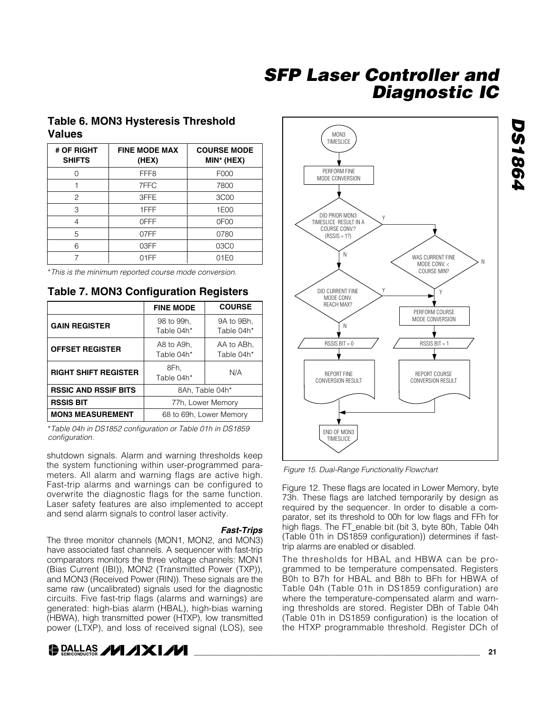### **Table 6. MON3 Hysteresis Threshold Values**

| # OF RIGHT<br><b>SHIFTS</b> | <b>FINE MODE MAX</b><br>(HEX) | <b>COURSE MODE</b><br>MIN* (HEX) |  |
|-----------------------------|-------------------------------|----------------------------------|--|
|                             | FFF <sub>8</sub>              | F000                             |  |
|                             | 7FFC                          | 7800                             |  |
| $\overline{c}$              | 3FFE                          | 3C <sub>0</sub> 0                |  |
| 3                           | 1FFF                          | 1E00                             |  |
| 4                           | 0FFF                          | 0F <sub>0</sub>                  |  |
| 5                           | 07FF                          | 0780                             |  |
| 6                           | 03FF                          | 03C0                             |  |
|                             | 01FF                          | 01E0                             |  |

\**This is the minimum reported course mode conversion.*

#### **Table 7. MON3 Configuration Registers**

|                                                    | <b>FINE MODE</b>         | <b>COURSE</b>            |  |
|----------------------------------------------------|--------------------------|--------------------------|--|
| <b>GAIN REGISTER</b>                               | 98 to 99h,<br>Table 04h* | 9A to 9Bh,<br>Table 04h* |  |
| <b>OFFSET REGISTER</b>                             | A8 to A9h.<br>Table 04h* | AA to ABh.<br>Table 04h* |  |
| <b>RIGHT SHIFT REGISTER</b>                        | 8Fh.<br>Table 04h*       | N/A                      |  |
| <b>RSSIC AND RSSIF BITS</b>                        | 8Ah. Table 04h*          |                          |  |
| <b>RSSIS BIT</b>                                   | 77h, Lower Memory        |                          |  |
| <b>MON3 MEASUREMENT</b><br>68 to 69h, Lower Memory |                          |                          |  |

\**Table 04h in DS1852 configuration or Table 01h in DS1859 configuration.*

shutdown signals. Alarm and warning thresholds keep the system functioning within user-programmed parameters. All alarm and warning flags are active high. Fast-trip alarms and warnings can be configured to overwrite the diagnostic flags for the same function. Laser safety features are also implemented to accept and send alarm signals to control laser activity.

#### *Fast-Trips*

The three monitor channels (MON1, MON2, and MON3) have associated fast channels. A sequencer with fast-trip comparators monitors the three voltage channels: MON1 (Bias Current (IBI)), MON2 (Transmitted Power (TXP)), and MON3 (Received Power (RIN)). These signals are the same raw (uncalibrated) signals used for the diagnostic circuits. Five fast-trip flags (alarms and warnings) are generated: high-bias alarm (HBAL), high-bias warning (HBWA), high transmitted power (HTXP), low transmitted power (LTXP), and loss of received signal (LOS), see





*Figure 15. Dual-Range Functionality Flowchart*

Figure 12. These flags are located in Lower Memory, byte 73h. These flags are latched temporarily by design as required by the sequencer. In order to disable a comparator, set its threshold to 00h for low flags and FFh for high flags. The FT\_enable bit (bit 3, byte 80h, Table 04h (Table 01h in DS1859 configuration)) determines if fasttrip alarms are enabled or disabled.

The thresholds for HBAL and HBWA can be programmed to be temperature compensated. Registers B0h to B7h for HBAL and B8h to BFh for HBWA of Table 04h (Table 01h in DS1859 configuration) are where the temperature-compensated alarm and warning thresholds are stored. Register DBh of Table 04h (Table 01h in DS1859 configuration) is the location of the HTXP programmable threshold. Register DCh of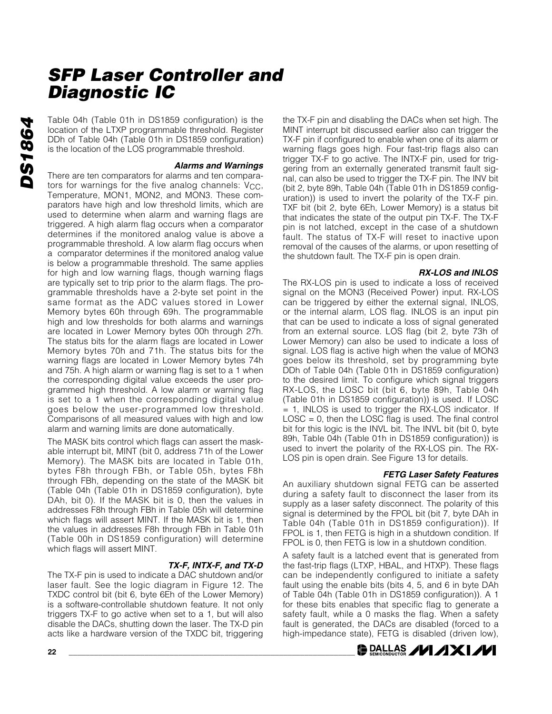Table 04h (Table 01h in DS1859 configuration) is the location of the LTXP programmable threshold. Register DDh of Table 04h (Table 01h in DS1859 configuration) is the location of the LOS programmable threshold.

#### *Alarms and Warnings*

There are ten comparators for alarms and ten comparators for warnings for the five analog channels: V<sub>CC</sub>, Temperature, MON1, MON2, and MON3. These comparators have high and low threshold limits, which are used to determine when alarm and warning flags are triggered. A high alarm flag occurs when a comparator determines if the monitored analog value is above a programmable threshold. A low alarm flag occurs when a comparator determines if the monitored analog value is below a programmable threshold. The same applies for high and low warning flags, though warning flags are typically set to trip prior to the alarm flags. The programmable thresholds have a 2-byte set point in the same format as the ADC values stored in Lower Memory bytes 60h through 69h. The programmable high and low thresholds for both alarms and warnings are located in Lower Memory bytes 00h through 27h. The status bits for the alarm flags are located in Lower Memory bytes 70h and 71h. The status bits for the warning flags are located in Lower Memory bytes 74h and 75h. A high alarm or warning flag is set to a 1 when the corresponding digital value exceeds the user programmed high threshold. A low alarm or warning flag is set to a 1 when the corresponding digital value goes below the user-programmed low threshold. Comparisons of all measured values with high and low alarm and warning limits are done automatically.

The MASK bits control which flags can assert the maskable interrupt bit, MINT (bit 0, address 71h of the Lower Memory). The MASK bits are located in Table 01h, bytes F8h through FBh, or Table 05h, bytes F8h through FBh, depending on the state of the MASK bit (Table 04h (Table 01h in DS1859 configuration), byte DAh, bit 0). If the MASK bit is 0, then the values in addresses F8h through FBh in Table 05h will determine which flags will assert MINT. If the MASK bit is 1, then the values in addresses F8h through FBh in Table 01h (Table 00h in DS1859 configuration) will determine which flags will assert MINT.

#### *TX-F, INTX-F, and TX-D*

The TX-F pin is used to indicate a DAC shutdown and/or laser fault. See the logic diagram in Figure 12. The TXDC control bit (bit 6, byte 6Eh of the Lower Memory) is a software-controllable shutdown feature. It not only triggers TX-F to go active when set to a 1, but will also disable the DACs, shutting down the laser. The TX-D pin acts like a hardware version of the TXDC bit, triggering

**22 \_\_\_\_\_\_\_\_\_\_\_\_\_\_\_\_\_\_\_\_\_\_\_\_\_\_\_\_\_\_\_\_\_\_\_\_\_\_\_\_\_\_\_\_\_\_\_\_\_\_\_\_\_\_\_\_\_\_\_\_\_\_\_\_\_\_\_\_**

the TX-F pin and disabling the DACs when set high. The MINT interrupt bit discussed earlier also can trigger the TX-F pin if configured to enable when one of its alarm or warning flags goes high. Four fast-trip flags also can trigger TX-F to go active. The INTX-F pin, used for triggering from an externally generated transmit fault signal, can also be used to trigger the TX-F pin. The INV bit (bit 2, byte 89h, Table 04h (Table 01h in DS1859 configuration)) is used to invert the polarity of the TX-F pin. TXF bit (bit 2, byte 6Eh, Lower Memory) is a status bit that indicates the state of the output pin TX-F. The TX-F pin is not latched, except in the case of a shutdown fault. The status of TX-F will reset to inactive upon removal of the causes of the alarms, or upon resetting of the shutdown fault. The TX-F pin is open drain.

#### *RX-LOS and INLOS*

The RX-LOS pin is used to indicate a loss of received signal on the MON3 (Received Power) input. RX-LOS can be triggered by either the external signal, INLOS, or the internal alarm, LOS flag. INLOS is an input pin that can be used to indicate a loss of signal generated from an external source. LOS flag (bit 2, byte 73h of Lower Memory) can also be used to indicate a loss of signal. LOS flag is active high when the value of MON3 goes below its threshold, set by programming byte DDh of Table 04h (Table 01h in DS1859 configuration) to the desired limit. To configure which signal triggers RX-LOS, the LOSC bit (bit 6, byte 89h, Table 04h (Table 01h in DS1859 configuration)) is used. If LOSC = 1, INLOS is used to trigger the RX-LOS indicator. If  $LOSC = 0$ , then the LOSC flag is used. The final control bit for this logic is the INVL bit. The INVL bit (bit 0, byte 89h, Table 04h (Table 01h in DS1859 configuration)) is used to invert the polarity of the RX-LOS pin. The RX-LOS pin is open drain. See Figure 13 for details.

#### *FETG Laser Safety Features*

An auxiliary shutdown signal FETG can be asserted during a safety fault to disconnect the laser from its supply as a laser safety disconnect. The polarity of this signal is determined by the FPOL bit (bit 7, byte DAh in Table 04h (Table 01h in DS1859 configuration)). If FPOL is 1, then FETG is high in a shutdown condition. If FPOL is 0, then FETG is low in a shutdown condition.

A safety fault is a latched event that is generated from the fast-trip flags (LTXP, HBAL, and HTXP). These flags can be independently configured to initiate a safety fault using the enable bits (bits 4, 5, and 6 in byte DAh of Table 04h (Table 01h in DS1859 configuration)). A 1 for these bits enables that specific flag to generate a safety fault, while a 0 masks the flag. When a safety fault is generated, the DACs are disabled (forced to a high-impedance state), FETG is disabled (driven low),

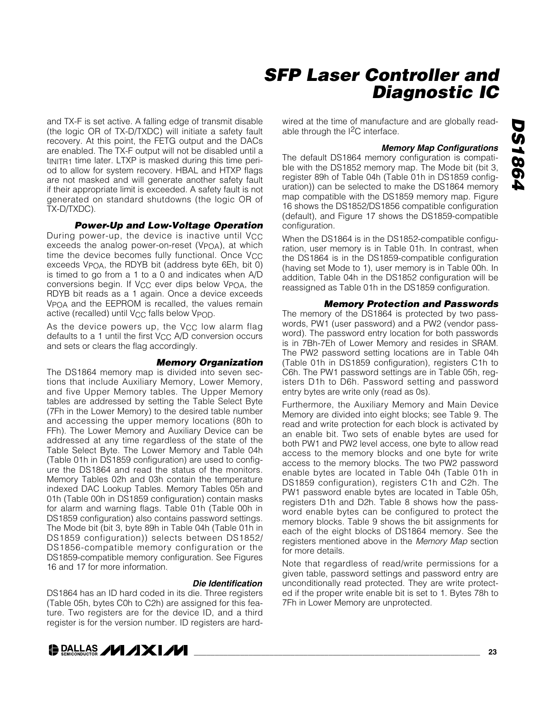# **DS1864** *DS1864*

# *SFP Laser Controller and Diagnostic IC*

and TX-F is set active. A falling edge of transmit disable (the logic OR of TX-D/TXDC) will initiate a safety fault recovery. At this point, the FETG output and the DACs are enabled. The TX-F output will not be disabled until a tinitrent time later. LTXP is masked during this time period to allow for system recovery. HBAL and HTXP flags are not masked and will generate another safety fault if their appropriate limit is exceeded. A safety fault is not generated on standard shutdowns (the logic OR of TX-D/TXDC).

#### *Power-Up and Low-Voltage Operation*

During power-up, the device is inactive until V<sub>CC</sub> exceeds the analog power-on-reset ( $VPOA$ ), at which time the device becomes fully functional. Once  $V_{CC}$ exceeds VPOA, the RDYB bit (address byte 6Eh, bit 0) is timed to go from a 1 to a 0 and indicates when A/D conversions begin. If V<sub>CC</sub> ever dips below V<sub>POA</sub>, the RDYB bit reads as a 1 again. Once a device exceeds V<sub>POA</sub> and the EEPROM is recalled, the values remain active (recalled) until  $V_{CC}$  falls below  $V_{POD}$ .

As the device powers up, the V<sub>CC</sub> low alarm flag defaults to a 1 until the first  $V_{CC}$  A/D conversion occurs and sets or clears the flag accordingly.

#### *Memory Organization*

The DS1864 memory map is divided into seven sections that include Auxiliary Memory, Lower Memory, and five Upper Memory tables. The Upper Memory tables are addressed by setting the Table Select Byte (7Fh in the Lower Memory) to the desired table number and accessing the upper memory locations (80h to FFh). The Lower Memory and Auxiliary Device can be addressed at any time regardless of the state of the Table Select Byte. The Lower Memory and Table 04h (Table 01h in DS1859 configuration) are used to configure the DS1864 and read the status of the monitors. Memory Tables 02h and 03h contain the temperature indexed DAC Lookup Tables. Memory Tables 05h and 01h (Table 00h in DS1859 configuration) contain masks for alarm and warning flags. Table 01h (Table 00h in DS1859 configuration) also contains password settings. The Mode bit (bit 3, byte 89h in Table 04h (Table 01h in DS1859 configuration)) selects between DS1852/ DS1856-compatible memory configuration or the DS1859-compatible memory configuration. See Figures 16 and 17 for more information.

#### *Die Identification*

DS1864 has an ID hard coded in its die. Three registers (Table 05h, bytes C0h to C2h) are assigned for this feature. Two registers are for the device ID, and a third register is for the version number. ID registers are hardwired at the time of manufacture and are globally readable through the I2C interface.

#### *Memory Map Configurations*

The default DS1864 memory configuration is compatible with the DS1852 memory map. The Mode bit (bit 3, register 89h of Table 04h (Table 01h in DS1859 configuration)) can be selected to make the DS1864 memory map compatible with the DS1859 memory map. Figure 16 shows the DS1852/DS1856 compatible configuration (default), and Figure 17 shows the DS1859-compatible configuration.

When the DS1864 is in the DS1852-compatible configuration, user memory is in Table 01h. In contrast, when the DS1864 is in the DS1859-compatible configuration (having set Mode to 1), user memory is in Table 00h. In addition, Table 04h in the DS1852 configuration will be reassigned as Table 01h in the DS1859 configuration.

#### *Memory Protection and Passwords*

The memory of the DS1864 is protected by two passwords, PW1 (user password) and a PW2 (vendor password). The password entry location for both passwords is in 7Bh-7Eh of Lower Memory and resides in SRAM. The PW2 password setting locations are in Table 04h (Table 01h in DS1859 configuration), registers C1h to C6h. The PW1 password settings are in Table 05h, registers D1h to D6h. Password setting and password entry bytes are write only (read as 0s).

Furthermore, the Auxiliary Memory and Main Device Memory are divided into eight blocks; see Table 9. The read and write protection for each block is activated by an enable bit. Two sets of enable bytes are used for both PW1 and PW2 level access, one byte to allow read access to the memory blocks and one byte for write access to the memory blocks. The two PW2 password enable bytes are located in Table 04h (Table 01h in DS1859 configuration), registers C1h and C2h. The PW1 password enable bytes are located in Table 05h, registers D1h and D2h. Table 8 shows how the password enable bytes can be configured to protect the memory blocks. Table 9 shows the bit assignments for each of the eight blocks of DS1864 memory. See the registers mentioned above in the *Memory Map* section for more details.

Note that regardless of read/write permissions for a given table, password settings and password entry are unconditionally read protected. They are write protected if the proper write enable bit is set to 1. Bytes 78h to 7Fh in Lower Memory are unprotected.

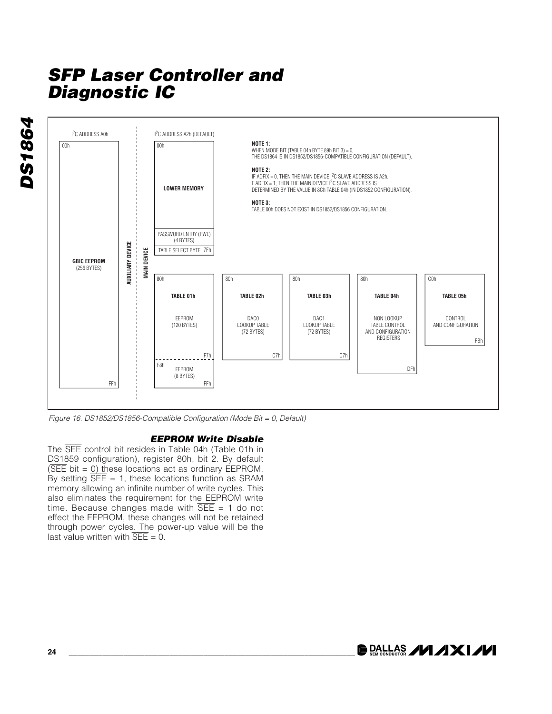**DS1864** *DS1864*



*Figure 16. DS1852/DS1856-Compatible Configuration (Mode Bit = 0, Default)*

#### *EEPROM Write Disable*

The SEE control bit resides in Table 04h (Table 01h in DS1859 configuration), register 80h, bit 2. By default ( $\overline{\text{SEE}}$  bit = 0) these locations act as ordinary EEPROM. By setting  $\overline{\text{SEE}}$  = 1, these locations function as SRAM memory allowing an infinite number of write cycles. This also eliminates the requirement for the EEPROM write time. Because changes made with  $\overline{SEE} = 1$  do not effect the EEPROM, these changes will not be retained through power cycles. The power-up value will be the last value written with  $\overline{\text{SEE}} = 0$ .

**DRALLAS /VI /IXI/VI**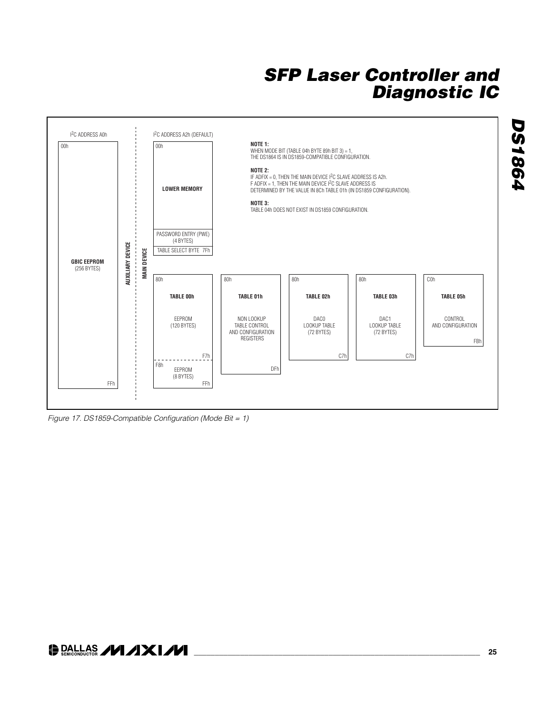



### **DALLAS /VI/IXI/VI**

*DS1864*

**DS1864**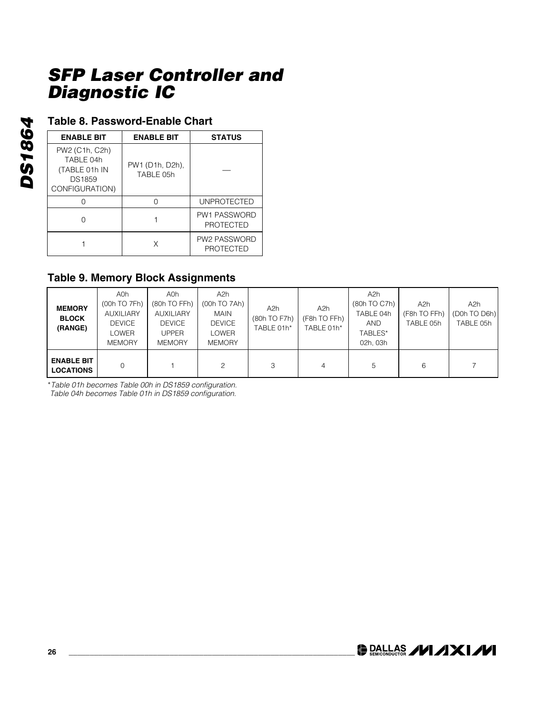### **Table 8. Password-Enable Chart**

| <b>ENABLE BIT</b>                                                               | <b>ENABLE BIT</b>            | <b>STATUS</b>                           |
|---------------------------------------------------------------------------------|------------------------------|-----------------------------------------|
| PW2 (C1h, C2h)<br>TABLE 04h<br>(TABLE 01h IN<br><b>DS1859</b><br>CONFIGURATION) | PW1 (D1h, D2h),<br>TABLE 05h |                                         |
|                                                                                 |                              | <b>UNPROTECTED</b>                      |
|                                                                                 |                              | <b>PW1 PASSWORD</b><br><b>PROTECTED</b> |
|                                                                                 |                              | <b>PW2 PASSWORD</b><br><b>PROTECTED</b> |

### **Table 9. Memory Block Assignments**

| <b>MEMORY</b><br><b>BLOCK</b><br>(RANGE) | A0h<br>(00h TO 7Fh)<br><b>AUXILIARY</b><br><b>DEVICE</b><br>LOWER<br><b>MEMORY</b> | A0h<br>(80h TO FFh)<br><b>AUXILIARY</b><br><b>DEVICE</b><br><b>UPPER</b><br><b>MEMORY</b> | A2h<br>(00h TO 7Ah)<br><b>MAIN</b><br><b>DEVICE</b><br>LOWER<br><b>MEMORY</b> | A2h<br>(80h TO F7h)<br>TABLE 01h* | A2h<br>(F8h TO FFh)<br>TABLE 01h* | A2h<br>(80h TO C7h)<br>TABLE 04h<br><b>AND</b><br>TABLES*<br>02h, 03h | A <sub>2</sub> h<br>(F8h TO FFh)<br>TABLE 05h | A2h<br>(D0h TO D6h)<br>TABLE 05h |
|------------------------------------------|------------------------------------------------------------------------------------|-------------------------------------------------------------------------------------------|-------------------------------------------------------------------------------|-----------------------------------|-----------------------------------|-----------------------------------------------------------------------|-----------------------------------------------|----------------------------------|
| <b>ENABLE BIT</b><br><b>LOCATIONS</b>    | 0                                                                                  |                                                                                           | $\mathcal{D}$                                                                 | 3                                 | 4                                 | 5                                                                     | 6                                             |                                  |

\**Table 01h becomes Table 00h in DS1859 configuration.*

*Table 04h becomes Table 01h in DS1859 configuration.*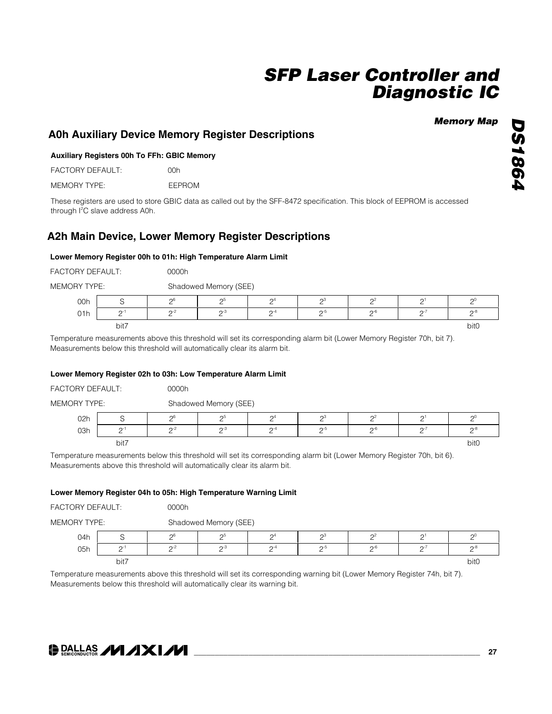#### *Memory Map*

#### **A0h Auxiliary Device Memory Register Descriptions**

#### **Auxiliary Registers 00h To FFh: GBIC Memory**

FACTORY DEFAULT: 00h

MEMORY TYPE: EEPROM

These registers are used to store GBIC data as called out by the SFF-8472 specification. This block of EEPROM is accessed through I<sup>2</sup>C slave address A0h.

#### **A2h Main Device, Lower Memory Register Descriptions**

#### **Lower Memory Register 00h to 01h: High Temperature Alarm Limit**

| <b>FACTORY DEFAULT:</b> | 0000h |
|-------------------------|-------|
|                         |       |

MEMORY TYPE: Shadowed Memory (SEE)

|     |           |        | ________ | _______               |        |           |      |
|-----|-----------|--------|----------|-----------------------|--------|-----------|------|
| 00h |           | nt     |          | $\Omega$ <sup>4</sup> |        | nź        | nι   |
| 01h | $\bigcap$ | $\sim$ | ⌒--′     | $\bigcap -4$          | $\sim$ | $\sim$ -6 | ∩∹   |
|     | bit7      |        |          |                       |        |           | bit0 |

Temperature measurements above this threshold will set its corresponding alarm bit (Lower Memory Register 70h, bit 7). Measurements below this threshold will automatically clear its alarm bit.

#### **Lower Memory Register 02h to 03h: Low Temperature Alarm Limit**

| FACTORY DEFAULT:    |          | 0000h    |                       |                        |                  |                  |         |                  |  |  |
|---------------------|----------|----------|-----------------------|------------------------|------------------|------------------|---------|------------------|--|--|
| <b>MEMORY TYPE:</b> |          |          | Shadowed Memory (SEE) |                        |                  |                  |         |                  |  |  |
| 02h                 |          | 26       | റാ                    | $\mathcal{D}^4$        | റ്റ്             | ∩≚               | ◠       |                  |  |  |
| 03h                 | $\cap$ - | $2^{-2}$ | $\mathcal{D}^{-3}$    | $\mathsf{\Omega}^{-4}$ | $\mathcal{D}$ -5 | $\mathcal{D}$ -6 | $0 - 1$ | $\bigcap -\xi$   |  |  |
|                     | bit7     |          |                       |                        |                  |                  |         | bit <sub>0</sub> |  |  |

Temperature measurements below this threshold will set its corresponding alarm bit (Lower Memory Register 70h, bit 6). Measurements above this threshold will automatically clear its alarm bit.

#### **Lower Memory Register 04h to 05h: High Temperature Warning Limit**

|                                                       |      | 0000h    |                       |                 |     |                  |                       |                  |  |  |
|-------------------------------------------------------|------|----------|-----------------------|-----------------|-----|------------------|-----------------------|------------------|--|--|
| FACTORY DEFAULT:<br><b>MEMORY TYPE:</b><br>04h<br>05h |      |          | Shadowed Memory (SEE) |                 |     |                  |                       |                  |  |  |
|                                                       |      | no       | റാ                    | $\mathcal{D}^4$ | റാ  |                  | $\Omega$ <sup>1</sup> | n                |  |  |
|                                                       |      | $2^{-2}$ | $2^{-3}$              | $2^{-4}$        | ົດ∹ | $\mathcal{D}$ -6 | $\Omega$ -1           | $\mathcal{D}$ -8 |  |  |
|                                                       | bit7 |          |                       |                 |     |                  |                       | bit0             |  |  |

Temperature measurements above this threshold will set its corresponding warning bit (Lower Memory Register 74h, bit 7). Measurements below this threshold will automatically clear its warning bit.

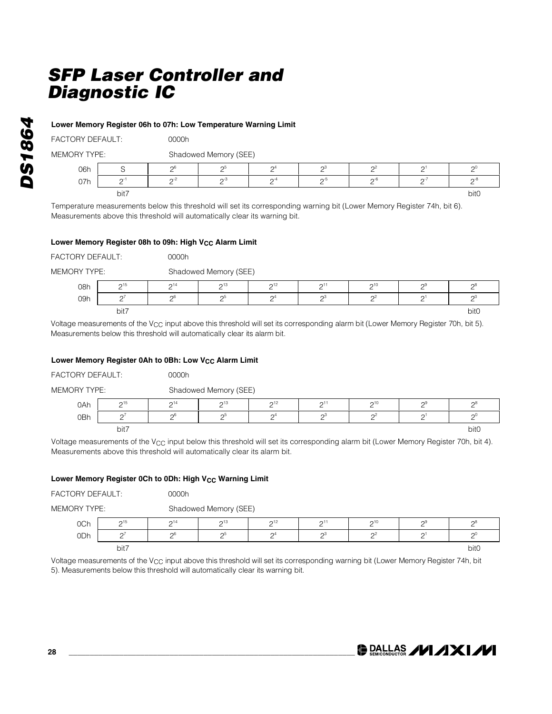#### **Lower Memory Register 06h to 07h: Low Temperature Warning Limit**

| <b>FACTORY DEFAULT:</b> | 0000h |
|-------------------------|-------|
|                         |       |

| <b>MEMORY TYPE:</b> | Shadowed Memory (SEE) |  |
|---------------------|-----------------------|--|

| .   |           |        | $O(n \alpha \beta \gamma \gamma \delta \gamma)$ |              |        |           |  |        |  |  |  |
|-----|-----------|--------|-------------------------------------------------|--------------|--------|-----------|--|--------|--|--|--|
| 06h |           | $\sim$ | റാ                                              | ∩4           | റാ     | Ωż        |  | ∩∪     |  |  |  |
| 07h | $\bigcap$ | $n-2$  | $\sim$                                          | $\bigcap -4$ | $\sim$ | $\cap$ -h |  | $\sim$ |  |  |  |
|     | bit7      |        |                                                 |              |        |           |  | bit0   |  |  |  |

Temperature measurements below this threshold will set its corresponding warning bit (Lower Memory Register 74h, bit 6). Measurements above this threshold will automatically clear its warning bit.

#### Lower Memory Register 08h to 09h: High V<sub>CC</sub> Alarm Limit

| FACTORY DEFAULT: |                        | 0000h           |                       |                     |          |          |        |                  |  |  |  |
|------------------|------------------------|-----------------|-----------------------|---------------------|----------|----------|--------|------------------|--|--|--|
| MEMORY TYPE:     |                        |                 | Shadowed Memory (SEE) |                     |          |          |        |                  |  |  |  |
| 08h              | $\mathsf{\Omega}^{15}$ | $2^{14}$        | $2^{13}$              | 2 <sup>12</sup>     | $2^{11}$ | $2^{10}$ |        | ൗ്               |  |  |  |
| 09h              | $\sim$                 | $\mathcal{D}^6$ | റ്റ                   | $\mathsf{\Omega}^4$ | റ്റ്     | $\Omega$ | $\cap$ | $\Omega$         |  |  |  |
|                  | bit7                   |                 |                       |                     |          |          |        | bit <sub>0</sub> |  |  |  |

Voltage measurements of the V<sub>CC</sub> input above this threshold will set its corresponding alarm bit (Lower Memory Register 70h, bit 5). Measurements below this threshold will automatically clear its alarm bit.

#### Lower Memory Register 0Ah to 0Bh: Low V<sub>CC</sub> Alarm Limit

| FACTORY DEFAULT:    |                        | 0000h    |                       |                       |          |          |        |             |  |  |
|---------------------|------------------------|----------|-----------------------|-----------------------|----------|----------|--------|-------------|--|--|
| <b>MEMORY TYPE:</b> |                        |          | Shadowed Memory (SEE) |                       |          |          |        |             |  |  |
| 0Ah                 | $\mathsf{\Omega}^{15}$ | $2^{14}$ | $2^{13}$              | $2^{12}$              | $2^{11}$ | $2^{10}$ | റാ     | റ്          |  |  |
| 0Bh                 |                        | $\sim$   | റാ                    | $\Omega$ <sup>4</sup> | റാ       |          | $\sim$ | n           |  |  |
|                     | bit7                   |          |                       |                       |          |          |        | <b>bit0</b> |  |  |

Voltage measurements of the V<sub>CC</sub> input below this threshold will set its corresponding alarm bit (Lower Memory Register 70h, bit 4). Measurements above this threshold will automatically clear its alarm bit.

#### Lower Memory Register 0Ch to 0Dh: High V<sub>CC</sub> Warning Limit

| <b>FACTORY DEFAULT:</b> |      | 0000h           |                       |                 |                 |                       |           |                  |  |  |
|-------------------------|------|-----------------|-----------------------|-----------------|-----------------|-----------------------|-----------|------------------|--|--|
| MEMORY TYPE:            |      |                 | Shadowed Memory (SEE) |                 |                 |                       |           |                  |  |  |
| 0Ch                     | 215  | $2^{14}$        | 213                   | 2 <sup>12</sup> | 2 <sup>11</sup> | $2^{10}$              | റ്ട       |                  |  |  |
| 0 <sub>Dh</sub>         |      | $\mathcal{D}^6$ | റാ                    | $\mathcal{L}$   | $\mathsf{D}^3$  | $\Omega$ <sup>2</sup> | $\bigcap$ | $\sim$           |  |  |
|                         | bit7 |                 |                       |                 |                 |                       |           | bit <sub>0</sub> |  |  |

Voltage measurements of the V<sub>CC</sub> input above this threshold will set its corresponding warning bit (Lower Memory Register 74h, bit 5). Measurements below this threshold will automatically clear its warning bit.

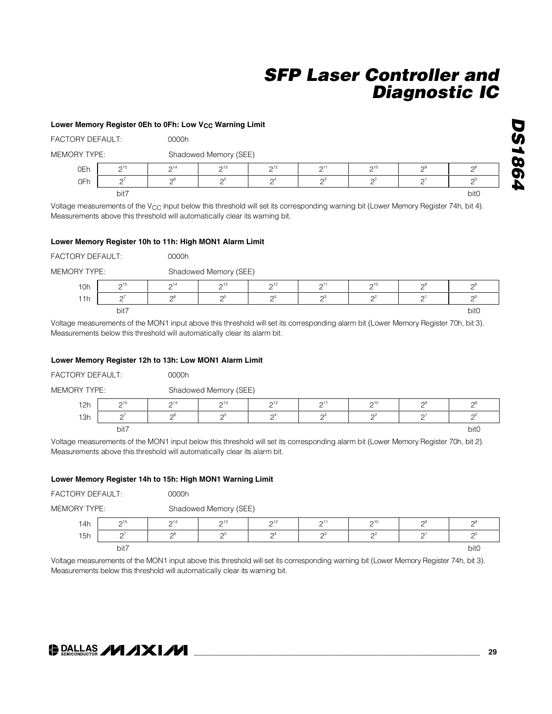### Lower Memory Register 0Eh to 0Fh: Low V<sub>CC</sub> Warning Limit FACTORY DEFAULT: 0000h MEMORY TYPE: Shadowed Memory (SEE) 0Eh | 2<sup>15</sup> | 2<sup>14</sup> | 2<sup>13</sup> | 2<sup>12</sup> | 2<sup>11</sup> | 2<sup>10</sup> | 2<sup>9</sup> | 2<sup>8</sup> 0Fh  $2^7$  2<sup>6</sup> 2<sup>5</sup> 2<sup>4</sup> 2<sup>3</sup> 2<sup>2</sup> 2<sup>2</sup> 2<sup>1</sup> 2<sup>2</sup> bit7 bit0

Voltage measurements of the V<sub>CC</sub> input below this threshold will set its corresponding warning bit (Lower Memory Register 74h, bit 4). Measurements above this threshold will automatically clear its warning bit.

#### **Lower Memory Register 10h to 11h: High MON1 Alarm Limit**

| FACTORY DEFAULT: |      | 0000h    |                                                                                                                                                                                                                               |                       |          |                                                                                                                                                                                    |   |                  |  |  |  |
|------------------|------|----------|-------------------------------------------------------------------------------------------------------------------------------------------------------------------------------------------------------------------------------|-----------------------|----------|------------------------------------------------------------------------------------------------------------------------------------------------------------------------------------|---|------------------|--|--|--|
| MEMORY TYPE:     |      |          | Shadowed Memory (SEE)                                                                                                                                                                                                         |                       |          |                                                                                                                                                                                    |   |                  |  |  |  |
| 10h              | 215  | $2^{14}$ | $2^{13}$                                                                                                                                                                                                                      | $2^{12}$              | $2^{11}$ | $2^{10}$                                                                                                                                                                           | າ |                  |  |  |  |
| 11h              |      | 26       | റാ                                                                                                                                                                                                                            | $\Omega$ <sup>4</sup> | ∩3       |                                                                                                                                                                                    |   |                  |  |  |  |
|                  | bit7 |          |                                                                                                                                                                                                                               |                       |          |                                                                                                                                                                                    |   | bit <sub>0</sub> |  |  |  |
| .                |      |          | . The contract of the contract of the contract of the contract of the contract of the contract of the contract of the contract of the contract of the contract of the contract of the contract of the contract of the contrac |                       |          | the contract of the contract of the contract of the contract of the contract of the contract of the contract of<br>the contract of the contract of the contract of the contract of |   |                  |  |  |  |

Voltage measurements of the MON1 input above this threshold will set its corresponding alarm bit (Lower Memory Register 70h, bit 3). Measurements below this threshold will automatically clear its alarm bit.

#### **Lower Memory Register 12h to 13h: Low MON1 Alarm Limit**

| FACTORY DEFAULT: |           | 0000h    |                       |                       |                 |                |    |                  |  |  |
|------------------|-----------|----------|-----------------------|-----------------------|-----------------|----------------|----|------------------|--|--|
| MEMORY TYPE:     |           |          | Shadowed Memory (SEE) |                       |                 |                |    |                  |  |  |
| 12h              | 215       | $2^{14}$ | 213                   | 2 <sup>12</sup>       | 2 <sup>11</sup> | $2^{10}$       | റാ |                  |  |  |
| 13h              | $\bigcap$ | 26       | 2 <sup>5</sup>        | $\Omega$ <sup>4</sup> | $\mathsf{D}^3$  | $\mathsf{D}^2$ |    |                  |  |  |
|                  | bit7      |          |                       |                       |                 |                |    | bit <sub>0</sub> |  |  |

Voltage measurements of the MON1 input below this threshold will set its corresponding alarm bit (Lower Memory Register 70h, bit 2). Measurements above this threshold will automatically clear its alarm bit.

#### **Lower Memory Register 14h to 15h: High MON1 Warning Limit**

| <b>FACTORY DEFAULT:</b> |          | 0000h          |                       |                 |          |          |     |                  |  |  |
|-------------------------|----------|----------------|-----------------------|-----------------|----------|----------|-----|------------------|--|--|
| MEMORY TYPE:            |          |                | Shadowed Memory (SEE) |                 |          |          |     |                  |  |  |
| 14h                     | $2^{15}$ | $2^{14}$       | $2^{13}$              | 2 <sup>12</sup> | $2^{11}$ | $2^{10}$ | റ്ട |                  |  |  |
| 15h                     | $\cap$   | 2 <sup>6</sup> | റാ                    |                 | റ3       |          | U.  | $\sim$           |  |  |
|                         | bit7     |                |                       |                 |          |          |     | bit <sub>0</sub> |  |  |

Voltage measurements of the MON1 input above this threshold will set its corresponding warning bit (Lower Memory Register 74h, bit 3). Measurements below this threshold will automatically clear its warning bit.



*DS1864*

**DS1864**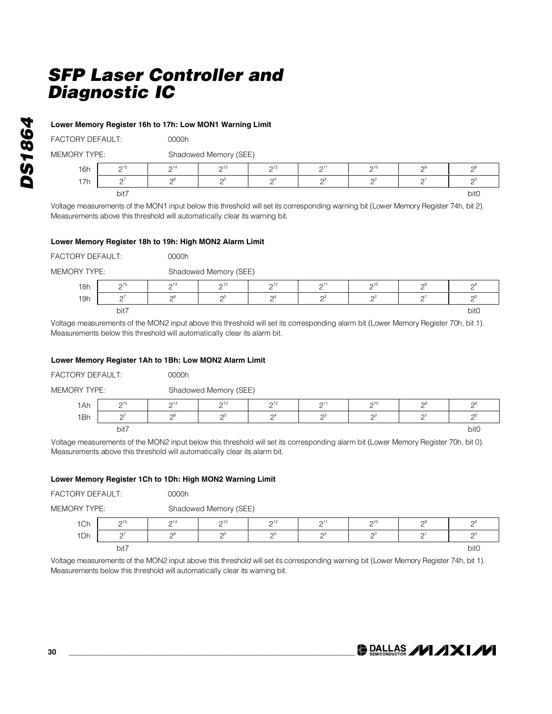#### **Lower Memory Register 16h to 17h: Low MON1 Warning Limit**

FACTORY DEFAULT: 00000h

| <b>MEMORY TYPE:</b> | Shadowed Memory (SEE) |
|---------------------|-----------------------|
|                     |                       |

| <b>16h</b> | $\sim$ 15 | $\bigcap$ 14 | $\bigcap_{13}$ | $\bigcap_{ }^{ }$ | $\bigcap$ <sup>1</sup> | $\sim$ 10 | ⌒Ч | ⌒∺   |
|------------|-----------|--------------|----------------|-------------------|------------------------|-----------|----|------|
| 17h        | n         | $\sim$ 6     | C.             | ∩4                | n3                     | $\Omega$  |    | ∩    |
|            | bit7      |              |                |                   |                        |           |    | bit0 |

Voltage measurements of the MON1 input below this threshold will set its corresponding warning bit (Lower Memory Register 74h, bit 2). Measurements above this threshold will automatically clear its warning bit.

#### **Lower Memory Register 18h to 19h: High MON2 Alarm Limit**

| FACTORY DEFAULT:    |      | 0000h          |                       |                       |                     |          |          |       |  |  |
|---------------------|------|----------------|-----------------------|-----------------------|---------------------|----------|----------|-------|--|--|
| <b>MEMORY TYPE:</b> |      |                | Shadowed Memory (SEE) |                       |                     |          |          |       |  |  |
| 18h                 | 215  | $2^{14}$       | $2^{13}$              | $\mathcal{D}^{12}$    | $2^{11}$            | $2^{10}$ | $2^9$    | റ്റ്  |  |  |
| 19h                 |      | 2 <sup>6</sup> | 2                     | $\Omega$ <sup>4</sup> | $\mathsf{\Omega}^3$ |          | $\Omega$ | $2^0$ |  |  |
|                     | bit7 |                |                       |                       |                     |          |          | bit0  |  |  |

Voltage measurements of the MON2 input above this threshold will set its corresponding alarm bit (Lower Memory Register 70h, bit 1). Measurements below this threshold will automatically clear its alarm bit.

#### **Lower Memory Register 1Ah to 1Bh: Low MON2 Alarm Limit**

| FACTORY DEFAULT:    |           | 0000h    |                       |                     |                     |          |       |                  |  |  |
|---------------------|-----------|----------|-----------------------|---------------------|---------------------|----------|-------|------------------|--|--|
| <b>MEMORY TYPE:</b> |           |          | Shadowed Memory (SEE) |                     |                     |          |       |                  |  |  |
| 1Ah                 | $2^{15}$  | $2^{14}$ | $2^{13}$              | $2^{12}$            | 2 <sup>11</sup>     | $2^{10}$ | $2^9$ |                  |  |  |
| 1Bh                 | $\bigcap$ | ე6       | റാ                    | $\mathsf{\Omega}^4$ | $\mathsf{\Omega}^3$ | ി≃       |       |                  |  |  |
|                     | bit7      |          |                       |                     |                     |          |       | bit <sub>0</sub> |  |  |

Voltage measurements of the MON2 input below this threshold will set its corresponding alarm bit (Lower Memory Register 70h, bit 0). Measurements above this threshold will automatically clear its alarm bit.

#### **Lower Memory Register 1Ch to 1Dh: High MON2 Warning Limit**

| FACTORY DEFAULT:    |                        | 0000h    |                       |          |     |          |                     |                  |
|---------------------|------------------------|----------|-----------------------|----------|-----|----------|---------------------|------------------|
| <b>MEMORY TYPE:</b> |                        |          | Shadowed Memory (SEE) |          |     |          |                     |                  |
| 1Ch                 | $\mathsf{\Omega}^{15}$ | $2^{14}$ | $2^{13}$              | $2^{12}$ | 211 | 210      | റൗ                  | ∩≀               |
| 1Dh                 | $\sim$                 | 26       | 2                     |          |     | $\Omega$ | $\mathsf{\Omega}^1$ | $\cap$           |
|                     | bit7                   |          |                       |          |     |          |                     | bit <sub>0</sub> |

Voltage measurements of the MON2 input above this threshold will set its corresponding warning bit (Lower Memory Register 74h, bit 1). Measurements below this threshold will automatically clear its warning bit.

*DS1864*

**DS1864**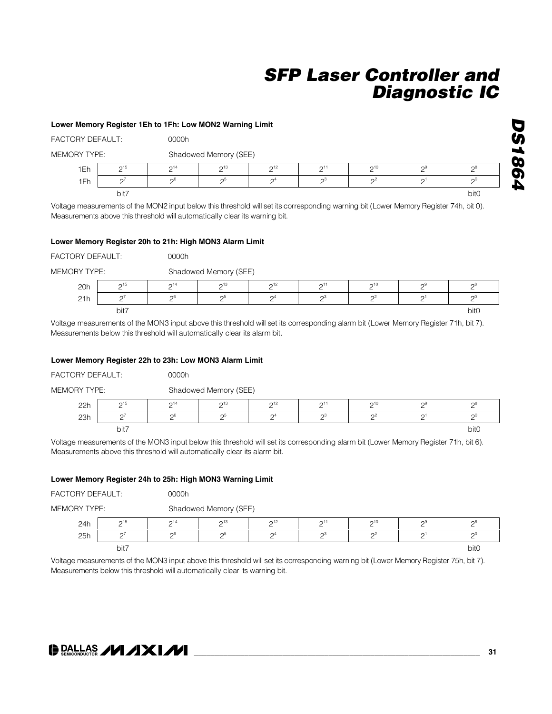#### **Lower Memory Register 1Eh to 1Fh: Low MON2 Warning Limit**

| FACTORY DEFAULT: |           | 0000h    |                       |                       |                 |          |    |        |  |  |
|------------------|-----------|----------|-----------------------|-----------------------|-----------------|----------|----|--------|--|--|
| MEMORY TYPE:     |           |          | Shadowed Memory (SEE) |                       |                 |          |    |        |  |  |
| 1Eh              | $\sim$ 15 | $2^{14}$ | $2^{13}$              | 2 <sup>12</sup>       | 2 <sup>11</sup> | $2^{10}$ | റൗ |        |  |  |
| 1Fh              |           | 26       | റാ                    | $\Omega$ <sup>4</sup> | റാ              |          | ∩∃ | $\cap$ |  |  |
|                  | bit7      |          |                       |                       |                 |          |    | bit0   |  |  |

Voltage measurements of the MON2 input below this threshold will set its corresponding warning bit (Lower Memory Register 74h, bit 0). Measurements above this threshold will automatically clear its warning bit.

#### **Lower Memory Register 20h to 21h: High MON3 Alarm Limit**

| FACTORY DEFAULT: |          | 0000h    |                       |                     |          |          |                     |      |
|------------------|----------|----------|-----------------------|---------------------|----------|----------|---------------------|------|
| MEMORY TYPE:     |          |          | Shadowed Memory (SEE) |                     |          |          |                     |      |
| 20h              | $2^{15}$ | $2^{14}$ | $2^{13}$              | $2^{12}$            | $2^{11}$ | $2^{10}$ | റ്ട                 | າ    |
| 21h              |          | ენ       | ინ                    | $\mathsf{\Omega}^4$ | റാ       | $\Omega$ | $\cap$ <sup>1</sup> | ∩    |
|                  | bit7     |          |                       |                     |          |          |                     | bit0 |
|                  |          |          |                       |                     |          |          |                     |      |

Voltage measurements of the MON3 input above this threshold will set its corresponding alarm bit (Lower Memory Register 71h, bit 7). Measurements below this threshold will automatically clear its alarm bit.

#### **Lower Memory Register 22h to 23h: Low MON3 Alarm Limit**

| FACTORY DEFAULT: |           | 0000h           |                       |                 |                        |          |                 |      |
|------------------|-----------|-----------------|-----------------------|-----------------|------------------------|----------|-----------------|------|
| MEMORY TYPE:     |           |                 | Shadowed Memory (SEE) |                 |                        |          |                 |      |
| 22h              | $2^{15}$  | $2^{14}$        | $2^{13}$              | $2^{12}$        | $\Omega$ <sup>11</sup> | $2^{10}$ | $\mathcal{D}^9$ |      |
| 23h              | $\bigcap$ | $\mathcal{D}^6$ | റാ                    | $\mathcal{D}^4$ | റ3                     | ລະ       | $\Omega$        |      |
|                  | bit7      |                 |                       |                 |                        |          |                 | bit0 |

Voltage measurements of the MON3 input below this threshold will set its corresponding alarm bit (Lower Memory Register 71h, bit 6). Measurements above this threshold will automatically clear its alarm bit.

#### **Lower Memory Register 24h to 25h: High MON3 Warning Limit**

| FACTORY DEFAULT: |          | 0000h    |                       |                       |          |          |    |        |  |  |
|------------------|----------|----------|-----------------------|-----------------------|----------|----------|----|--------|--|--|
| MEMORY TYPE:     |          |          | Shadowed Memory (SEE) |                       |          |          |    |        |  |  |
| 24h              | $2^{15}$ | $2^{14}$ | $2^{13}$              | $2^{12}$              | $2^{11}$ | $2^{10}$ | າະ |        |  |  |
| 25h              | $\cap$   | _ე6      | റാ                    | $\Omega$ <sup>4</sup> | പ്       |          | ωı | $\cap$ |  |  |
|                  | bit7     |          |                       |                       |          |          |    | bit0   |  |  |

Voltage measurements of the MON3 input above this threshold will set its corresponding warning bit (Lower Memory Register 75h, bit 7). Measurements below this threshold will automatically clear its warning bit.



**DS1864** *DS1864*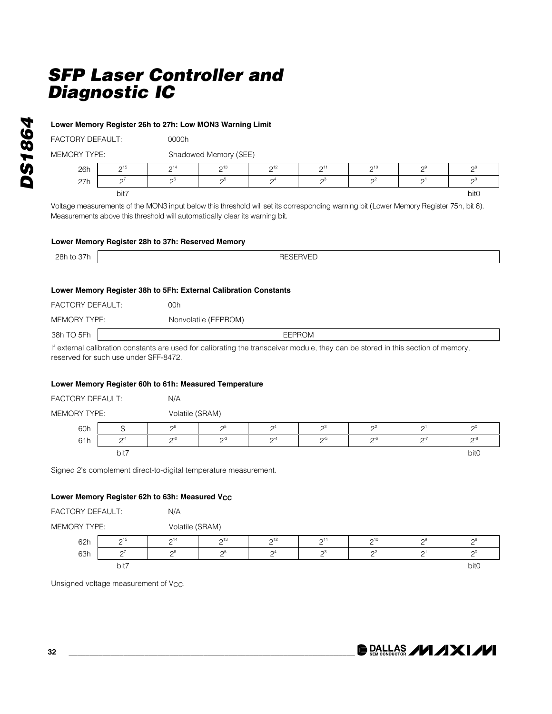#### **Lower Memory Register 26h to 27h: Low MON3 Warning Limit**

FACTORY DEFAULT: 00000h

MEMORY TYPE: Shadowed Memory (SEE)

|     |                    |                               | $5.885158115117$ , $0 = -7$ |                               |                               |                               |          |                     |
|-----|--------------------|-------------------------------|-----------------------------|-------------------------------|-------------------------------|-------------------------------|----------|---------------------|
| 26h | $\bigcap_{ }$ 15   | $\bigcap$ 14                  | $\bigcap_{13}$              | $\bigcap_{12}$                | $\bigcap_{ }$                 | $\bigcap_{ }^{10}$            | $\Omega$ | $\mathsf{\Omega}^8$ |
| 27h | $\sim$<br><u>—</u> | $\bigcap_{i=1}^n$<br><u>—</u> | റാ<br><u>—</u>              | $\bigcap_{i=1}^n$<br><u>—</u> | ω<br>$\overline{\phantom{0}}$ | $\overline{\phantom{0}}$<br>— | —        | ∩<br><u>—</u>       |
|     | bit7               |                               |                             |                               |                               |                               |          | bit0                |

Voltage measurements of the MON3 input below this threshold will set its corresponding warning bit (Lower Memory Register 75h, bit 6). Measurements above this threshold will automatically clear its warning bit.

#### **Lower Memory Register 28h to 37h: Reserved Memory**

| つつい   |                 |
|-------|-----------------|
| 28h   | DECEDVED.       |
| 1 / ت | <b>RESERVED</b> |
| w     | <del>or</del>   |
|       |                 |

#### **Lower Memory Register 38h to 5Fh: External Calibration Constants**

| FACTORY DEFAULT: | 00h                  |
|------------------|----------------------|
| MEMORY TYPE:     | Nonvolatile (EEPROM) |
| 38h TO 5Fh       | <b>EEPROM</b>        |

If external calibration constants are used for calibrating the transceiver module, they can be stored in this section of memory, reserved for such use under SFF-8472.

#### **Lower Memory Register 60h to 61h: Measured Temperature**

| <b>FACTORY DEFAULT:</b> | N/A             |
|-------------------------|-----------------|
| MEMORY TYPE:            | Volatile (SRAM) |

| 60h | $\overline{\phantom{0}}$ | $\bigcap_{i=1}^n$ | C.            | $\Omega$ <sup>4</sup> | $\sim$ | C.                    | n      | пl     |
|-----|--------------------------|-------------------|---------------|-----------------------|--------|-----------------------|--------|--------|
| 61h | ∩-<br>-                  | $\sim$            | $\sim$<br>n-3 | $\sim$ -4<br>-        | $\sim$ | $\cap$ -t<br><u>—</u> | $\sim$ | $\sim$ |
|     | bit7                     |                   |               |                       |        |                       |        | bit0   |

Signed 2's complement direct-to-digital temperature measurement.

#### **Lower Memory Register 62h to 63h: Measured V<sub>CC</sub>**

| <b>FACTORY DEFAULT:</b> |      | N/A             |                 |                       |                       |        |                     |      |  |
|-------------------------|------|-----------------|-----------------|-----------------------|-----------------------|--------|---------------------|------|--|
| MEMORY TYPE:            |      |                 | Volatile (SRAM) |                       |                       |        |                     |      |  |
| 62h                     | 215  | 2 <sup>14</sup> | 213             | 2 <sup>12</sup>       | $\Omega$ <sup>1</sup> | 210    | ຕະ                  |      |  |
| 63h                     |      | 26              | റ്              | $\Omega$ <sup>4</sup> | ഹ്                    | $\sim$ | $\mathsf{\Omega}^1$ | ω    |  |
|                         | bit7 |                 |                 |                       |                       |        |                     | bit0 |  |

Unsigned voltage measurement of V<sub>CC</sub>.

**DRALLAS /VI /IXI/VI**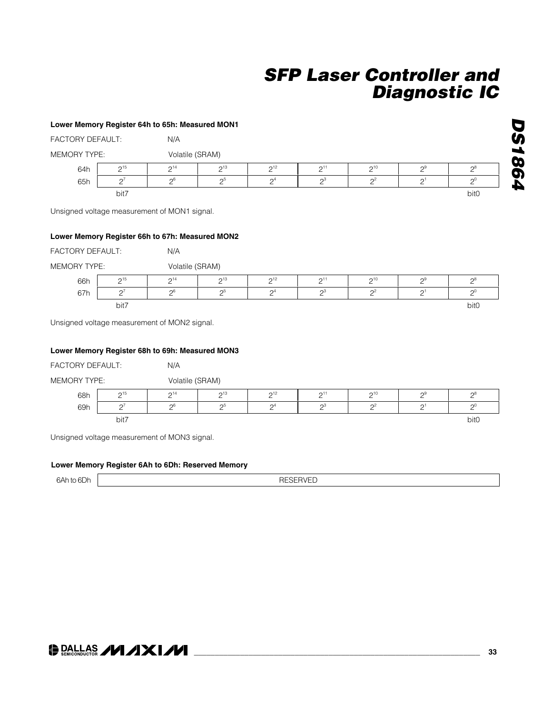#### **Lower Memory Register 64h to 65h: Measured MON1**

| FACTORY DEFAULT:<br>N/A |                        |                 |          |                       |           |                       |                 |          |
|-------------------------|------------------------|-----------------|----------|-----------------------|-----------|-----------------------|-----------------|----------|
| <b>MEMORY TYPE:</b>     |                        | Volatile (SRAM) |          |                       |           |                       |                 |          |
| 64h                     | $\mathsf{\Omega}^{15}$ | $2^{14}$        | $2^{13}$ | $2^{12}$              | $\bigcap$ | $2^{10}$              | $\mathcal{D}^9$ | $2^8$    |
| 65h                     | $\cap$                 | $\sim$          | റാ       | $\Omega$ <sup>4</sup> | റാ        | $\Omega$ <sup>2</sup> | $\bigcap$       | $\Omega$ |
|                         | bit7                   |                 |          |                       |           |                       |                 | bit0     |

Unsigned voltage measurement of MON1 signal.

#### **Lower Memory Register 66h to 67h: Measured MON2**

FACTORY DEFAULT: N/A

MEMORY TYPE: Volatile (SRAM)

| 66h | $\bigcap_{ }$ 15<br><u>—</u> | $\bigcap$ 14       | $\sim$ 13      | $\bigcap_{12}$<br>- | $\sim$ 1<br><u>. </u> | $\bigcap_{ }^{ }$<br><u>_</u> | $\sim$ | ∩ະ   |
|-----|------------------------------|--------------------|----------------|---------------------|-----------------------|-------------------------------|--------|------|
| 67h | $\sim$                       | $\cap$<br><u>_</u> | C.<br><u>.</u> | $\mathsf{\Omega}^4$ | n3<br><u>_</u>        | $\sim$<br><u>_</u>            | ⌒      | n    |
|     | bit7                         |                    |                |                     |                       |                               |        | bit0 |

Unsigned voltage measurement of MON2 signal.

#### **Lower Memory Register 68h to 69h: Measured MON3**

| FACTORY DEFAULT:                       |          | N/A            |                |                 |                   |                 |                 |      |
|----------------------------------------|----------|----------------|----------------|-----------------|-------------------|-----------------|-----------------|------|
| Volatile (SRAM)<br><b>MEMORY TYPE:</b> |          |                |                |                 |                   |                 |                 |      |
| 68h                                    | 215      | $2^{14}$       | $\bigcap_{13}$ | 2 <sup>12</sup> | $\mathsf{D}^{11}$ | 2 <sup>10</sup> | റാ              |      |
| 69h                                    | $\Omega$ | 2 <sup>6</sup> | 2 <sub>5</sub> | $\mathcal{D}^4$ | $2^3$             | $\mathcal{D}^2$ | $\mathcal{D}^1$ | ∩    |
|                                        | bit7     |                |                |                 |                   |                 |                 | bit0 |

Unsigned voltage measurement of MON3 signal.

#### **Lower Memory Register 6Ah to 6Dh: Reserved Memory**

6Ah to 6Dh **h** RESERVED



### **DALLAS /VI /IXI/VI**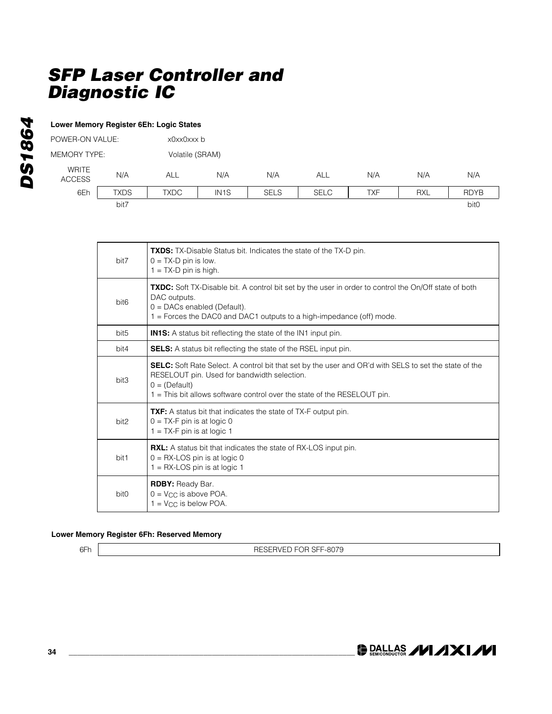#### **Lower Memory Register 6Eh: Logic States**

| POWER-ON VALUE:        |             |             | x0xx0xxx b        |             |             |     |            |             |  |
|------------------------|-------------|-------------|-------------------|-------------|-------------|-----|------------|-------------|--|
| <b>MEMORY TYPE:</b>    |             |             | Volatile (SRAM)   |             |             |     |            |             |  |
| WRITE<br><b>ACCESS</b> | N/A         | ALL         | N/A               | N/A         | ALL         | N/A | N/A        | N/A         |  |
| 6Eh                    | <b>TXDS</b> | <b>TXDC</b> | IN <sub>1</sub> S | <b>SELS</b> | <b>SELC</b> | TXF | <b>RXL</b> | <b>RDYB</b> |  |
|                        | bit7        |             |                   |             |             |     |            | bit0        |  |

| bit7             | <b>TXDS:</b> TX-Disable Status bit. Indicates the state of the TX-D pin.<br>$0 = TX-D$ pin is low.<br>$1 = TX-D$ pin is high.                                                                                                                              |
|------------------|------------------------------------------------------------------------------------------------------------------------------------------------------------------------------------------------------------------------------------------------------------|
| bit <sub>6</sub> | TXDC: Soft TX-Disable bit. A control bit set by the user in order to control the On/Off state of both<br>DAC outputs.<br>$0 = DACs$ enabled (Default).<br>$1 =$ Forces the DAC0 and DAC1 outputs to a high-impedance (off) mode.                           |
| bit <sub>5</sub> | <b>IN1S:</b> A status bit reflecting the state of the IN1 input pin.                                                                                                                                                                                       |
| bit4             | <b>SELS:</b> A status bit reflecting the state of the RSEL input pin.                                                                                                                                                                                      |
| bit3             | <b>SELC:</b> Soft Rate Select. A control bit that set by the user and OR'd with SELS to set the state of the<br>RESELOUT pin. Used for bandwidth selection.<br>$0 = (Default)$<br>1 = This bit allows software control over the state of the RESELOUT pin. |
| bit <sub>2</sub> | <b>TXF:</b> A status bit that indicates the state of TX-F output pin.<br>$0 = TX-F$ pin is at logic 0<br>$1 = TX-F$ pin is at logic 1                                                                                                                      |
| bit1             | RXL: A status bit that indicates the state of RX-LOS input pin.<br>$0 = RX$ -LOS pin is at logic 0<br>$1 = RX$ -LOS pin is at logic 1                                                                                                                      |
| bit <sub>0</sub> | <b>RDBY: Ready Bar.</b><br>$0 = V_{CC}$ is above POA.<br>$1 = V_{CC}$ is below POA.                                                                                                                                                                        |

#### **Lower Memory Register 6Fh: Reserved Memory**

6Fh | RESERVED FOR SFF-8079

DS1864 *DS1864*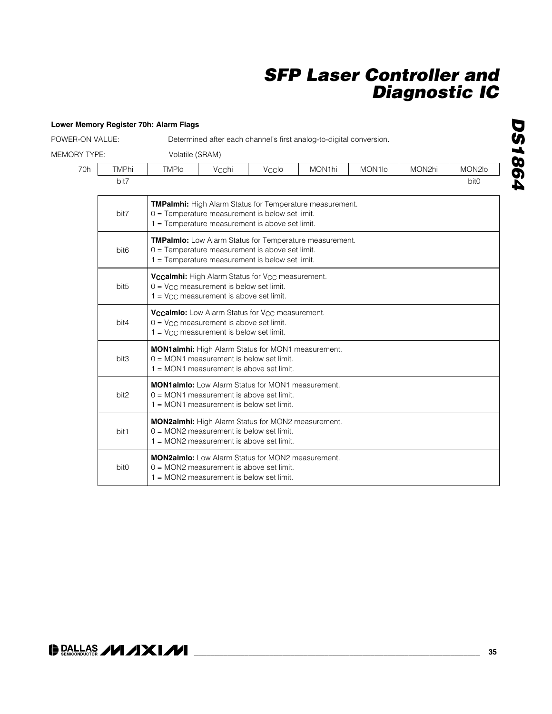| POWER-ON VALUE:     |                  |                                                                                                                                                                         |                                                                                                                                                                      |       | Determined after each channel's first analog-to-digital conversion. |                     |        |        |  |  |  |  |
|---------------------|------------------|-------------------------------------------------------------------------------------------------------------------------------------------------------------------------|----------------------------------------------------------------------------------------------------------------------------------------------------------------------|-------|---------------------------------------------------------------------|---------------------|--------|--------|--|--|--|--|
| <b>MEMORY TYPE:</b> |                  | Volatile (SRAM)                                                                                                                                                         |                                                                                                                                                                      |       |                                                                     |                     |        |        |  |  |  |  |
| 70h                 | <b>TMPhi</b>     | <b>TMPIo</b>                                                                                                                                                            | Vcchi                                                                                                                                                                | Vcclo | MON1hi                                                              | MON <sub>1</sub> lo | MON2hi | MON2lo |  |  |  |  |
|                     | bit7             |                                                                                                                                                                         | bit <sub>0</sub>                                                                                                                                                     |       |                                                                     |                     |        |        |  |  |  |  |
|                     | bit7             | <b>TMPalmhi:</b> High Alarm Status for Temperature measurement.<br>$0 =$ Temperature measurement is below set limit.<br>1 = Temperature measurement is above set limit. |                                                                                                                                                                      |       |                                                                     |                     |        |        |  |  |  |  |
|                     | bit <sub>6</sub> |                                                                                                                                                                         | <b>TMPalmlo:</b> Low Alarm Status for Temperature measurement.<br>0 = Temperature measurement is above set limit.<br>1 = Temperature measurement is below set limit. |       |                                                                     |                     |        |        |  |  |  |  |
|                     | bit <sub>5</sub> | Vccalmhi: High Alarm Status for V <sub>CC</sub> measurement.<br>$0 = V_{CC}$ measurement is below set limit.<br>$1 = V_{CC}$ measurement is above set limit.            |                                                                                                                                                                      |       |                                                                     |                     |        |        |  |  |  |  |
|                     | bit4             | Vccalmlo: Low Alarm Status for V <sub>CC</sub> measurement.<br>$0 = V_{CC}$ measurement is above set limit.<br>$1 = V_{CC}$ measurement is below set limit.             |                                                                                                                                                                      |       |                                                                     |                     |        |        |  |  |  |  |
|                     | bit3             |                                                                                                                                                                         | MON1almhi: High Alarm Status for MON1 measurement.<br>$0 = MON1$ measurement is below set limit.<br>1 = MON1 measurement is above set limit.                         |       |                                                                     |                     |        |        |  |  |  |  |
|                     | bit2             |                                                                                                                                                                         | <b>MON1almio:</b> Low Alarm Status for MON1 measurement.<br>$0 = MON1$ measurement is above set limit.<br>$1 = MON1$ measurement is below set limit.                 |       |                                                                     |                     |        |        |  |  |  |  |
|                     | bit1             |                                                                                                                                                                         | MON2almhi: High Alarm Status for MON2 measurement.<br>$0 = MON2$ measurement is below set limit.<br>1 = MON2 measurement is above set limit.                         |       |                                                                     |                     |        |        |  |  |  |  |
|                     | bit <sub>0</sub> | <b>MON2almlo:</b> Low Alarm Status for MON2 measurement.<br>$0 = MON2$ measurement is above set limit.<br>1 = MON2 measurement is below set limit.                      |                                                                                                                                                                      |       |                                                                     |                     |        |        |  |  |  |  |

### **\_\_\_\_\_\_\_\_\_\_\_\_\_\_\_\_\_\_\_\_\_\_\_\_\_\_\_\_\_\_\_\_\_\_\_\_\_\_\_\_\_\_\_\_\_\_\_\_\_\_\_\_\_\_\_\_\_\_\_\_\_\_\_\_\_\_\_\_ 35**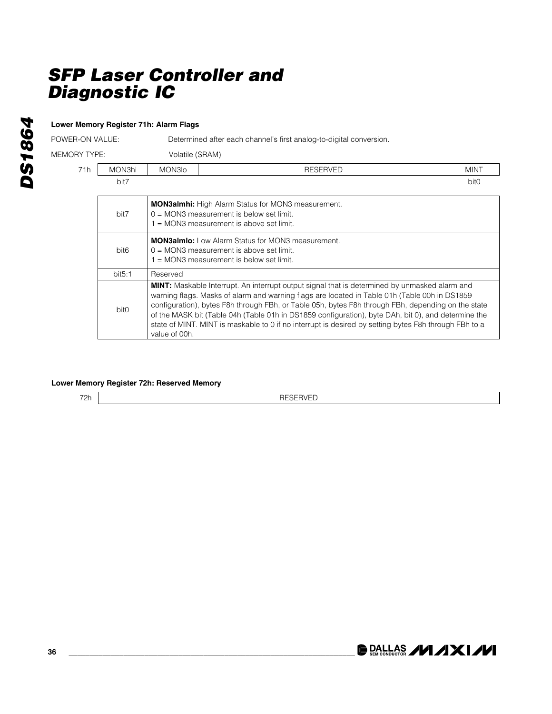#### **Lower Memory Register 71h: Alarm Flags**

POWER-ON VALUE: Determined after each channel's first analog-to-digital conversion.

MEMORY TYPE: Volatile (SRAM)

| Volotilo (CDAM) |  |  |
|-----------------|--|--|

| 71h | MON3hi           | MON3 <sub>lo</sub>                                                                                                                                   | <b>RESERVED</b>                                                                                                                                                                                                                                                                                                                                                                                                                                                                                                             | <b>MINT</b>      |  |  |  |  |  |
|-----|------------------|------------------------------------------------------------------------------------------------------------------------------------------------------|-----------------------------------------------------------------------------------------------------------------------------------------------------------------------------------------------------------------------------------------------------------------------------------------------------------------------------------------------------------------------------------------------------------------------------------------------------------------------------------------------------------------------------|------------------|--|--|--|--|--|
|     | bit7             |                                                                                                                                                      |                                                                                                                                                                                                                                                                                                                                                                                                                                                                                                                             | bit <sub>0</sub> |  |  |  |  |  |
|     | bit7             |                                                                                                                                                      | <b>MON3almhi:</b> High Alarm Status for MON3 measurement.<br>$0 = MON3$ measurement is below set limit.<br>$1 = MON3$ measurement is above set limit.                                                                                                                                                                                                                                                                                                                                                                       |                  |  |  |  |  |  |
|     | bit <sub>6</sub> | <b>MON3almio:</b> Low Alarm Status for MON3 measurement.<br>$0 = MON3$ measurement is above set limit.<br>$1 = MON3$ measurement is below set limit. |                                                                                                                                                                                                                                                                                                                                                                                                                                                                                                                             |                  |  |  |  |  |  |
|     | bit5:1           | Reserved                                                                                                                                             |                                                                                                                                                                                                                                                                                                                                                                                                                                                                                                                             |                  |  |  |  |  |  |
|     | bit <sub>0</sub> | value of 00h.                                                                                                                                        | <b>MINT:</b> Maskable Interrupt. An interrupt output signal that is determined by unmasked alarm and<br>warning flags. Masks of alarm and warning flags are located in Table 01h (Table 00h in DS1859<br>configuration), bytes F8h through FBh, or Table 05h, bytes F8h through FBh, depending on the state<br>of the MASK bit (Table 04h (Table 01h in DS1859 configuration), byte DAh, bit 0), and determine the<br>state of MINT. MINT is maskable to 0 if no interrupt is desired by setting bytes F8h through FBh to a |                  |  |  |  |  |  |

#### **Lower Memory Register 72h: Reserved Memory**

72h RESERVED

**DS1864** *DS1864*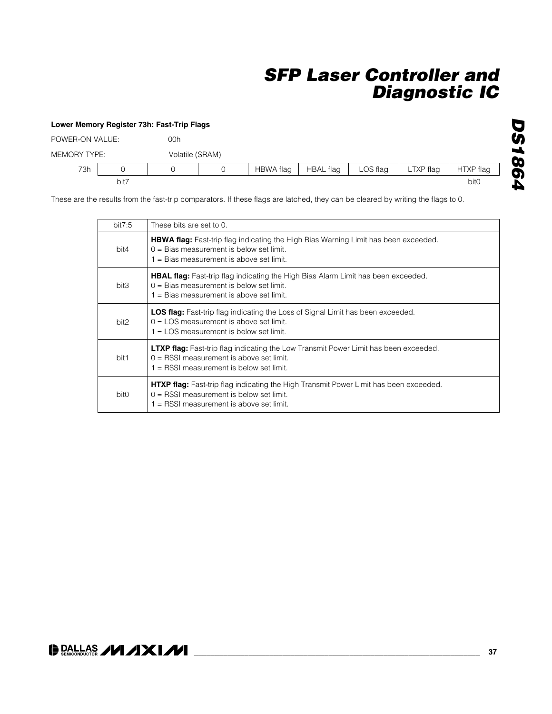### **Lower Memory Register 73h: Fast-Trip Flags** POWER-ON VALUE: 00h MEMORY TYPE: Volatile (SRAM) 73h | 0 | 0 | 0 | HBWA flag | HBAL flag | LOS flag | LTXP flag | HTXP flag bit7 bit0

These are the results from the fast-trip comparators. If these flags are latched, they can be cleared by writing the flags to 0.

| bit7.5           | These bits are set to 0.                                                                                                                                                                |
|------------------|-----------------------------------------------------------------------------------------------------------------------------------------------------------------------------------------|
| bit4             | <b>HBWA flag:</b> Fast-trip flag indicating the High Bias Warning Limit has been exceeded.<br>$0 = Bias$ measurement is below set limit.<br>1 = Bias measurement is above set limit.    |
| bit3             | <b>HBAL flag:</b> Fast-trip flag indicating the High Bias Alarm Limit has been exceeded.<br>$0 = Bias$ measurement is below set limit.<br>$1 =$ Bias measurement is above set limit.    |
| bit <sub>2</sub> | <b>LOS flag:</b> Fast-trip flag indicating the Loss of Signal Limit has been exceeded.<br>$0 =$ LOS measurement is above set limit.<br>$1 =$ LOS measurement is below set limit.        |
| bit1             | <b>LTXP flag:</b> Fast-trip flag indicating the Low Transmit Power Limit has been exceeded.<br>$0 =$ RSSI measurement is above set limit.<br>$1 =$ RSSI measurement is below set limit. |
| bit <sub>0</sub> | <b>HTXP flag:</b> Fast-trip flag indicating the High Transmit Power Limit has been exceeded.<br>$0 =$ RSSI measurement is below set limit.<br>1 = RSSI measurement is above set limit.  |

# **DS1864** *DS1864*

### **DALLAS /VI/IXI/VI**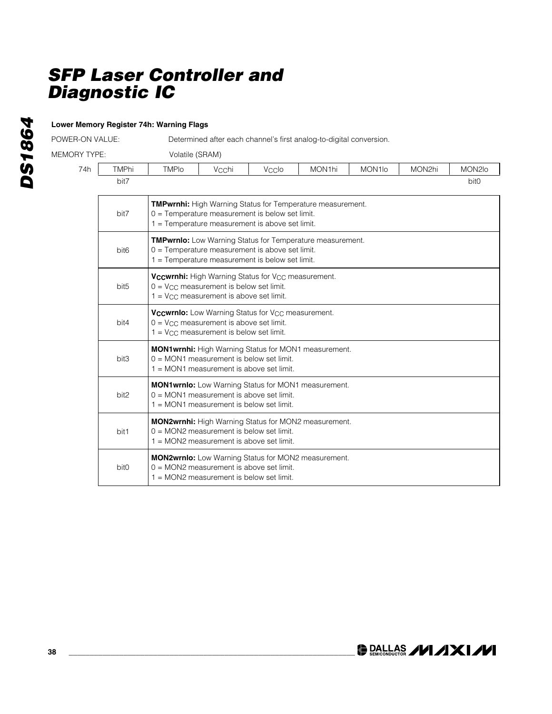### **Lower Memory Register 74h: Warning Flags**

POWER-ON VALUE: Determined after each channel's first analog-to-digital conversion.

MEMORY TYPE: Volatile (SRAM)

| <b>TMPhi</b>     | <b>TMPIo</b>                                                                                                                                                              | Vcchi                                                                                                                                                         | Vcclo | MON1hi                                                      | MON <sub>1lo</sub> | MON2hi | MON2lo           |
|------------------|---------------------------------------------------------------------------------------------------------------------------------------------------------------------------|---------------------------------------------------------------------------------------------------------------------------------------------------------------|-------|-------------------------------------------------------------|--------------------|--------|------------------|
| bit7             |                                                                                                                                                                           |                                                                                                                                                               |       |                                                             |                    |        | bit <sub>0</sub> |
| bit7             | <b>TMPwrnhi:</b> High Warning Status for Temperature measurement.<br>$0 =$ Temperature measurement is below set limit.<br>1 = Temperature measurement is above set limit. |                                                                                                                                                               |       |                                                             |                    |        |                  |
| bit <sub>6</sub> | <b>TMPwrnlo:</b> Low Warning Status for Temperature measurement.<br>0 = Temperature measurement is above set limit.<br>$1 =$ Temperature measurement is below set limit.  |                                                                                                                                                               |       |                                                             |                    |        |                  |
| bit <sub>5</sub> | Vccwrnhi: High Warning Status for V <sub>CC</sub> measurement.<br>$0 = V_{CC}$ measurement is below set limit.<br>$1 = V_{CC}$ measurement is above set limit.            |                                                                                                                                                               |       |                                                             |                    |        |                  |
| bit4             |                                                                                                                                                                           | Vccwrnlo: Low Warning Status for V <sub>CC</sub> measurement.<br>$0 = V_{CC}$ measurement is above set limit.<br>$1 = V_{CC}$ measurement is below set limit. |       |                                                             |                    |        |                  |
| bit3             |                                                                                                                                                                           | MON1wrnhi: High Warning Status for MON1 measurement.<br>$0 = MOM1$ measurement is below set limit.<br>1 = MON1 measurement is above set limit.                |       |                                                             |                    |        |                  |
| bit2             |                                                                                                                                                                           | $0 = MON1$ measurement is above set limit.<br>$1 = MON1$ measurement is below set limit.                                                                      |       | MON1wrnlo: Low Warning Status for MON1 measurement.         |                    |        |                  |
| bit1             |                                                                                                                                                                           | $0 = MON2$ measurement is below set limit.<br>1 = MON2 measurement is above set limit.                                                                        |       | <b>MON2wrnhi:</b> High Warning Status for MON2 measurement. |                    |        |                  |
| bit0             |                                                                                                                                                                           | $0 = MON2$ measurement is above set limit.<br>1 = MON2 measurement is below set limit.                                                                        |       | <b>MON2wrnlo:</b> Low Warning Status for MON2 measurement.  |                    |        |                  |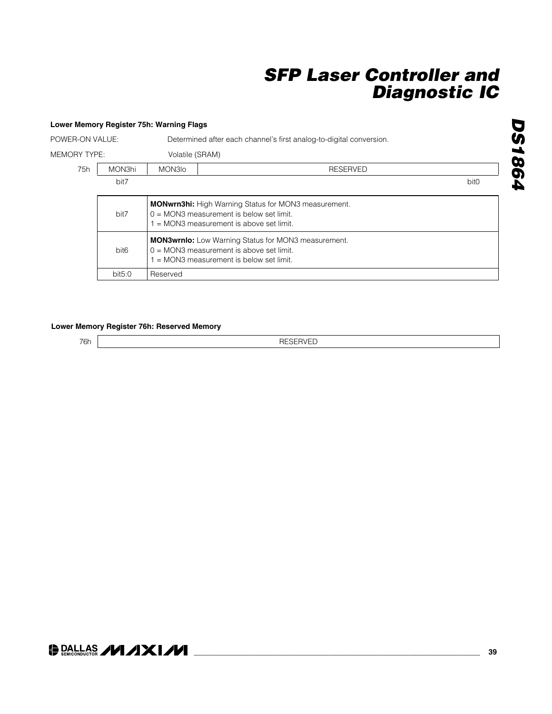|                 |                  | Lower Memory Register 75h: Warning Flags |                                                                                                                                                       |                  |
|-----------------|------------------|------------------------------------------|-------------------------------------------------------------------------------------------------------------------------------------------------------|------------------|
| POWER-ON VALUE: |                  |                                          | Determined after each channel's first analog-to-digital conversion.                                                                                   |                  |
| MEMORY TYPE:    |                  | Volatile (SRAM)                          |                                                                                                                                                       |                  |
| 75h             | MON3hi           | MON3Io                                   | <b>RESERVED</b>                                                                                                                                       |                  |
|                 | bit7             |                                          |                                                                                                                                                       | bit <sub>0</sub> |
|                 | bit7             |                                          | <b>MONwrn3hi:</b> High Warning Status for MON3 measurement.<br>$0 = MON3$ measurement is below set limit.<br>$=$ MON3 measurement is above set limit. |                  |
|                 | bit <sub>6</sub> |                                          | <b>MON3wrnlo:</b> Low Warning Status for MON3 measurement.<br>$0 = MON3$ measurement is above set limit.<br>$=$ MON3 measurement is below set limit.  |                  |
|                 | bit5:0           | Reserved                                 |                                                                                                                                                       |                  |

### **Lower Memory Register 76h: Reserved Memory**

76h RESERVED

**DS1864** *DS1864*

### O DALLAS **/VI /IXI/VI**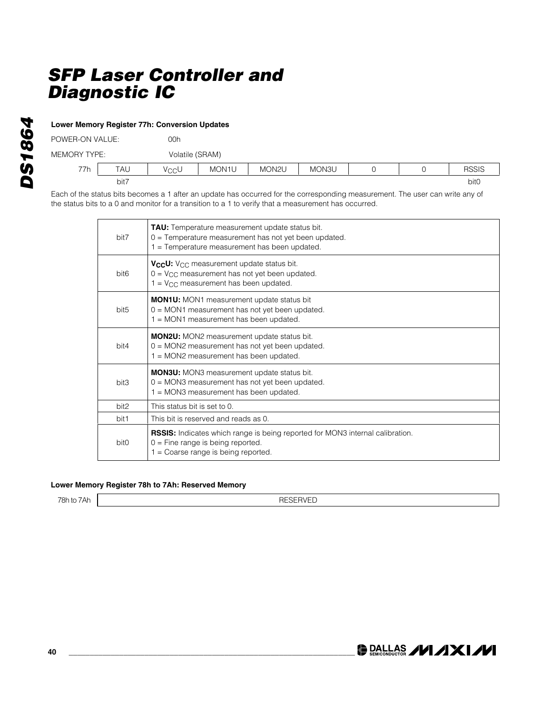| POWER-ON VALUE: |            | 00h  |                    |       |       |  |  |              |
|-----------------|------------|------|--------------------|-------|-------|--|--|--------------|
| MEMORY TYPE:    |            |      | Volatile (SRAM)    |       |       |  |  |              |
| 77h             | <b>TAU</b> | VccU | MON <sub>1</sub> U | MON2U | MON3U |  |  | <b>RSSIS</b> |
|                 | bit7       |      |                    |       |       |  |  | bit0         |

Each of the status bits becomes a 1 after an update has occurred for the corresponding measurement. The user can write any of the status bits to a 0 and monitor for a transition to a 1 to verify that a measurement has occurred.

| bit7             | <b>TAU:</b> Temperature measurement update status bit.<br>0 = Temperature measurement has not yet been updated.<br>1 = Temperature measurement has been updated.      |
|------------------|-----------------------------------------------------------------------------------------------------------------------------------------------------------------------|
| bit <sub>6</sub> | V <sub>CC</sub> U: V <sub>CC</sub> measurement update status bit.<br>$0 = V_{CC}$ measurement has not yet been updated.<br>$1 = V_{CC}$ measurement has been updated. |
| bit <sub>5</sub> | <b>MON1U:</b> MON1 measurement update status bit<br>0 = MON1 measurement has not yet been updated.<br>$1 = MON1$ measurement has been updated.                        |
| bit4             | <b>MON2U:</b> MON2 measurement update status bit.<br>0 = MON2 measurement has not yet been updated.<br>1 = MON2 measurement has been updated.                         |
| bit3             | <b>MON3U:</b> MON3 measurement update status bit.<br>0 = MON3 measurement has not yet been updated.<br>$1 = MON3$ measurement has been updated.                       |
| bit2             | This status bit is set to 0.                                                                                                                                          |
| bit1             | This bit is reserved and reads as 0.                                                                                                                                  |
| bit <sub>0</sub> | <b>RSSIS:</b> Indicates which range is being reported for MON3 internal calibration.<br>$0 =$ Fine range is being reported.<br>1 = Coarse range is being reported.    |

### **Lower Memory Register 78h to 7Ah: Reserved Memory**

78h to 7Ah | The Text Contract Contract Contract Contract Contract Contract Contract Contract Contract Contract Contract Contract Contract Contract Contract Contract Contract Contract Contract Contract Contract Contract Co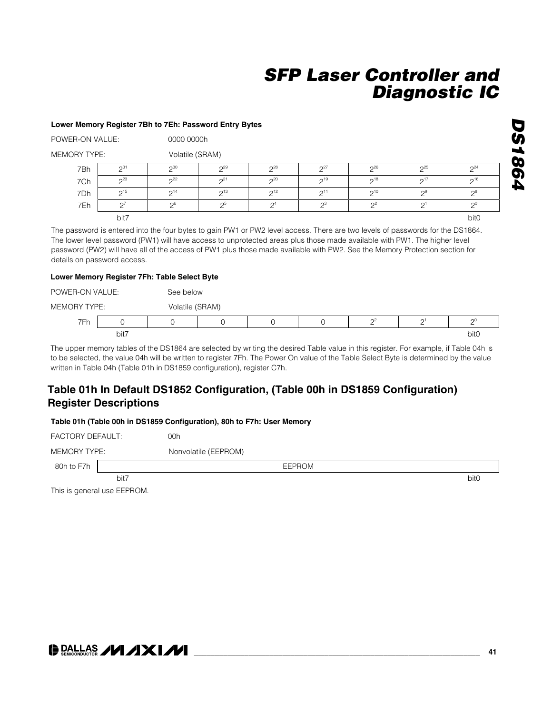#### **Lower Memory Register 7Bh to 7Eh: Password Entry Bytes**

POWER-ON VALUE: 0000 0000h

MEMORY TYPE: Volatile (SRAM)

| 7Bh | $\bigcap_{31}$         | $\bigcap_{30}$         | $\Omega$ <sup>29</sup> | $\Omega$ <sup>28</sup> | $\Omega$               | 26                 | $\mathcal{D}^{25}$ | 24                     |
|-----|------------------------|------------------------|------------------------|------------------------|------------------------|--------------------|--------------------|------------------------|
| 7Ch | $\Omega$ <sup>23</sup> | $\Omega$ <sup>22</sup> | $\bigcap_{21}$         | $\Omega$ <sup>20</sup> | $\bigcap$ 19           | $\bigcap_{18}$     | $\bigcap_{ }^{17}$ | $\mathsf{\Omega}^{16}$ |
| 7Dh | 215                    | $\Omega$ <sup>14</sup> | $\mathsf{\Omega}^{13}$ | $\bigcap_{12}$         | $\bigcap$ <sup>1</sup> | $\mathcal{D}^{10}$ | $\Omega$           | റ8                     |
| 7Eh |                        | $\mathcal{L}$          | C.                     | $\Omega$ <sup>4</sup>  | n.                     | $\cap^2$           |                    | n                      |
|     | bit7                   |                        |                        |                        |                        |                    |                    | bit0                   |

The password is entered into the four bytes to gain PW1 or PW2 level access. There are two levels of passwords for the DS1864. The lower level password (PW1) will have access to unprotected areas plus those made available with PW1. The higher level password (PW2) will have all of the access of PW1 plus those made available with PW2. See the Memory Protection section for details on password access.

#### **Lower Memory Register 7Fh: Table Select Byte**

POWER-ON VALUE: See below

| TVDE.<br>MEMORY | <u>.</u> | Volatile i | (SRAM) |  |          |   |                  |
|-----------------|----------|------------|--------|--|----------|---|------------------|
| フロト<br>.        |          |            |        |  | <u>_</u> | ⌒ | $\sim$           |
|                 | bit7     |            |        |  |          |   | bit <sub>0</sub> |

The upper memory tables of the DS1864 are selected by writing the desired Table value in this register. For example, if Table 04h is to be selected, the value 04h will be written to register 7Fh. The Power On value of the Table Select Byte is determined by the value written in Table 04h (Table 01h in DS1859 configuration), register C7h.

### **Table 01h In Default DS1852 Configuration, (Table 00h in DS1859 Configuration) Register Descriptions**

#### **Table 01h (Table 00h in DS1859 Configuration), 80h to F7h: User Memory**

FACTORY DEFAULT: 00h MEMORY TYPE: Nonvolatile (EEPROM) 80h to F7h | EEPROM bit7 bit0

This is general use EEPROM.

*DS1864*

**DS1864**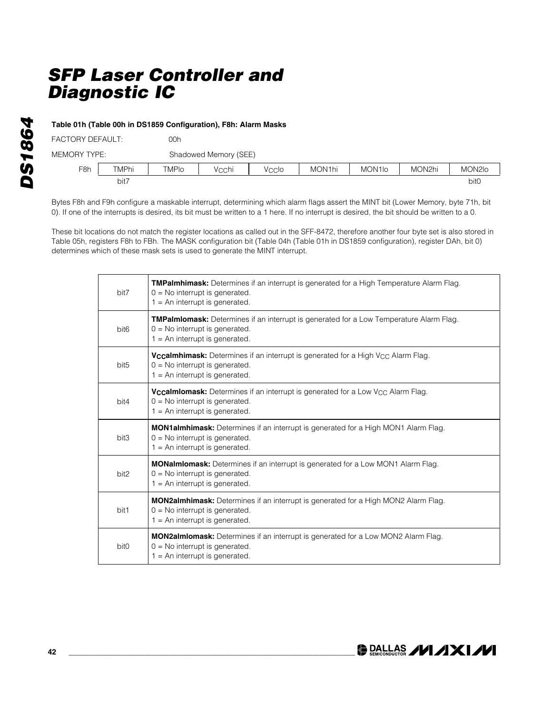### **Table 01h (Table 00h in DS1859 Configuration), F8h: Alarm Masks**

| FACTORY DEFAULT: |              | 00h          |                       |       |        |                     |        |        |  |
|------------------|--------------|--------------|-----------------------|-------|--------|---------------------|--------|--------|--|
| MEMORY TYPE:     |              |              | Shadowed Memory (SEE) |       |        |                     |        |        |  |
| F <sub>8h</sub>  | <b>TMPhi</b> | <b>TMPIo</b> | Vechi                 | Veclo | MON1hi | MON <sub>1</sub> lo | MON2hi | MON2lo |  |
|                  | bit7         |              |                       |       |        |                     |        | bit0   |  |

Bytes F8h and F9h configure a maskable interrupt, determining which alarm flags assert the MINT bit (Lower Memory, byte 71h, bit 0). If one of the interrupts is desired, its bit must be written to a 1 here. If no interrupt is desired, the bit should be written to a 0.

These bit locations do not match the register locations as called out in the SFF-8472, therefore another four byte set is also stored in Table 05h, registers F8h to FBh. The MASK configuration bit (Table 04h (Table 01h in DS1859 configuration), register DAh, bit 0) determines which of these mask sets is used to generate the MINT interrupt.

| bit7             | TMPalmhimask: Determines if an interrupt is generated for a High Temperature Alarm Flag.<br>$0 = No$ interrupt is generated.<br>$1 = An$ interrupt is generated.            |
|------------------|-----------------------------------------------------------------------------------------------------------------------------------------------------------------------------|
| bit <sub>6</sub> | <b>TMPalmiomask:</b> Determines if an interrupt is generated for a Low Temperature Alarm Flag.<br>$0 = No$ interrupt is generated.<br>$1 = An$ interrupt is generated.      |
| bit <sub>5</sub> | <b>Vccalmhimask:</b> Determines if an interrupt is generated for a High V <sub>CC</sub> Alarm Flag.<br>$0 = No$ interrupt is generated.<br>$1 = An$ interrupt is generated. |
| bit4             | <b>Vccalmiomask:</b> Determines if an interrupt is generated for a Low V <sub>CC</sub> Alarm Flag.<br>$0 = No$ interrupt is generated.<br>$1 = An$ interrupt is generated.  |
| bit3             | <b>MON1almhimask:</b> Determines if an interrupt is generated for a High MON1 Alarm Flag.<br>$0 = No$ interrupt is generated.<br>$1 = An$ interrupt is generated.           |
| bit2             | <b>MONalmiomask:</b> Determines if an interrupt is generated for a Low MON1 Alarm Flag.<br>$0 = No$ interrupt is generated.<br>$1 = An$ interrupt is generated.             |
| bit1             | <b>MON2almhimask:</b> Determines if an interrupt is generated for a High MON2 Alarm Flag.<br>$0 = No$ interrupt is generated.<br>$1 = An$ interrupt is generated.           |
| bit <sub>0</sub> | <b>MON2almiomask:</b> Determines if an interrupt is generated for a Low MON2 Alarm Flag.<br>$0 = No$ interrupt is generated.<br>$1 = An$ interrupt is generated.            |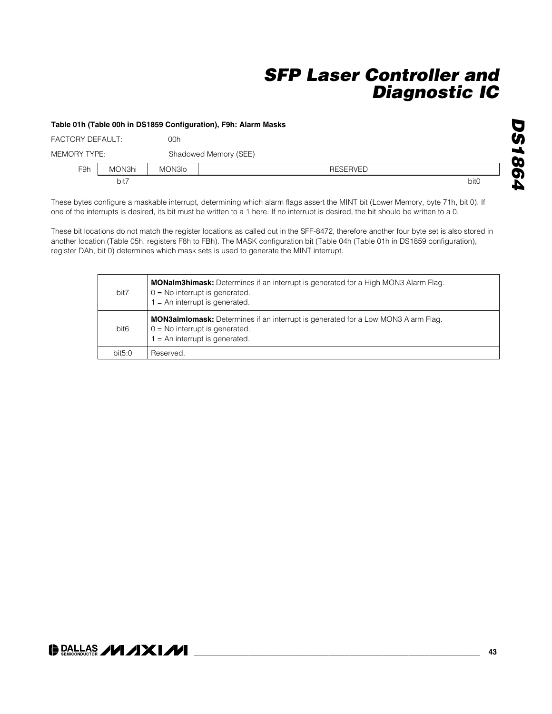#### **Table 01h (Table 00h in DS1859 Configuration), F9h: Alarm Masks**

| <b>FACTORY DEFAULT:</b> |        | 00h    |                       |                  |
|-------------------------|--------|--------|-----------------------|------------------|
| MEMORY TYPE:            |        |        | Shadowed Memory (SEE) |                  |
| F9h                     | MON3hi | MON3Io | <b>RESERVED</b>       |                  |
|                         | bit7   |        |                       | bit <sub>0</sub> |

These bytes configure a maskable interrupt, determining which alarm flags assert the MINT bit (Lower Memory, byte 71h, bit 0). If one of the interrupts is desired, its bit must be written to a 1 here. If no interrupt is desired, the bit should be written to a 0.

These bit locations do not match the register locations as called out in the SFF-8472, therefore another four byte set is also stored in another location (Table 05h, registers F8h to FBh). The MASK configuration bit (Table 04h (Table 01h in DS1859 configuration), register DAh, bit 0) determines which mask sets is used to generate the MINT interrupt.

| bit7             | <b>MONalm3himask:</b> Determines if an interrupt is generated for a High MON3 Alarm Flag.<br>$0 = No$ interrupt is generated.<br>$1 = An$ interrupt is generated. |
|------------------|-------------------------------------------------------------------------------------------------------------------------------------------------------------------|
| bit <sub>6</sub> | <b>MON3almiomask:</b> Determines if an interrupt is generated for a Low MON3 Alarm Flag.<br>$0 = No$ interrupt is generated.<br>$1 = An$ interrupt is generated.  |
| bit5:0           | Reserved.                                                                                                                                                         |

### **DALLAS /VI /IXI/VI**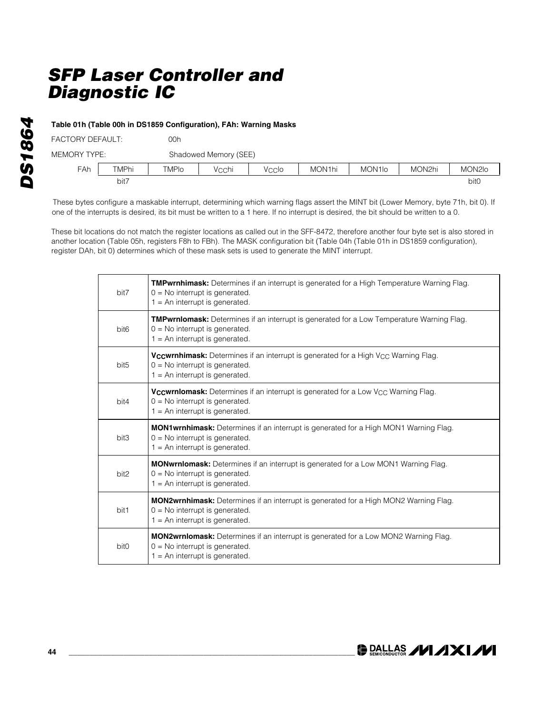### **Table 01h (Table 00h in DS1859 Configuration), FAh: Warning Masks**

| FACTORY DEFAULT: |       | 00h   |                       |       |        |                     |        |        |
|------------------|-------|-------|-----------------------|-------|--------|---------------------|--------|--------|
| MEMORY TYPE:     |       |       | Shadowed Memory (SEE) |       |        |                     |        |        |
| <b>FAh</b>       | TMPhi | TMPIo | Vcchi                 | Veclo | MON1hi | MON <sub>1</sub> lo | MON2hi | MON2lo |
|                  | bit7  |       |                       |       |        |                     |        | bit0   |

These bytes configure a maskable interrupt, determining which warning flags assert the MINT bit (Lower Memory, byte 71h, bit 0). If one of the interrupts is desired, its bit must be written to a 1 here. If no interrupt is desired, the bit should be written to a 0.

These bit locations do not match the register locations as called out in the SFF-8472, therefore another four byte set is also stored in another location (Table 05h, registers F8h to FBh). The MASK configuration bit (Table 04h (Table 01h in DS1859 configuration), register DAh, bit 0) determines which of these mask sets is used to generate the MINT interrupt.

| bit7             | <b>TMPwrnhimask:</b> Determines if an interrupt is generated for a High Temperature Warning Flag.<br>$0 = No$ interrupt is generated.<br>$1 = An$ interrupt is generated.     |
|------------------|-------------------------------------------------------------------------------------------------------------------------------------------------------------------------------|
| bit <sub>6</sub> | <b>TMPwrnlomask:</b> Determines if an interrupt is generated for a Low Temperature Warning Flag.<br>$0 = No$ interrupt is generated.<br>$1 = An$ interrupt is generated.      |
| bit <sub>5</sub> | <b>Vccwrnhimask:</b> Determines if an interrupt is generated for a High V <sub>CC</sub> Warning Flag.<br>$0 = No$ interrupt is generated.<br>$1 = An$ interrupt is generated. |
| bit4             | <b>Vccwrniomask:</b> Determines if an interrupt is generated for a Low V <sub>CC</sub> Warning Flag.<br>$0 = No$ interrupt is generated.<br>$1 = An$ interrupt is generated.  |
| bit3             | <b>MON1wrnhimask:</b> Determines if an interrupt is generated for a High MON1 Warning Flag.<br>$0 = No$ interrupt is generated.<br>$1 = An$ interrupt is generated.           |
| bit <sub>2</sub> | <b>MONwrnlomask:</b> Determines if an interrupt is generated for a Low MON1 Warning Flag.<br>$0 = No$ interrupt is generated.<br>$1 = An$ interrupt is generated.             |
| bit1             | <b>MON2wrnhimask:</b> Determines if an interrupt is generated for a High MON2 Warning Flag.<br>$0 = No$ interrupt is generated.<br>$1 = An$ interrupt is generated.           |
| bit0             | <b>MON2wrnlomask:</b> Determines if an interrupt is generated for a Low MON2 Warning Flag.<br>$0 = No$ interrupt is generated.<br>$1 = An$ interrupt is generated.            |

**DRALLAS /VI /IXI/VI**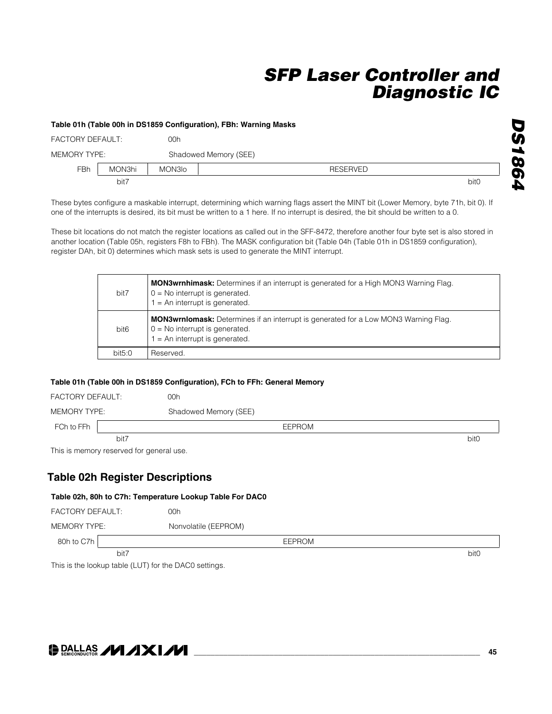#### **Table 01h (Table 00h in DS1859 Configuration), FBh: Warning Masks**

| <b>FACTORY DEFAULT:</b> |        | 00h    |                       |                  |
|-------------------------|--------|--------|-----------------------|------------------|
| MEMORY TYPE:            |        |        | Shadowed Memory (SEE) |                  |
| <b>FBh</b>              | MON3hi | MON3Io | <b>RESERVED</b>       |                  |
|                         | bit7   |        |                       | bit <sub>0</sub> |

These bytes configure a maskable interrupt, determining which warning flags assert the MINT bit (Lower Memory, byte 71h, bit 0). If one of the interrupts is desired, its bit must be written to a 1 here. If no interrupt is desired, the bit should be written to a 0.

These bit locations do not match the register locations as called out in the SFF-8472, therefore another four byte set is also stored in another location (Table 05h, registers F8h to FBh). The MASK configuration bit (Table 04h (Table 01h in DS1859 configuration), register DAh, bit 0) determines which mask sets is used to generate the MINT interrupt.

| bit7             | <b>MON3wrnhimask:</b> Determines if an interrupt is generated for a High MON3 Warning Flag.<br>$0 = No$ interrupt is generated.<br>$1 = An$ interrupt is generated. |
|------------------|---------------------------------------------------------------------------------------------------------------------------------------------------------------------|
| bit <sub>6</sub> | <b>MON3wrnlomask:</b> Determines if an interrupt is generated for a Low MON3 Warning Flag.<br>$0 = No$ interrupt is generated.<br>$=$ An interrupt is generated.    |
| bit5:0           | Reserved.                                                                                                                                                           |

### **Table 01h (Table 00h in DS1859 Configuration), FCh to FFh: General Memory**

| FACTORY DEFAULT: |      | 00h                   |  |
|------------------|------|-----------------------|--|
| MEMORY TYPE:     |      | Shadowed Memory (SEE) |  |
| FCh to FFh       |      | EEPROM                |  |
|                  | bit7 | bit <sub>0</sub>      |  |

This is memory reserved for general use.

### **Table 02h Register Descriptions**

#### **Table 02h, 80h to C7h: Temperature Lookup Table For DAC0**

| <b>FACTORY DEFAULT:</b> | 00h                  |                  |
|-------------------------|----------------------|------------------|
| MEMORY TYPE:            | Nonvolatile (EEPROM) |                  |
| 80h to C7h              | <b>EEPROM</b>        |                  |
| bit7                    |                      | bit <sub>0</sub> |

This is the lookup table (LUT) for the DAC0 settings.

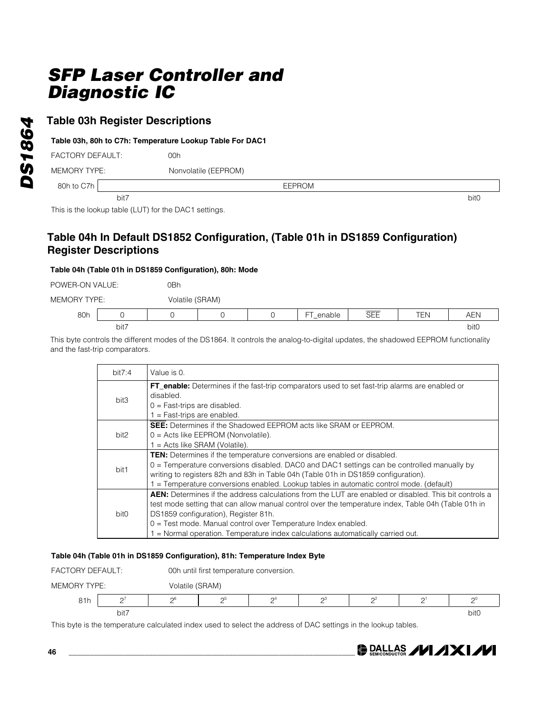### **Table 03h Register Descriptions**

### **Table 03h, 80h to C7h: Temperature Lookup Table For DAC1**

FACTORY DEFAULT: 00h

MEMORY TYPE: Nonvolatile (EEPROM)

80h to C7h Second Canada Canada Canada Canada Canada Canada Canada Canada Canada Canada Canada Canada Canada C

bit7 bit0

This is the lookup table (LUT) for the DAC1 settings.

### **Table 04h In Default DS1852 Configuration, (Table 01h in DS1859 Configuration) Register Descriptions**

### **Table 04h (Table 01h in DS1859 Configuration), 80h: Mode**

POWER-ON VALUE: 0Bh

MEMORY TYPE: Volatile (SRAM)

| 80h |      |  | $-$<br>─<br>DIE.<br>$\overline{\phantom{a}}$ | $- - - -$<br>$\overline{\phantom{m}}$<br>. – –<br>◡└└ | $- - -$ | $\overline{\phantom{0}}$<br>¬∟. |
|-----|------|--|----------------------------------------------|-------------------------------------------------------|---------|---------------------------------|
|     | bit7 |  |                                              |                                                       |         | bit0                            |

This byte controls the different modes of the DS1864. It controls the analog-to-digital updates, the shadowed EEPROM functionality and the fast-trip comparators.

| bit7:4 | Value is 0.                                                                                                                                                                                                                                                                                                                                                                                                   |
|--------|---------------------------------------------------------------------------------------------------------------------------------------------------------------------------------------------------------------------------------------------------------------------------------------------------------------------------------------------------------------------------------------------------------------|
| bit3   | <b>FT_enable:</b> Determines if the fast-trip comparators used to set fast-trip alarms are enabled or<br>disabled.<br>$0 =$ Fast-trips are disabled.<br>= Fast-trips are enabled.                                                                                                                                                                                                                             |
| bit2   | <b>SEE:</b> Determines if the Shadowed EEPROM acts like SRAM or EEPROM.<br>$0 =$ Acts like EEPROM (Nonvolatile).<br>$1 =$ Acts like SRAM (Volatile).                                                                                                                                                                                                                                                          |
| bit1   | <b>TEN:</b> Determines if the temperature conversions are enabled or disabled.<br>$0 =$ Temperature conversions disabled. DAC0 and DAC1 settings can be controlled manually by<br>writing to registers 82h and 83h in Table 04h (Table 01h in DS1859 configuration).<br>= Temperature conversions enabled. Lookup tables in automatic control mode. (default)                                                 |
| bit0   | <b>AEN:</b> Determines if the address calculations from the LUT are enabled or disabled. This bit controls a<br>test mode setting that can allow manual control over the temperature index, Table 04h (Table 01h in<br>DS1859 configuration), Register 81h.<br>0 = Test mode. Manual control over Temperature Index enabled.<br>= Normal operation. Temperature index calculations automatically carried out. |

### **Table 04h (Table 01h in DS1859 Configuration), 81h: Temperature Index Byte**



This byte is the temperature calculated index used to select the address of DAC settings in the lookup tables.

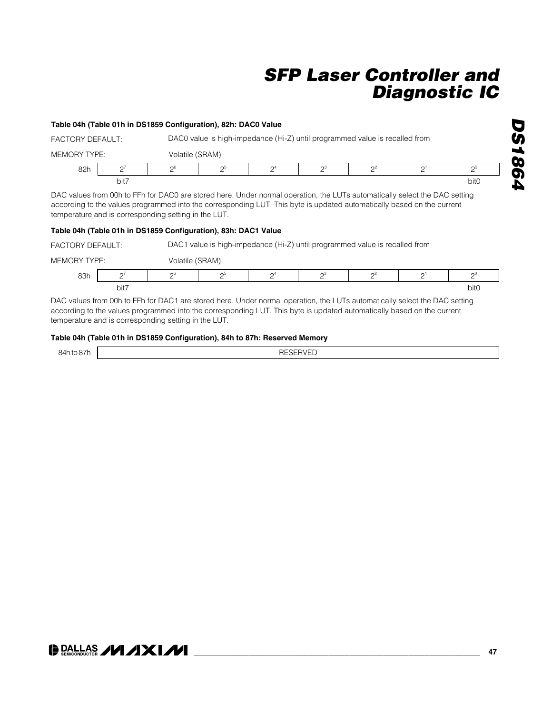### **Table 04h (Table 01h in DS1859 Configuration), 82h: DAC0 Value**

| FACTORY DEFAULT: |           |                 |    | DAC0 value is high-impedance (Hi-Z) until programmed value is recalled from |                |          |          |
|------------------|-----------|-----------------|----|-----------------------------------------------------------------------------|----------------|----------|----------|
| MEMORY TYPE:     |           | Volatile (SRAM) |    |                                                                             |                |          |          |
| 82h              | $\bigcap$ | $\sim$          | റാ | $\mathsf{\Omega}^4$                                                         | $\mathsf{D}^3$ | $\Omega$ | $\Omega$ |
|                  | bit7      |                 |    |                                                                             |                |          | bit0     |

DAC values from 00h to FFh for DAC0 are stored here. Under normal operation, the LUTs automatically select the DAC setting according to the values programmed into the corresponding LUT. This byte is updated automatically based on the current temperature and is corresponding setting in the LUT.

### **Table 04h (Table 01h in DS1859 Configuration), 83h: DAC1 Value**

FACTORY DEFAULT: DAC1 value is high-impedance (Hi-Z) until programmed value is recalled from

| TVDE<br>MEMORY | <u>.</u><br>_ | Volatile n | (SRAM)         |                |    |    |               |      |
|----------------|---------------|------------|----------------|----------------|----|----|---------------|------|
| 83h            |               | nh         | nι<br><u>_</u> | $\mathsf{A}^4$ | C. | Ωż | ⌒<br><u>_</u> | пl   |
|                | bit7          |            |                |                |    |    |               | bit0 |

DAC values from 00h to FFh for DAC1 are stored here. Under normal operation, the LUTs automatically select the DAC setting according to the values programmed into the corresponding LUT. This byte is updated automatically based on the current temperature and is corresponding setting in the LUT.

#### **Table 04h (Table 01h in DS1859 Configuration), 84h to 87h: Reserved Memory**

| ---<br>$\overline{\phantom{a}}$ | חר<br>י ר<br>-- |
|---------------------------------|-----------------|
|                                 |                 |

## **DALLAS /VI /IXI/VI**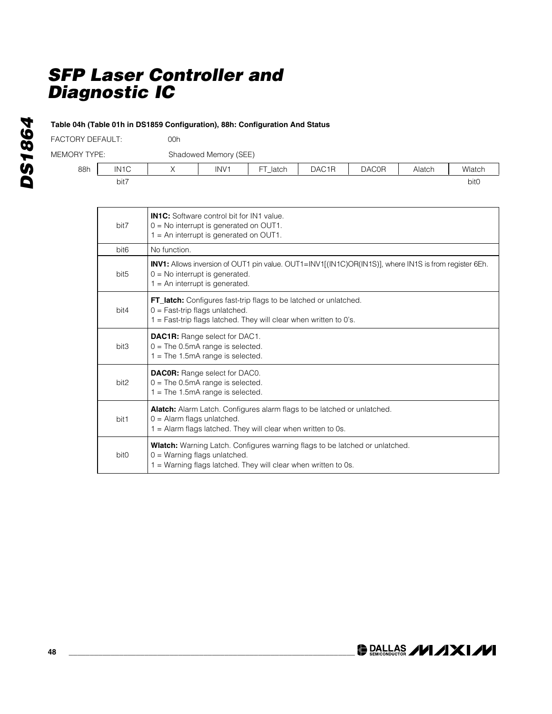**Table 04h (Table 01h in DS1859 Configuration), 88h: Configuration And Status**

| <b>MEMORY TYPE:</b>     | Shadowed M |
|-------------------------|------------|
| <b>FACTORY DEFAULT:</b> | 00h        |

Memory (SEE)

|     |                   |                          | 5.0801001101110170001 |              |                   |              |        |        |
|-----|-------------------|--------------------------|-----------------------|--------------|-------------------|--------------|--------|--------|
| 88h | IN <sub>1</sub> C | $\overline{\phantom{a}}$ | INV <sub>1</sub>      | ET.<br>latch | DAC <sub>1R</sub> | <b>DAC0R</b> | Alatch | Wlatch |
|     | bit7              |                          |                       |              |                   |              |        | bit0   |

| bit7             | <b>IN1C:</b> Software control bit for IN1 value<br>$0 = No$ interrupt is generated on OUT1.<br>$1 = An$ interrupt is generated on OUT1.                                                |
|------------------|----------------------------------------------------------------------------------------------------------------------------------------------------------------------------------------|
| bit <sub>6</sub> | No function.                                                                                                                                                                           |
| bit <sub>5</sub> | INV1: Allows inversion of OUT1 pin value. OUT1=INV1[(IN1C)OR(IN1S)], where IN1S is from register 6Eh.<br>$0 = No$ interrupt is generated.<br>$1 = An$ interrupt is generated.          |
| bit4             | FT_latch: Configures fast-trip flags to be latched or unlatched.<br>$0 =$ Fast-trip flags unlatched.<br>1 = Fast-trip flags latched. They will clear when written to 0's.              |
| bit3             | <b>DAC1R:</b> Range select for DAC1.<br>$0 =$ The 0.5mA range is selected.<br>$1 =$ The 1.5mA range is selected.                                                                       |
| bit2             | <b>DACOR:</b> Range select for DAC0.<br>$0 =$ The 0.5mA range is selected.<br>$1 =$ The 1.5mA range is selected.                                                                       |
| bit1             | Alatch: Alarm Latch. Configures alarm flags to be latched or unlatched.<br>$0 =$ Alarm flags unlatched.<br>$1 =$ Alarm flags latched. They will clear when written to 0s.              |
| bit <sub>0</sub> | <b>Wlatch:</b> Warning Latch. Configures warning flags to be latched or unlatched.<br>$0 =$ Warning flags unlatched.<br>1 = Warning flags latched. They will clear when written to 0s. |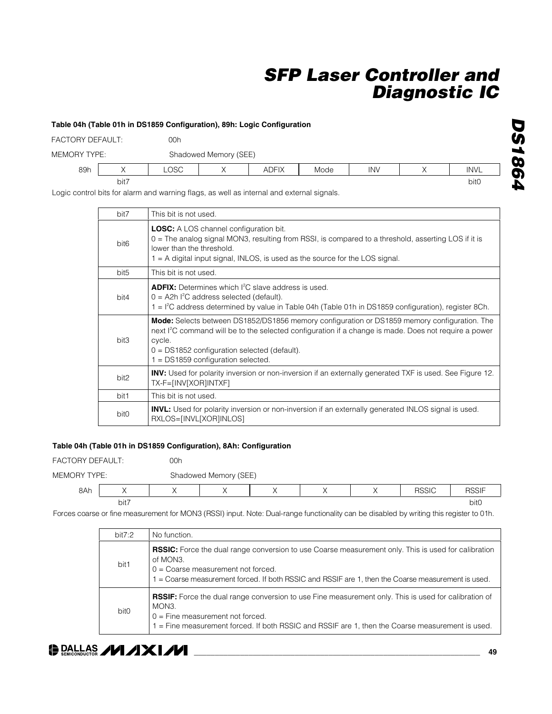#### **Table 04h (Table 01h in DS1859 Configuration), 89h: Logic Configuration**

| FACTORY DEFAULT: |      | 00h         |                       |              |      |            |  |             |  |  |
|------------------|------|-------------|-----------------------|--------------|------|------------|--|-------------|--|--|
| MEMORY TYPE:     |      |             | Shadowed Memory (SEE) |              |      |            |  |             |  |  |
| 89h              |      | <b>LOSC</b> |                       | <b>ADFIX</b> | Mode | <b>INV</b> |  | <b>INVL</b> |  |  |
|                  | bit7 |             |                       |              |      |            |  | bit0        |  |  |

Logic control bits for alarm and warning flags, as well as internal and external signals.

| bit7             | This bit is not used.                                                                                                                                                                                                                                                                                                 |
|------------------|-----------------------------------------------------------------------------------------------------------------------------------------------------------------------------------------------------------------------------------------------------------------------------------------------------------------------|
| bit <sub>6</sub> | <b>LOSC:</b> A LOS channel configuration bit.<br>$0 =$ The analog signal MON3, resulting from RSSI, is compared to a threshold, asserting LOS if it is<br>lower than the threshold.<br>$1 = A$ digital input signal, INLOS, is used as the source for the LOS signal.                                                 |
| bit <sub>5</sub> | This bit is not used.                                                                                                                                                                                                                                                                                                 |
| bit4             | <b>ADFIX:</b> Determines which I <sup>2</sup> C slave address is used.<br>$0 =$ A2h $1^2C$ address selected (default).<br>$1 = 1^2$ C address determined by value in Table 04h (Table 01h in DS1859 configuration), register 8Ch.                                                                                     |
| bit3             | Mode: Selects between DS1852/DS1856 memory configuration or DS1859 memory configuration. The<br>next l <sup>2</sup> C command will be to the selected configuration if a change is made. Does not require a power<br>cycle.<br>$0 = DS1852$ configuration selected (default).<br>$1 = DS1859$ configuration selected. |
| bit2             | INV: Used for polarity inversion or non-inversion if an externally generated TXF is used. See Figure 12.<br>TX-F=[INV[XOR]INTXF]                                                                                                                                                                                      |
| bit1             | This bit is not used.                                                                                                                                                                                                                                                                                                 |
| bit <sub>0</sub> | <b>INVL:</b> Used for polarity inversion or non-inversion if an externally generated INLOS signal is used.<br>RXLOS=[INVL[XOR]INLOS]                                                                                                                                                                                  |

### **Table 04h (Table 01h in DS1859 Configuration), 8Ah: Configuration**

FACTORY DEFAULT: 00h

MEMORY TYPE: Shadowed Memory (SEE)

| 8Ah |      |  |  | DOOIC | DOOIF<br>זוככר |
|-----|------|--|--|-------|----------------|
|     | bit7 |  |  |       | bitC           |

Forces coarse or fine measurement for MON3 (RSSI) input. Note: Dual-range functionality can be disabled by writing this register to 01h.

| bit7:2           | No function.                                                                                                                                                                                                                                                         |
|------------------|----------------------------------------------------------------------------------------------------------------------------------------------------------------------------------------------------------------------------------------------------------------------|
| bit1             | <b>RSSIC:</b> Force the dual range conversion to use Coarse measurement only. This is used for calibration<br>of MON3.<br>$0 =$ Coarse measurement not forced.<br>1 = Coarse measurement forced. If both RSSIC and RSSIF are 1, then the Coarse measurement is used. |
| bit <sub>0</sub> | <b>RSSIF:</b> Force the dual range conversion to use Fine measurement only. This is used for calibration of<br>MON3.<br>$0 =$ Fine measurement not forced.<br>1 = Fine measurement forced. If both RSSIC and RSSIF are 1, then the Coarse measurement is used.       |

### **DALLAS /VI /IXI/VI**

*DS1864*

**DS1864**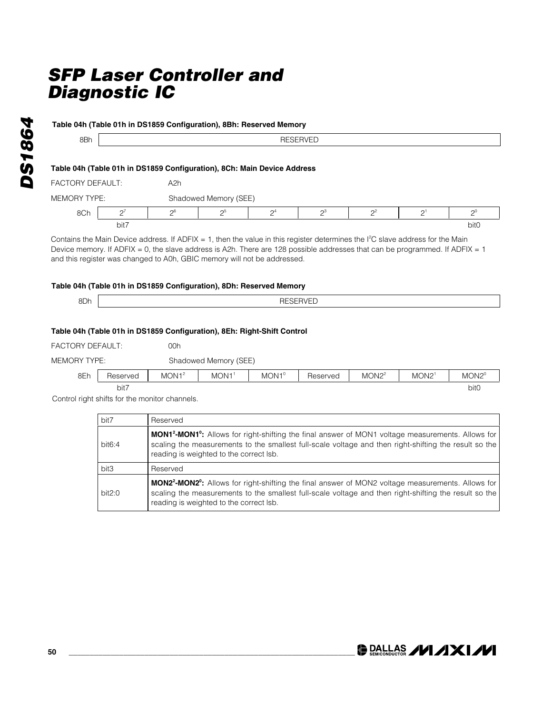| Table 04h (Table 01h in DS1859 Configuration), 8Bh: Reserved Memory_ |                 |  |  |  |
|----------------------------------------------------------------------|-----------------|--|--|--|
| 8Bh                                                                  | <b>RESERVED</b> |  |  |  |
|                                                                      |                 |  |  |  |

### **Table 04h (Table 01h in DS1859 Configuration), 8Ch: Main Device Address**

| FACTORY DEFAULT: |      | A2h      |                       |                       |  |    |  |          |  |  |
|------------------|------|----------|-----------------------|-----------------------|--|----|--|----------|--|--|
| MEMORY TYPE:     |      |          | Shadowed Memory (SEE) |                       |  |    |  |          |  |  |
| 8Ch              | n,   | $\Omega$ | റാ                    | $\Omega$ <sup>4</sup> |  | n2 |  | $\Omega$ |  |  |
|                  | bit7 |          |                       |                       |  |    |  | bit0     |  |  |

Contains the Main Device address. If ADFIX = 1, then the value in this register determines the  $l^2C$  slave address for the Main Device memory. If ADFIX = 0, the slave address is A2h. There are 128 possible addresses that can be programmed. If ADFIX = 1 and this register was changed to A0h, GBIC memory will not be addressed.

### **Table 04h (Table 01h in DS1859 Configuration), 8Dh: Reserved Memory**

| 8Dh | -- |
|-----|----|
|     |    |

### **Table 04h (Table 01h in DS1859 Configuration), 8Eh: Right-Shift Control** 00h

MEMORY TYPE: Shadowed Memory (SEE)

| 8Eh | Heserved | MON1 <sup>2</sup> | MON <sub>1</sub> | $MON1^{\circ}$ | Reserved<br>- 100 | MON2 <sup>2</sup> | MON <sub>2</sub> | $MON2^{\circ}$ |  |
|-----|----------|-------------------|------------------|----------------|-------------------|-------------------|------------------|----------------|--|
|     | bit7     |                   |                  |                |                   |                   |                  | bitC           |  |

Control right shifts for the monitor channels.

| bit7   | Reserved                                                                                                                                                                                                                                                                          |
|--------|-----------------------------------------------------------------------------------------------------------------------------------------------------------------------------------------------------------------------------------------------------------------------------------|
| bit6:4 | <b>MON1<sup>2</sup>-MON1<sup>0</sup>:</b> Allows for right-shifting the final answer of MON1 voltage measurements. Allows for<br>scaling the measurements to the smallest full-scale voltage and then right-shifting the result so the<br>reading is weighted to the correct Isb. |
| bit3   | Reserved                                                                                                                                                                                                                                                                          |
| bit2:0 | <b>MON2<sup>2</sup>-MON2<sup>0</sup>:</b> Allows for right-shifting the final answer of MON2 voltage measurements. Allows for<br>scaling the measurements to the smallest full-scale voltage and then right-shifting the result so the<br>reading is weighted to the correct Isb. |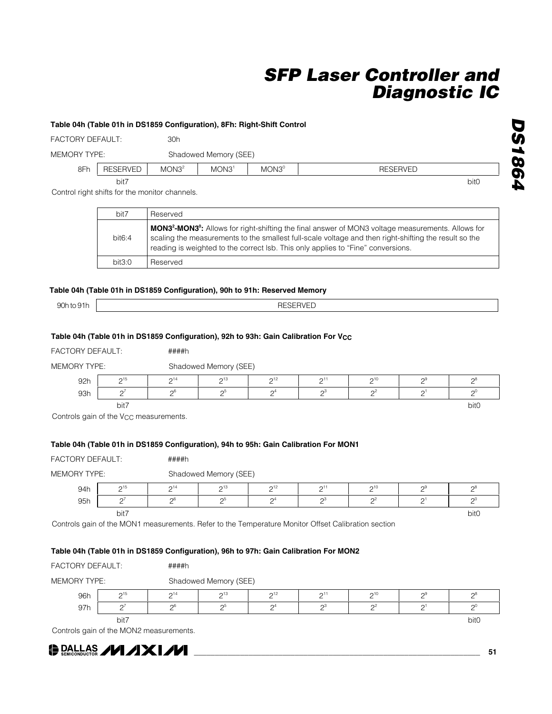#### **Table 04h (Table 01h in DS1859 Configuration), 8Fh: Right-Shift Control**

FACTORY DEFAULT: 30h MEMORY TYPE: Shadowed Memory (SEE)

| 8Fh | $1 - 1$<br><b>RESERVEL</b><br>ᅩ | MON3 <sup>2</sup> | MON3 <sup>1</sup> | $MON3^{\circ}$ | $\sqrt{2}$<br>RE:<br><b>SERVEL</b> |
|-----|---------------------------------|-------------------|-------------------|----------------|------------------------------------|
|     | bit7                            |                   |                   |                | bit0                               |

Control right shifts for the monitor channels.

| bit7   | Reserved                                                                                                                                                                                                                                                                                                                |
|--------|-------------------------------------------------------------------------------------------------------------------------------------------------------------------------------------------------------------------------------------------------------------------------------------------------------------------------|
| bit6:4 | MON3 <sup>2</sup> -MON3 <sup>0</sup> : Allows for right-shifting the final answer of MON3 voltage measurements. Allows for<br>scaling the measurements to the smallest full-scale voltage and then right-shifting the result so the<br>reading is weighted to the correct lsb. This only applies to "Fine" conversions. |
| bit3:0 | Reserved                                                                                                                                                                                                                                                                                                                |

#### **Table 04h (Table 01h in DS1859 Configuration), 90h to 91h: Reserved Memory**

90h to 91h **RESERVED** 

### Table 04h (Table 01h in DS1859 Configuration), 92h to 93h: Gain Calibration For V<sub>CC</sub>

| FACTORY DEFAULT:    |      | ####h    |                       |                       |          |          |        |      |  |  |  |  |
|---------------------|------|----------|-----------------------|-----------------------|----------|----------|--------|------|--|--|--|--|
| <b>MEMORY TYPE:</b> |      |          | Shadowed Memory (SEE) |                       |          |          |        |      |  |  |  |  |
| 92h                 | 215  | $2^{14}$ | $2^{13}$              | 2 <sup>12</sup>       | 211      | $2^{10}$ | ่าะ    |      |  |  |  |  |
| 93h                 |      | $\Omega$ | റാ                    | $\Omega$ <sup>4</sup> | $\sim$ 3 |          | $\sim$ |      |  |  |  |  |
|                     | bit7 |          |                       |                       |          |          |        | bit0 |  |  |  |  |

Controls gain of the V<sub>CC</sub> measurements.

#### **Table 04h (Table 01h in DS1859 Configuration), 94h to 95h: Gain Calibration For MON1**

FACTORY DEFAULT: ####h

MEMORY TYPE: Shadowed Memory (SEE)

| 94h | $\bigcap_{ }$ 15<br><u>L</u> | $\bigcap$ 14<br><u>—</u> | $\bigcap_{13}$<br>$\overline{\phantom{0}}$ | $\bigcap_{12}$<br><u>—</u> | $\bigcap_{ }$<br><u>—</u> | $\sim$ 10<br><u>—</u> | ⌒Ч<br><u>—</u> | റ്റ    |
|-----|------------------------------|--------------------------|--------------------------------------------|----------------------------|---------------------------|-----------------------|----------------|--------|
| 95h | ⌒                            | nh                       | റാ<br><u>_</u>                             | $\sim$                     | n.                        | n                     | $\sim$         | $\sim$ |
|     | bit7                         |                          |                                            |                            |                           |                       |                | bit0   |

Controls gain of the MON1 measurements. Refer to the Temperature Monitor Offset Calibration section

#### **Table 04h (Table 01h in DS1859 Configuration), 96h to 97h: Gain Calibration For MON2**

| FACTORY DEFAULT:            |      | ####h    |                       |                       |          |          |        |                  |  |  |  |  |
|-----------------------------|------|----------|-----------------------|-----------------------|----------|----------|--------|------------------|--|--|--|--|
| MEMORY TYPE:                |      |          | Shadowed Memory (SEE) |                       |          |          |        |                  |  |  |  |  |
| 96h                         | 215  | $2^{14}$ | $2^{13}$              | 2 <sup>12</sup>       | $2^{11}$ | $2^{10}$ | - റ്   |                  |  |  |  |  |
| 97h                         |      | ე6       | റാ                    | $\Omega$ <sup>4</sup> | റ3       |          | $\cap$ |                  |  |  |  |  |
|                             | bit7 |          |                       |                       |          |          |        | bit <sub>0</sub> |  |  |  |  |
| $\sim$ $\sim$ $\sim$ $\sim$ |      |          |                       |                       |          |          |        |                  |  |  |  |  |

Controls gain of the MON2 measurements.



**\_\_\_\_\_\_\_\_\_\_\_\_\_\_\_\_\_\_\_\_\_\_\_\_\_\_\_\_\_\_\_\_\_\_\_\_\_\_\_\_\_\_\_\_\_\_\_\_\_\_\_\_\_\_\_\_\_\_\_\_\_\_\_\_\_\_\_\_ 51**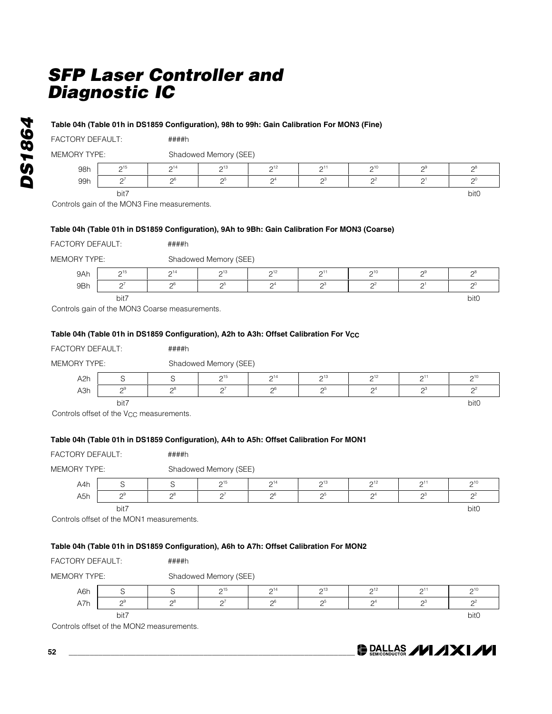####h

####h

#### **Table 04h (Table 01h in DS1859 Configuration), 98h to 99h: Gain Calibration For MON3 (Fine)**

MEMORY TYPE: Shadowed Memory (SEE)

| 98h | $\bigcap_{ }$ 15<br><u>—</u> | $\bigcap$ <sup>14</sup><br><u>_</u> | $\bigcap_{ }^{ }$ 13<br><u>_</u> | $\bigcap_{i=1}^n$<br><u>—</u> | $\bigcap$<br><u>_</u> | $\bigcap$ 10<br><u>—</u> | 09<br>- | $\sim$<br>- |
|-----|------------------------------|-------------------------------------|----------------------------------|-------------------------------|-----------------------|--------------------------|---------|-------------|
| 99h | $\sim$<br>-<br>-             | oh                                  | C.                               | $\mathsf{A}^4$<br><u>—</u>    | ∩∺                    | nź<br><u>—</u>           |         |             |
|     | bit7                         |                                     |                                  |                               |                       |                          |         | bit0        |

Controls gain of the MON3 Fine measurements.

### **Table 04h (Table 01h in DS1859 Configuration), 9Ah to 9Bh: Gain Calibration For MON3 (Coarse)**

| <b>FACTORY DEFAULT:</b> |  |
|-------------------------|--|
|                         |  |

| <b>MEMORY TYPE:</b> | Shadowed Memory (SEE) |
|---------------------|-----------------------|
|---------------------|-----------------------|

| 9Ah | $\bigcap_{ }$ 15<br><u>_</u> | $\bigcap_{ }^{ }$ 14<br><u>. </u> | $\bigcap_{ }^{ }$ 13 | $\bigcap_{ }^{ }$ 12<br><u>_</u> | $\bigcap$ <sup>1</sup><br>- | $\sim$ 10<br><u>. </u> | oч | $\sim$ |
|-----|------------------------------|-----------------------------------|----------------------|----------------------------------|-----------------------------|------------------------|----|--------|
| 9Bh | $\sim$                       | $\cap$                            | $\sim$               | $\Omega$ <sup>4</sup>            | n.                          | $\Omega$               |    |        |
|     | bit7                         |                                   |                      |                                  |                             |                        |    | bit0   |

Controls gain of the MON3 Coarse measurements.

### Table 04h (Table 01h in DS1859 Configuration), A2h to A3h: Offset Calibration For V<sub>CC</sub>

| FACTORY DEFAULT:    |      | ####h          |                       |                 |          |                 |                     |                  |  |  |  |
|---------------------|------|----------------|-----------------------|-----------------|----------|-----------------|---------------------|------------------|--|--|--|
| <b>MEMORY TYPE:</b> |      |                | Shadowed Memory (SEE) |                 |          |                 |                     |                  |  |  |  |
| A <sub>2</sub> h    |      |                | $2^{15}$              | $2^{14}$        | $2^{13}$ | 2 <sup>12</sup> | 211                 | $2^{10}$         |  |  |  |
| A3h                 | ∩9   | $\mathsf{R}^8$ | $\bigcap$             | $\mathcal{D}^6$ | റാ       |                 | $\sim$ <sup>3</sup> | $\Omega$         |  |  |  |
|                     | bit7 |                |                       |                 |          |                 |                     | bit <sub>0</sub> |  |  |  |

Controls offset of the  $V_{CC}$  measurements.

Controls offset of the MON2 measurements.

### **Table 04h (Table 01h in DS1859 Configuration), A4h to A5h: Offset Calibration For MON1**

| <b>FACTORY DEFAULT:</b> |       | ####h                                                                                                                               |                       |          |          |                |          |                  |  |  |  |
|-------------------------|-------|-------------------------------------------------------------------------------------------------------------------------------------|-----------------------|----------|----------|----------------|----------|------------------|--|--|--|
| <b>MEMORY TYPE:</b>     |       |                                                                                                                                     | Shadowed Memory (SEE) |          |          |                |          |                  |  |  |  |
| A4h                     | S     | S                                                                                                                                   | $2^{15}$              | $2^{14}$ | $2^{13}$ | $2^{12}$       | $2^{11}$ | $2^{10}$         |  |  |  |
| A5h                     | $2^9$ | $2^8$                                                                                                                               | $2^7$                 | $2^6$    | $2^5$    | 2 <sup>4</sup> | $2^3$    | $2^2$            |  |  |  |
|                         | bit7  | Controls offset of the MON1 measurements.<br>Table 04h (Table 01h in DS1859 Configuration), A6h to A7h: Offset Calibration For MON2 |                       |          |          |                |          | bit <sub>0</sub> |  |  |  |
| FACTORY DEFAULT:        |       | ####h                                                                                                                               |                       |          |          |                |          |                  |  |  |  |
| <b>MEMORY TYPE:</b>     |       |                                                                                                                                     | Shadowed Memory (SEE) |          |          |                |          |                  |  |  |  |
| A6h                     | S     | S                                                                                                                                   | $2^{15}$              | $2^{14}$ | $2^{13}$ | $2^{12}$       | $2^{11}$ | $2^{10}$         |  |  |  |
| A7h                     | $2^9$ | $2^8$                                                                                                                               | $2^7$                 | $2^6$    | $2^5$    | $2^4$          | $2^3$    | $2^2$            |  |  |  |

bit7 bit0

**DALLAS /VI/IXI/VI** 

**52 \_\_\_\_\_\_\_\_\_\_\_\_\_\_\_\_\_\_\_\_\_\_\_\_\_\_\_\_\_\_\_\_\_\_\_\_\_\_\_\_\_\_\_\_\_\_\_\_\_\_\_\_\_\_\_\_\_\_\_\_\_\_\_\_\_\_\_\_**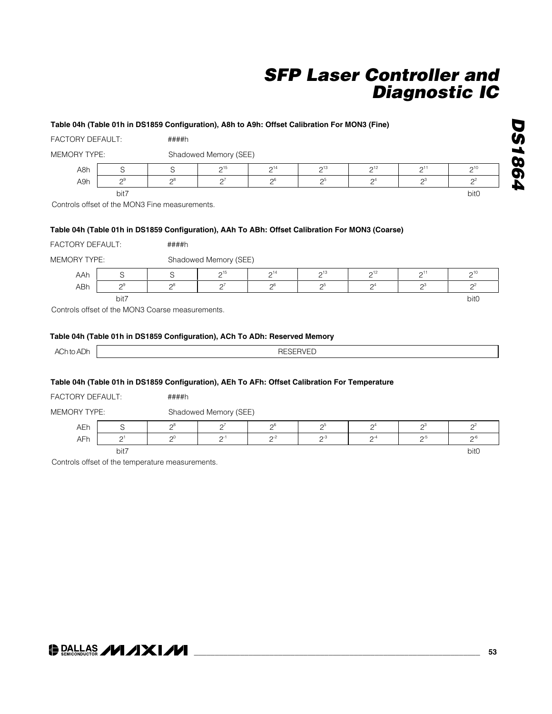### **Table 04h (Table 01h in DS1859 Configuration), A8h to A9h: Offset Calibration For MON3 (Fine)** FACTORY DEFAULT: ####h MEMORY TYPE: Shadowed Memory (SEE) A8h S S S  $2^{15}$   $2^{14}$   $2^{13}$   $2^{12}$   $2^{11}$   $2^{10}$ A9h  $2^9$   $2^8$   $2^7$   $2^6$   $2^5$   $2^4$   $2^3$   $2^3$ bit7 bit0 Controls offset of the MON3 Fine measurements. **Table 04h (Table 01h in DS1859 Configuration), AAh To ABh: Offset Calibration For MON3 (Coarse)** FACTORY DEFAULT: ####h MEMORY TYPE: Shadowed Memory (SEE) AAh S SSS  $2^{15}$   $2^{14}$   $2^{13}$   $2^{12}$   $2^{11}$   $2^{10}$ ABh  $2^9$   $2^8$   $2^7$   $2^6$   $2^6$   $2^5$   $2^4$   $2^3$   $2^2$ bit7 bit0 Controls offset of the MON3 Coarse measurements. **Table 04h (Table 01h in DS1859 Configuration), ACh To ADh: Reserved Memory** ACh to ADh **RESERVED**

### **Table 04h (Table 01h in DS1859 Configuration), AEh To AFh: Offset Calibration For Temperature**

| <b>FACTORY DEFAULT:</b> | ####h |
|-------------------------|-------|
|                         |       |

MEMORY TYPE: Shadowed Memory (SEE)

| AEh | $\overline{\phantom{0}}$ | ∩۶ | $\sim$ 7 | $\bigcap_{i=1}^n$ | n.     | $\Omega$  | ക      |      |
|-----|--------------------------|----|----------|-------------------|--------|-----------|--------|------|
| AFh | $\sim$                   | ⌒  | $\cap$ - | $\sim$            | $\sim$ | $\sim$ -4 | $\sim$ | ∩-i  |
|     | bit7                     |    |          |                   |        |           |        | bit0 |

Controls offset of the temperature measurements.

### **DE DALLAS /VI /IXI/VI**

*DS1864*

**DS1864**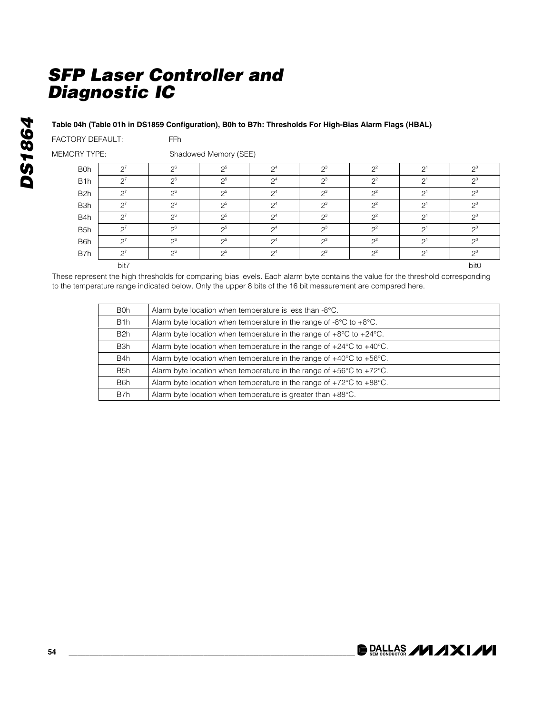### **Table 04h (Table 01h in DS1859 Configuration), B0h to B7h: Thresholds For High-Bias Alarm Flags (HBAL)**

| <b>FACTORY DEFAULT:</b> | FFh |
|-------------------------|-----|

MEMORY TYPE: Shadowed Memory (SEE)

| <b>B0h</b>       | $\Omega$ <sup>7</sup> | $\Omega$ <sup>6</sup> | 2 <sub>0</sub> 5<br>⊂ | $\Omega$ <sup>4</sup> | $\mathbf{a}^3$  | $\Omega$        | $\Omega$  | $2^0$<br>⊂ |
|------------------|-----------------------|-----------------------|-----------------------|-----------------------|-----------------|-----------------|-----------|------------|
| B <sub>1</sub> h | $\cap$                | $\Omega$ <sup>6</sup> | $2^5$                 | $\mathsf{\Omega}^4$   | $\mathcal{D}^3$ | $\mathcal{D}^2$ | $\Omega$  | $2^0$<br>ے |
| B <sub>2</sub> h | $\Omega$              | $\Omega$ <sup>6</sup> | 2 <sub>0</sub> 5<br>⊂ | $\Omega$ <sup>4</sup> | $2^3$           | $\Omega$<br>⊂   | $\Omega$  | $2^0$      |
| B <sub>3</sub> h | $\Omega$              | $\Omega$ <sup>6</sup> | 2 <sub>0</sub> 5      | $\mathsf{\Omega}^4$   | $\mathbf{a}^3$  | $\Omega$        | $\bigcap$ | $\Omega$   |
| B4h              | $\Omega$              | $\Omega$ <sup>6</sup> | 2 <sub>0</sub> 5      | $\Omega$ <sup>4</sup> | $\mathbf{a}^3$  | $\Omega$        | $\cap$    | $\Omega$   |
| B <sub>5</sub> h | $\Omega$              | $\Omega$ <sup>6</sup> | 2 <sup>5</sup>        | $\Omega$ <sup>4</sup> | $\mathbf{a}^3$  | $\Omega$        | $\cap$    | $2^0$      |
| B <sub>6</sub> h | $\Omega^7$<br>└       | $\Omega$ <sup>6</sup> | 2 <sub>0</sub> 5<br>⊂ | $\Omega$ <sup>4</sup> | $\mathbf{a}^3$  | $\Omega$<br>⊂   | $\Omega$  | $2^0$      |
| B7h              | $\Omega$              | $\Omega$ <sup>6</sup> | $\mathcal{D}^5$       | $\Omega$ <sup>4</sup> | $\mathbf{a}^3$  | $\Omega$        | $\cap$    | $\Omega$   |
|                  | bit7                  |                       |                       |                       |                 |                 |           | bit0       |

These represent the high thresholds for comparing bias levels. Each alarm byte contains the value for the threshold corresponding to the temperature range indicated below. Only the upper 8 bits of the 16 bit measurement are compared here.

| B0h              | Alarm byte location when temperature is less than -8°C.                                  |
|------------------|------------------------------------------------------------------------------------------|
| B <sub>1</sub> h | Alarm byte location when temperature in the range of $-8^{\circ}$ C to $+8^{\circ}$ C.   |
| B <sub>2</sub> h | Alarm byte location when temperature in the range of $+8^{\circ}$ C to $+24^{\circ}$ C.  |
| B3h              | Alarm byte location when temperature in the range of $+24^{\circ}$ C to $+40^{\circ}$ C. |
| B <sub>4</sub> h | Alarm byte location when temperature in the range of $+40^{\circ}$ C to $+56^{\circ}$ C. |
| B <sub>5</sub> h | Alarm byte location when temperature in the range of $+56^{\circ}$ C to $+72^{\circ}$ C. |
| B <sub>6</sub> h | Alarm byte location when temperature in the range of $+72^{\circ}$ C to $+88^{\circ}$ C. |
| B7h              | Alarm byte location when temperature is greater than $+88^{\circ}$ C.                    |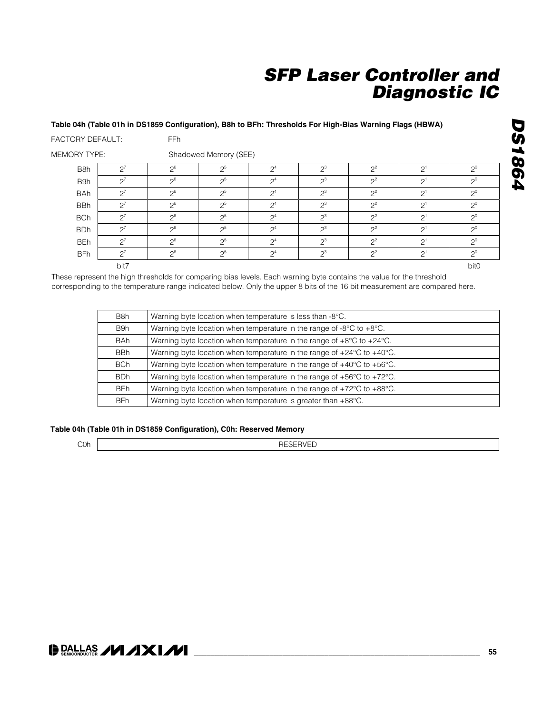#### **Table 04h (Table 01h in DS1859 Configuration), B8h to BFh: Thresholds For High-Bias Warning Flags (HBWA)**

| <b>FACTORY DEFAULT:</b> |                 | <b>FFh</b> |                       |                 |       |       |                |                  |  |  |  |
|-------------------------|-----------------|------------|-----------------------|-----------------|-------|-------|----------------|------------------|--|--|--|
| <b>MEMORY TYPE:</b>     |                 |            | Shadowed Memory (SEE) |                 |       |       |                |                  |  |  |  |
| B <sub>8</sub> h        | $2^7$           | $2^6$      | $2^{5}$               | 2 <sup>4</sup>  | $2^3$ | $2^2$ | $2^{1}$        | $2^0$            |  |  |  |
| B9h                     | $2^7$           | $2^6$      | $2^5$                 | $2^4$           | $2^3$ | $2^2$ | $2^{1}$        | $2^0$            |  |  |  |
| <b>BAh</b>              | $2^7$           | $2^6$      | 2 <sup>5</sup>        | 2 <sup>4</sup>  | $2^3$ | $2^2$ | 2 <sup>1</sup> | $2^0$            |  |  |  |
| <b>BBh</b>              | $\mathcal{Q}^7$ | $2^6$      | -ე5                   | $\mathcal{D}^4$ | $2^3$ | $2^2$ | 2 <sup>1</sup> | $2^0$            |  |  |  |
| <b>BCh</b>              | $2^7$           | $2^6$      | $2^5$                 | $2^4$           | $2^3$ | $2^2$ | 2 <sup>1</sup> | $2^0$            |  |  |  |
| <b>BDh</b>              | $2^7$           | $2^6$      | 2 <sub>0</sub> 5      | $\mathcal{D}^4$ | $2^3$ | $2^2$ | $2^{1}$        | $2^0$            |  |  |  |
| <b>BEh</b>              | $2^7$           | $2^6$      | 2 <sub>0</sub> 5      | $\mathcal{D}^4$ | $2^3$ | $2^2$ | 2 <sup>1</sup> | $2^0$            |  |  |  |
| <b>BFh</b>              | $2^7$           | $2^6$      | $2^5$                 | $2^4$           | $2^3$ | $2^2$ | $2^{1}$        | $2^0$            |  |  |  |
|                         | bit7            |            |                       |                 |       |       |                | bit <sub>0</sub> |  |  |  |

These represent the high thresholds for comparing bias levels. Each warning byte contains the value for the threshold corresponding to the temperature range indicated below. Only the upper 8 bits of the 16 bit measurement are compared here.

| B8h        | Warning byte location when temperature is less than -8°C.                                  |
|------------|--------------------------------------------------------------------------------------------|
| B9h        | Warning byte location when temperature in the range of -8 $\degree$ C to +8 $\degree$ C.   |
| <b>BAh</b> | Warning byte location when temperature in the range of $+8^{\circ}$ C to $+24^{\circ}$ C.  |
| <b>BBh</b> | Warning byte location when temperature in the range of +24°C to +40°C.                     |
| <b>BCh</b> | Warning byte location when temperature in the range of $+40^{\circ}$ C to $+56^{\circ}$ C. |
| <b>BDh</b> | Warning byte location when temperature in the range of $+56^{\circ}$ C to $+72^{\circ}$ C. |
| BEh        | Warning byte location when temperature in the range of +72°C to +88°C.                     |
| <b>BFh</b> | Warning byte location when temperature is greater than +88°C.                              |

#### **Table 04h (Table 01h in DS1859 Configuration), C0h: Reserved Memory**

RESERVED

### **DALLAS /VI/IXI/VI**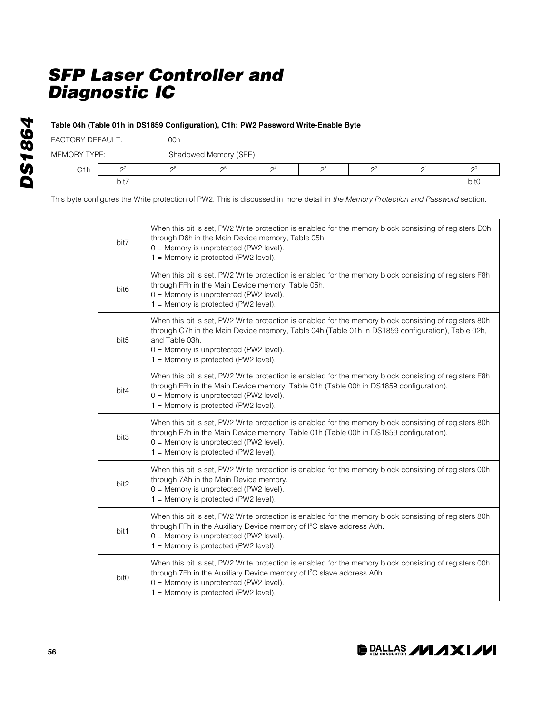### **Table 04h (Table 01h in DS1859 Configuration), C1h: PW2 Password Write-Enable Byte**

| <b>FACTORY DEFAULT:</b> |      | 00h |                       |                     |                     |    |           |      |  |
|-------------------------|------|-----|-----------------------|---------------------|---------------------|----|-----------|------|--|
| <b>MEMORY TYPE:</b>     |      |     | Shadowed Memory (SEE) |                     |                     |    |           |      |  |
| C1h                     |      | nb  |                       | $\mathsf{\Omega}^4$ | $\sim$ <sup>3</sup> | ∩≥ | $\bigcap$ |      |  |
|                         | bit7 |     |                       |                     |                     |    |           | bit0 |  |

This byte configures the Write protection of PW2. This is discussed in more detail in *the Memory Protection and Password* section.

| bit7             | When this bit is set, PW2 Write protection is enabled for the memory block consisting of registers D0h<br>through D6h in the Main Device memory, Table 05h.<br>0 = Memory is unprotected (PW2 level).<br>1 = Memory is protected (PW2 level).                                                                  |
|------------------|----------------------------------------------------------------------------------------------------------------------------------------------------------------------------------------------------------------------------------------------------------------------------------------------------------------|
| bit <sub>6</sub> | When this bit is set, PW2 Write protection is enabled for the memory block consisting of registers F8h<br>through FFh in the Main Device memory, Table 05h.<br>0 = Memory is unprotected (PW2 level).<br>1 = Memory is protected (PW2 level).                                                                  |
| bit <sub>5</sub> | When this bit is set, PW2 Write protection is enabled for the memory block consisting of registers 80h<br>through C7h in the Main Device memory, Table 04h (Table 01h in DS1859 configuration), Table 02h,<br>and Table 03h.<br>0 = Memory is unprotected (PW2 level).<br>1 = Memory is protected (PW2 level). |
| bit4             | When this bit is set, PW2 Write protection is enabled for the memory block consisting of registers F8h<br>through FFh in the Main Device memory, Table 01h (Table 00h in DS1859 configuration).<br>0 = Memory is unprotected (PW2 level).<br>$1 =$ Memory is protected (PW2 level).                            |
| bit3             | When this bit is set, PW2 Write protection is enabled for the memory block consisting of registers 80h<br>through F7h in the Main Device memory, Table 01h (Table 00h in DS1859 configuration).<br>0 = Memory is unprotected (PW2 level).<br>1 = Memory is protected (PW2 level).                              |
| bit2             | When this bit is set, PW2 Write protection is enabled for the memory block consisting of registers 00h<br>through 7Ah in the Main Device memory.<br>0 = Memory is unprotected (PW2 level).<br>1 = Memory is protected (PW2 level).                                                                             |
| bit1             | When this bit is set, PW2 Write protection is enabled for the memory block consisting of registers 80h<br>through FFh in the Auxiliary Device memory of I <sup>2</sup> C slave address A0h.<br>0 = Memory is unprotected (PW2 level).<br>1 = Memory is protected (PW2 level).                                  |
| bit0             | When this bit is set, PW2 Write protection is enabled for the memory block consisting of registers 00h<br>through 7Fh in the Auxiliary Device memory of I <sup>2</sup> C slave address A0h.<br>0 = Memory is unprotected (PW2 level).<br>1 = Memory is protected (PW2 level).                                  |

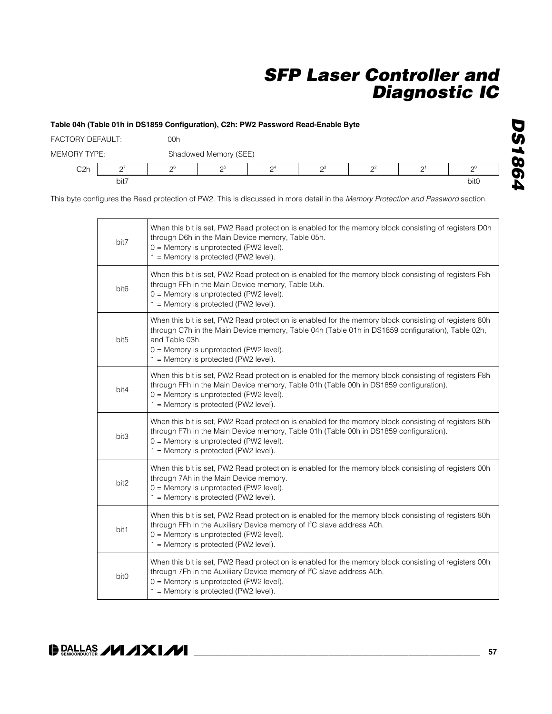#### **Table 04h (Table 01h in DS1859 Configuration), C2h: PW2 Password Read-Enable Byte**

| <b>FACTORY DEFAULT:</b> |      | 00h |                       |                       |                 |    |          |          |  |  |
|-------------------------|------|-----|-----------------------|-----------------------|-----------------|----|----------|----------|--|--|
| <b>MEMORY TYPE:</b>     |      |     | Shadowed Memory (SEE) |                       |                 |    |          |          |  |  |
| C <sub>2</sub> h        |      | nb  | റാ                    | $\Omega$ <sup>4</sup> | $\mathcal{D}^3$ | ∩≃ | $\cap$ 1 | $\Omega$ |  |  |
|                         | bit7 |     |                       |                       |                 |    |          | bit0     |  |  |

This byte configures the Read protection of PW2. This is discussed in more detail in the *Memory Protection and Password* section.

| bit7             | When this bit is set, PW2 Read protection is enabled for the memory block consisting of registers D0h<br>through D6h in the Main Device memory, Table 05h.<br>0 = Memory is unprotected (PW2 level).<br>1 = Memory is protected (PW2 level).                                                                    |
|------------------|-----------------------------------------------------------------------------------------------------------------------------------------------------------------------------------------------------------------------------------------------------------------------------------------------------------------|
| bit <sub>6</sub> | When this bit is set, PW2 Read protection is enabled for the memory block consisting of registers F8h<br>through FFh in the Main Device memory, Table 05h.<br>$0 =$ Memory is unprotected (PW2 level).<br>1 = Memory is protected (PW2 level).                                                                  |
| bit <sub>5</sub> | When this bit is set, PW2 Read protection is enabled for the memory block consisting of registers 80h<br>through C7h in the Main Device memory, Table 04h (Table 01h in DS1859 configuration), Table 02h,<br>and Table 03h.<br>$0 =$ Memory is unprotected (PW2 level).<br>1 = Memory is protected (PW2 level). |
| bit4             | When this bit is set, PW2 Read protection is enabled for the memory block consisting of registers F8h<br>through FFh in the Main Device memory, Table 01h (Table 00h in DS1859 configuration).<br>0 = Memory is unprotected (PW2 level).<br>1 = Memory is protected (PW2 level).                                |
| bit3             | When this bit is set, PW2 Read protection is enabled for the memory block consisting of registers 80h<br>through F7h in the Main Device memory, Table 01h (Table 00h in DS1859 configuration).<br>$0 =$ Memory is unprotected (PW2 level).<br>1 = Memory is protected (PW2 level).                              |
| bit2             | When this bit is set, PW2 Read protection is enabled for the memory block consisting of registers 00h<br>through 7Ah in the Main Device memory.<br>$0 =$ Memory is unprotected (PW2 level).<br>1 = Memory is protected (PW2 level).                                                                             |
| bit1             | When this bit is set, PW2 Read protection is enabled for the memory block consisting of registers 80h<br>through FFh in the Auxiliary Device memory of I <sup>2</sup> C slave address A0h.<br>$0 =$ Memory is unprotected (PW2 level).<br>1 = Memory is protected (PW2 level).                                  |
| bit0             | When this bit is set, PW2 Read protection is enabled for the memory block consisting of registers 00h<br>through 7Fh in the Auxiliary Device memory of I <sup>2</sup> C slave address A0h.<br>$0 =$ Memory is unprotected (PW2 level).<br>1 = Memory is protected (PW2 level).                                  |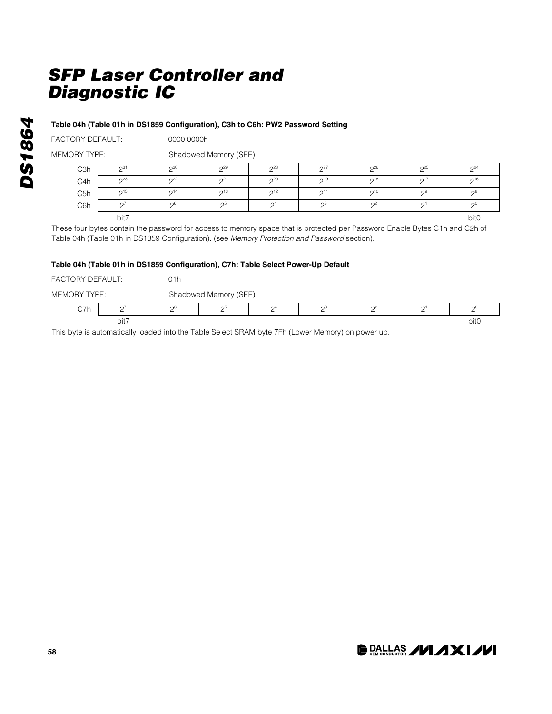### **Table 04h (Table 01h in DS1859 Configuration), C3h to C6h: PW2 Password Setting**

FACTORY DEFAULT: 0000 0000h

MEMORY TYPE: Shadowed Memory (SEE)

| C <sub>3</sub> h | $\bigcap_{31}$         | $\Omega$               | 2 <sup>29</sup> | 28                    | $\Omega$ <sup>27</sup> | 26                 | $\mathcal{D}^{25}$     | 2 <sup>24</sup> |
|------------------|------------------------|------------------------|-----------------|-----------------------|------------------------|--------------------|------------------------|-----------------|
| C4h              | $\Omega$ <sup>23</sup> | $\bigcap_{22}$         | 2 <sup>21</sup> | 20                    | $\mathsf{\Omega}^{19}$ | $\bigcap_{18}$     | $\Omega$ <sup>17</sup> | $2^{16}$        |
| C <sub>5h</sub>  | $\mathcal{D}^{15}$     | $\mathsf{\Omega}^{14}$ | 2 <sup>13</sup> | 2 <sup>12</sup>       | $\bigcap$ 11           | $\mathcal{D}^{10}$ | $\Omega$ <sup>9</sup>  | $\cap^8$        |
| C6h              | $\sim$                 | $\mathcal{L}$          | $\mathcal{D}^5$ | $\Omega$ <sup>4</sup> | $\sim$ <sup>3</sup>    | $\sim$             | ⌒                      |                 |
|                  | bit7                   |                        |                 |                       |                        |                    |                        | bit0            |

These four bytes contain the password for access to memory space that is protected per Password Enable Bytes C1h and C2h of Table 04h (Table 01h in DS1859 Configuration). (see *Memory Protection and Password* section).

### **Table 04h (Table 01h in DS1859 Configuration), C7h: Table Select Power-Up Default**

| FACTORY DEFAULT:    |        | 01h             |                       |                     |                |          |                     |                  |  |  |
|---------------------|--------|-----------------|-----------------------|---------------------|----------------|----------|---------------------|------------------|--|--|
| <b>MEMORY TYPE:</b> |        |                 | Shadowed Memory (SEE) |                     |                |          |                     |                  |  |  |
| C7h                 | $\sim$ | $\mathcal{D}^6$ | $\mathsf{\Omega}^5$   | $\mathsf{\Omega}^4$ | $\mathsf{D}^3$ | $\Omega$ | $\cap$ <sup>1</sup> | ω                |  |  |
| bit7                |        |                 |                       |                     |                |          |                     | bit <sub>0</sub> |  |  |

This byte is automatically loaded into the Table Select SRAM byte 7Fh (Lower Memory) on power up.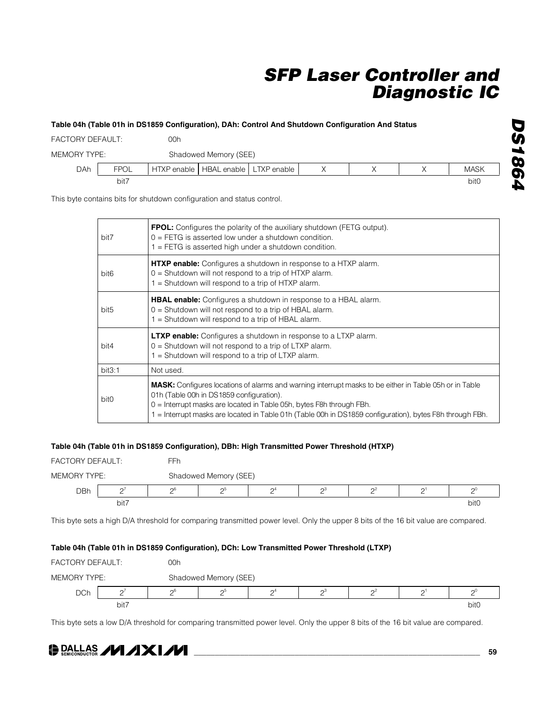### **Table 04h (Table 01h in DS1859 Configuration), DAh: Control And Shutdown Configuration And Status**

| <b>FACTORY DEFAULT:</b> |             | 00h                                     |                       |  |  |  |  |                  |  |  |
|-------------------------|-------------|-----------------------------------------|-----------------------|--|--|--|--|------------------|--|--|
| <b>MEMORY TYPE:</b>     |             |                                         | Shadowed Memory (SEE) |  |  |  |  |                  |  |  |
| DAh                     | <b>FPOL</b> | HTXP enable   HBAL enable   LTXP enable |                       |  |  |  |  | <b>MASK</b>      |  |  |
|                         | bit7        |                                         |                       |  |  |  |  | bit <sub>0</sub> |  |  |

This byte contains bits for shutdown configuration and status control.

| bit7             | <b>FPOL:</b> Configures the polarity of the auxiliary shutdown (FETG output).<br>$0 = FETG$ is asserted low under a shutdown condition.<br>$1 = FETG$ is asserted high under a shutdown condition.                                                                                                                                            |
|------------------|-----------------------------------------------------------------------------------------------------------------------------------------------------------------------------------------------------------------------------------------------------------------------------------------------------------------------------------------------|
| bit <sub>6</sub> | <b>HTXP enable:</b> Configures a shutdown in response to a HTXP alarm.<br>$0 =$ Shutdown will not respond to a trip of HTXP alarm.<br>$1 =$ Shutdown will respond to a trip of HTXP alarm.                                                                                                                                                    |
| bit <sub>5</sub> | <b>HBAL enable:</b> Configures a shutdown in response to a HBAL alarm.<br>$0 =$ Shutdown will not respond to a trip of HBAL alarm.<br>1 = Shutdown will respond to a trip of HBAL alarm.                                                                                                                                                      |
| bit4             | <b>LTXP enable:</b> Configures a shutdown in response to a LTXP alarm.<br>$0 =$ Shutdown will not respond to a trip of LTXP alarm.<br>1 = Shutdown will respond to a trip of LTXP alarm.                                                                                                                                                      |
| bit3:1           | Not used.                                                                                                                                                                                                                                                                                                                                     |
| bit <sub>0</sub> | <b>MASK:</b> Configures locations of alarms and warning interrupt masks to be either in Table 05h or in Table<br>01h (Table 00h in DS1859 configuration).<br>0 = Interrupt masks are located in Table 05h, bytes F8h through FBh.<br>1 = Interrupt masks are located in Table 01h (Table 00h in DS1859 configuration), bytes F8h through FBh. |

### **Table 04h (Table 01h in DS1859 Configuration), DBh: High Transmitted Power Threshold (HTXP)**

| <b>FACTORY DEFAULT:</b> |           | FFr             |                       |                       |    |          |  |             |  |  |
|-------------------------|-----------|-----------------|-----------------------|-----------------------|----|----------|--|-------------|--|--|
| MEMORY TYPE:            |           |                 | Shadowed Memory (SEE) |                       |    |          |  |             |  |  |
| <b>DBh</b>              | $\bigcap$ | $\mathcal{D}^6$ | റാ                    | $\Omega$ <sup>4</sup> | റ3 | $\Omega$ |  | n           |  |  |
|                         | bit7      |                 |                       |                       |    |          |  | <b>bit0</b> |  |  |

This byte sets a high D/A threshold for comparing transmitted power level. Only the upper 8 bits of the 16 bit value are compared.

#### **Table 04h (Table 01h in DS1859 Configuration), DCh: Low Transmitted Power Threshold (LTXP)**

| <b>FACTORY DEFAULT:</b> |        | 00h             |                       |                       |                |    |    |      |  |  |
|-------------------------|--------|-----------------|-----------------------|-----------------------|----------------|----|----|------|--|--|
| MEMORY TYPE:            |        |                 | Shadowed Memory (SEE) |                       |                |    |    |      |  |  |
| <b>DCh</b>              | $\sim$ | $\mathcal{D}^6$ | റ്                    | $\Omega$ <sup>4</sup> | $\mathsf{a}^3$ | n2 | n1 |      |  |  |
|                         | bit7   |                 |                       |                       |                |    |    | bit0 |  |  |

This byte sets a low D/A threshold for comparing transmitted power level. Only the upper 8 bits of the 16 bit value are compared.



*DS1864*

**DS1864**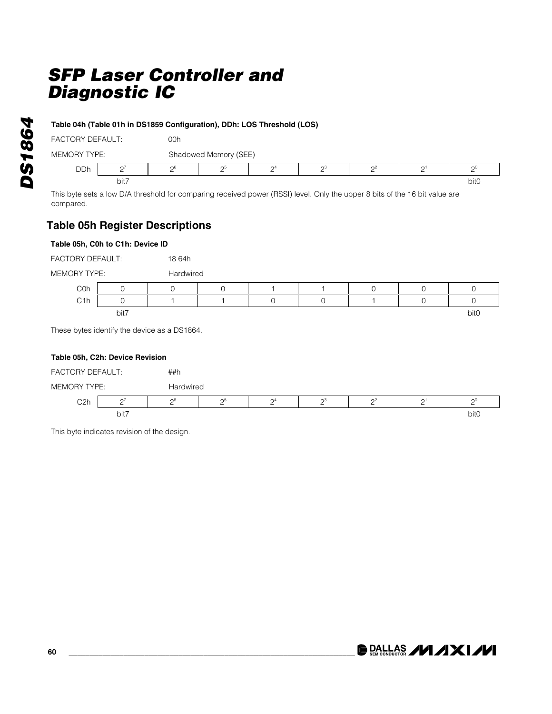### **Table 04h (Table 01h in DS1859 Configuration), DDh: LOS Threshold (LOS)**

| <b>FACTORY DEFAULT:</b> |      | 00h             |                                            |                     |                |  |           |      |  |  |  |
|-------------------------|------|-----------------|--------------------------------------------|---------------------|----------------|--|-----------|------|--|--|--|
| MEMORY TYPE:            |      |                 | Shadowed Memory (SEE)                      |                     |                |  |           |      |  |  |  |
| <b>DDh</b>              |      | $\mathcal{D}^6$ | റാ                                         | $\mathsf{\Omega}^4$ | $\mathsf{D}^3$ |  | $\bigcap$ |      |  |  |  |
|                         | bit7 |                 |                                            |                     |                |  |           | bit0 |  |  |  |
|                         | _    |                 | <b>Contract Contract Contract Contract</b> |                     |                |  |           |      |  |  |  |

This byte sets a low D/A threshold for comparing received power (RSSI) level. Only the upper 8 bits of the 16 bit value are compared.

### **Table 05h Register Descriptions**

### **Table 05h, C0h to C1h: Device ID**

| <b>FACTORY DEFAULT:</b> |      | 18 64h                                       |           |  |  |  |  |                  |  |  |  |
|-------------------------|------|----------------------------------------------|-----------|--|--|--|--|------------------|--|--|--|
| MEMORY TYPE:            |      |                                              | Hardwired |  |  |  |  |                  |  |  |  |
| C <sub>O</sub> h        |      |                                              |           |  |  |  |  |                  |  |  |  |
| C <sub>1</sub> h        |      |                                              |           |  |  |  |  |                  |  |  |  |
|                         | bit7 |                                              |           |  |  |  |  | bit <sub>0</sub> |  |  |  |
|                         |      | These bytes identify the device as a DS1864. |           |  |  |  |  |                  |  |  |  |

### **Table 05h, C2h: Device Revision**



This byte indicates revision of the design.

**DALLAS /VI/IXI/VI**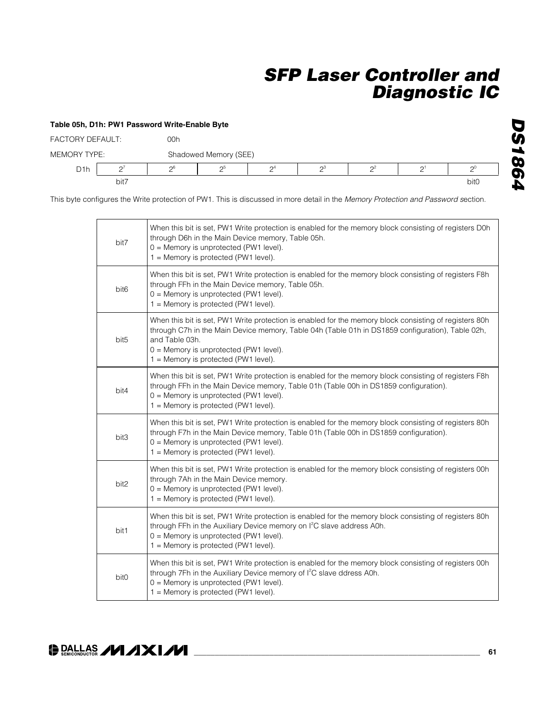|                         | Table 05h, D1h: PW1 Password Write-Enable Byte |     |                       |       |       |          |                |                  |  |  |
|-------------------------|------------------------------------------------|-----|-----------------------|-------|-------|----------|----------------|------------------|--|--|
| <b>FACTORY DEFAULT:</b> |                                                | 00h |                       |       |       |          |                |                  |  |  |
| <b>MEMORY TYPE:</b>     |                                                |     | Shadowed Memory (SEE) |       |       |          |                |                  |  |  |
| D <sub>1</sub> h        | $2^7$                                          | -ე6 | 2 <sup>5</sup>        | $2^4$ | $2^3$ | $\Omega$ | 2 <sup>1</sup> | $2^0$            |  |  |
| bit7                    |                                                |     |                       |       |       |          |                | bit <sub>0</sub> |  |  |

This byte configures the Write protection of PW1. This is discussed in more detail in the *Memory Protection and Password s*ection.

| bit7             | When this bit is set, PW1 Write protection is enabled for the memory block consisting of registers D0h<br>through D6h in the Main Device memory, Table 05h.<br>$0 =$ Memory is unprotected (PW1 level).<br>1 = Memory is protected (PW1 level).                                                                    |
|------------------|--------------------------------------------------------------------------------------------------------------------------------------------------------------------------------------------------------------------------------------------------------------------------------------------------------------------|
| bit <sub>6</sub> | When this bit is set, PW1 Write protection is enabled for the memory block consisting of registers F8h<br>through FFh in the Main Device memory, Table 05h.<br>$0 =$ Memory is unprotected (PW1 level).<br>$1 =$ Memory is protected (PW1 level).                                                                  |
| bit <sub>5</sub> | When this bit is set, PW1 Write protection is enabled for the memory block consisting of registers 80h<br>through C7h in the Main Device memory, Table 04h (Table 01h in DS1859 configuration), Table 02h,<br>and Table 03h.<br>$0 =$ Memory is unprotected (PW1 level).<br>$1 =$ Memory is protected (PW1 level). |
| bit4             | When this bit is set, PW1 Write protection is enabled for the memory block consisting of registers F8h<br>through FFh in the Main Device memory, Table 01h (Table 00h in DS1859 configuration).<br>$0 =$ Memory is unprotected (PW1 level).<br>$1 =$ Memory is protected (PW1 level).                              |
| bit3             | When this bit is set, PW1 Write protection is enabled for the memory block consisting of registers 80h<br>through F7h in the Main Device memory, Table 01h (Table 00h in DS1859 configuration).<br>$0 =$ Memory is unprotected (PW1 level).<br>1 = Memory is protected (PW1 level).                                |
| bit2             | When this bit is set, PW1 Write protection is enabled for the memory block consisting of registers 00h<br>through 7Ah in the Main Device memory.<br>0 = Memory is unprotected (PW1 level).<br>1 = Memory is protected (PW1 level).                                                                                 |
| bit1             | When this bit is set, PW1 Write protection is enabled for the memory block consisting of registers 80h<br>through FFh in the Auxiliary Device memory on l <sup>2</sup> C slave address A0h.<br>0 = Memory is unprotected (PW1 level).<br>1 = Memory is protected (PW1 level).                                      |
| bit0             | When this bit is set, PW1 Write protection is enabled for the memory block consisting of registers 00h<br>through 7Fh in the Auxiliary Device memory of I <sup>2</sup> C slave ddress A0h.<br>$0 =$ Memory is unprotected (PW1 level).<br>1 = Memory is protected (PW1 level).                                     |

*DS1864*

**DS1864**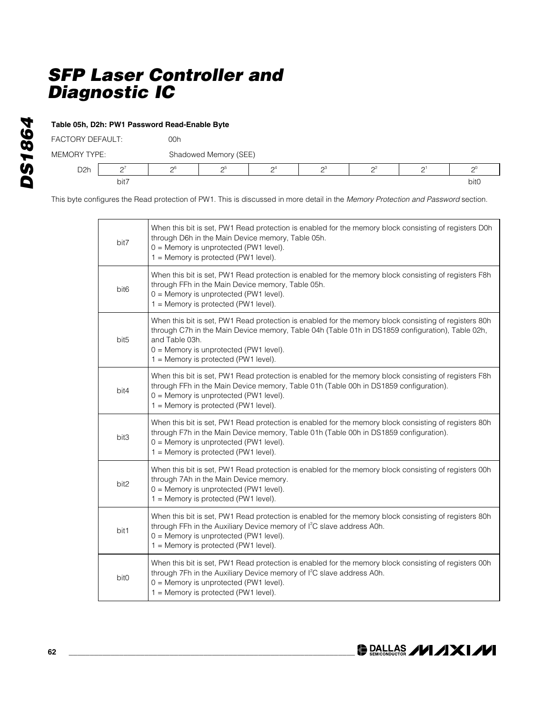|                     | Table 05h, D2h: PW1 Password Read-Enable Byte |       |                       |                 |       |       |                 |                  |  |
|---------------------|-----------------------------------------------|-------|-----------------------|-----------------|-------|-------|-----------------|------------------|--|
| FACTORY DEFAULT:    |                                               | 00h   |                       |                 |       |       |                 |                  |  |
| <b>MEMORY TYPE:</b> |                                               |       | Shadowed Memory (SEE) |                 |       |       |                 |                  |  |
| D <sub>2</sub> h    | C.                                            | $2^6$ | റ്                    | $\mathcal{D}^4$ | $2^3$ | $2^2$ | $\mathcal{D}^1$ | $\Omega^0$       |  |
|                     | bit7                                          |       |                       |                 |       |       |                 | bit <sub>0</sub> |  |

This byte configures the Read protection of PW1. This is discussed in more detail in the *Memory Protection and Password* section.

| bit7             | When this bit is set, PW1 Read protection is enabled for the memory block consisting of registers D0h<br>through D6h in the Main Device memory, Table 05h.<br>$0 =$ Memory is unprotected (PW1 level).<br>1 = Memory is protected (PW1 level).                                                                  |
|------------------|-----------------------------------------------------------------------------------------------------------------------------------------------------------------------------------------------------------------------------------------------------------------------------------------------------------------|
| bit <sub>6</sub> | When this bit is set, PW1 Read protection is enabled for the memory block consisting of registers F8h<br>through FFh in the Main Device memory, Table 05h.<br>0 = Memory is unprotected (PW1 level).<br>1 = Memory is protected (PW1 level).                                                                    |
| bit <sub>5</sub> | When this bit is set, PW1 Read protection is enabled for the memory block consisting of registers 80h<br>through C7h in the Main Device memory, Table 04h (Table 01h in DS1859 configuration), Table 02h,<br>and Table 03h.<br>$0 =$ Memory is unprotected (PW1 level).<br>1 = Memory is protected (PW1 level). |
| bit4             | When this bit is set, PW1 Read protection is enabled for the memory block consisting of registers F8h<br>through FFh in the Main Device memory, Table 01h (Table 00h in DS1859 configuration).<br>$0 =$ Memory is unprotected (PW1 level).<br>1 = Memory is protected (PW1 level).                              |
| bit3             | When this bit is set, PW1 Read protection is enabled for the memory block consisting of registers 80h<br>through F7h in the Main Device memory, Table 01h (Table 00h in DS1859 configuration).<br>$0 =$ Memory is unprotected (PW1 level).<br>1 = Memory is protected (PW1 level).                              |
| bit2             | When this bit is set, PW1 Read protection is enabled for the memory block consisting of registers 00h<br>through 7Ah in the Main Device memory.<br>0 = Memory is unprotected (PW1 level).<br>1 = Memory is protected (PW1 level).                                                                               |
| bit1             | When this bit is set, PW1 Read protection is enabled for the memory block consisting of registers 80h<br>through FFh in the Auxiliary Device memory of I <sup>2</sup> C slave address A0h.<br>0 = Memory is unprotected (PW1 level).<br>$1 =$ Memory is protected (PW1 level).                                  |
| bit <sub>0</sub> | When this bit is set, PW1 Read protection is enabled for the memory block consisting of registers 00h<br>through 7Fh in the Auxiliary Device memory of I <sup>2</sup> C slave address A0h.<br>$0 =$ Memory is unprotected (PW1 level).<br>1 = Memory is protected (PW1 level).                                  |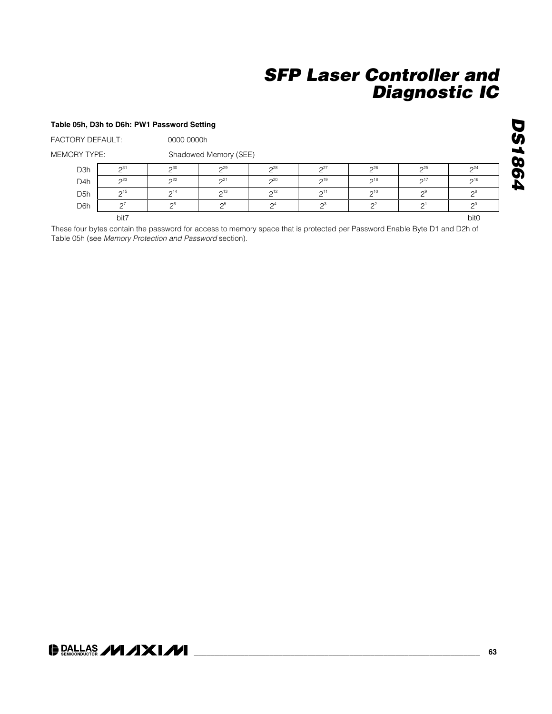#### **Table 05h, D3h to D6h: PW1 Password Setting**

FACTORY DEFAULT: 0000 0000h

MEMORY TYPE: Shadowed Memory (SEE)

| D <sub>3</sub> h | $\bigcap_{31}$ | $2^{30}$            | 2 <sup>9</sup> | 28                    | $\Omega$               | 26                 | $\Omega$ <sup>25</sup> | 2 <sup>24</sup> |
|------------------|----------------|---------------------|----------------|-----------------------|------------------------|--------------------|------------------------|-----------------|
| D <sub>4</sub> h | $2^{23}$       | 2 <sup>22</sup>     | $\bigcap_{21}$ | 20                    | $\mathsf{\Omega}^{19}$ | $\mathcal{D}^{18}$ | $\bigcap$ 17           | 216             |
| D <sub>5</sub> h | $2^{15}$       | 214                 | $\bigcap$ 13   | $\bigcap_{12}$        | $\bigcap$ <sup>1</sup> | $\mathcal{D}^{10}$ | $\Omega$               | റ്              |
| D <sub>6</sub> h |                | $\cap$ <sup>6</sup> | റാ             | $\Omega$ <sup>4</sup> | $\sim$ <sup>3</sup>    | $\Omega$           |                        | ∩               |
|                  | bit7           |                     |                |                       |                        |                    |                        | bit0            |

These four bytes contain the password for access to memory space that is protected per Password Enable Byte D1 and D2h of Table 05h (see *Memory Protection and Password* section).

# **DS1864** *DS1864*

### **DALLAS /VI/IXI/VI**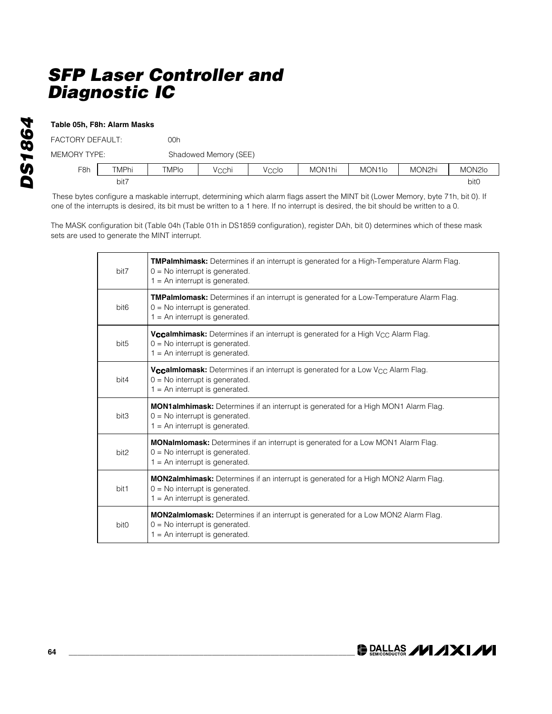### **Table 05h, F8h: Alarm Masks**

| FACTORY DEFAULT: |       | 00h   |                       |       |        |                     |        |                  |  |
|------------------|-------|-------|-----------------------|-------|--------|---------------------|--------|------------------|--|
| MEMORY TYPE:     |       |       | Shadowed Memory (SEE) |       |        |                     |        |                  |  |
| F <sub>8h</sub>  | TMPhi | TMPIo | Vechi                 | Veclo | MON1hi | MON <sub>1</sub> lo | MON2hi | MON2Io           |  |
|                  | bit7  |       |                       |       |        |                     |        | bit <sub>0</sub> |  |

These bytes configure a maskable interrupt, determining which alarm flags assert the MINT bit (Lower Memory, byte 71h, bit 0). If one of the interrupts is desired, its bit must be written to a 1 here. If no interrupt is desired, the bit should be written to a 0.

The MASK configuration bit (Table 04h (Table 01h in DS1859 configuration), register DAh, bit 0) determines which of these mask sets are used to generate the MINT interrupt.

| bit7             | <b>TMPalmhimask:</b> Determines if an interrupt is generated for a High-Temperature Alarm Flag.<br>$0 = No$ interrupt is generated.<br>$1 = An$ interrupt is generated.     |
|------------------|-----------------------------------------------------------------------------------------------------------------------------------------------------------------------------|
| bit <sub>6</sub> | TMPalmlomask: Determines if an interrupt is generated for a Low-Temperature Alarm Flag.<br>$0 = No$ interrupt is generated.<br>$1 = An$ interrupt is generated.             |
| bit <sub>5</sub> | <b>Vccalmhimask:</b> Determines if an interrupt is generated for a High V <sub>CC</sub> Alarm Flag.<br>$0 = No$ interrupt is generated.<br>$1 = An$ interrupt is generated. |
| bit4             | <b>Vccalmiomask:</b> Determines if an interrupt is generated for a Low V <sub>CC</sub> Alarm Flag.<br>$0 = No$ interrupt is generated.<br>$1 = An$ interrupt is generated.  |
| bit3             | <b>MON1almhimask:</b> Determines if an interrupt is generated for a High MON1 Alarm Flag.<br>$0 = No$ interrupt is generated.<br>$1 = An$ interrupt is generated.           |
| bit2             | MONalmiomask: Determines if an interrupt is generated for a Low MON1 Alarm Flag.<br>$0 = No$ interrupt is generated.<br>$1 = An$ interrupt is generated.                    |
| bit1             | <b>MON2almhimask:</b> Determines if an interrupt is generated for a High MON2 Alarm Flag.<br>$0 = No$ interrupt is generated.<br>$1 = An$ interrupt is generated.           |
| bit0             | <b>MON2almiomask:</b> Determines if an interrupt is generated for a Low MON2 Alarm Flag.<br>$0 = No$ interrupt is generated.<br>$1 = An$ interrupt is generated.            |

DRALLAS /VI/IXI/VI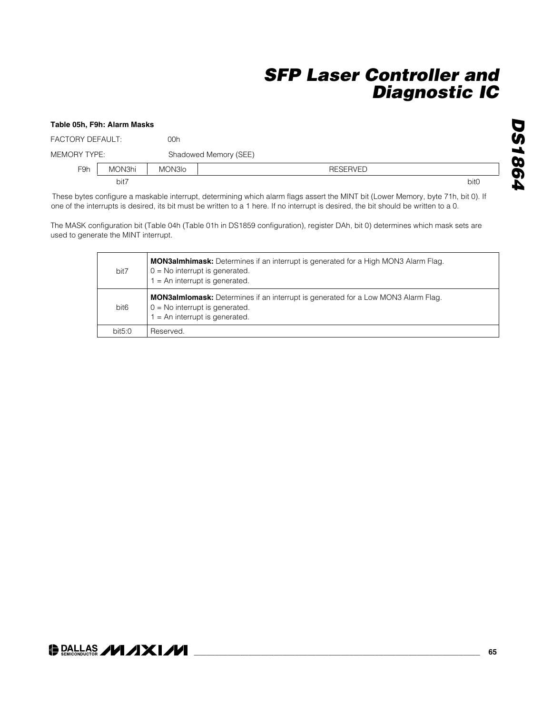### **Table 05h, F9h: Alarm Masks** FACTORY DEFAULT: 00h MEMORY TYPE: Shadowed Memory (SEE) F9h MON3hi MON3lo Channel Monach Channel RESERVED bit7 bit0

These bytes configure a maskable interrupt, determining which alarm flags assert the MINT bit (Lower Memory, byte 71h, bit 0). If one of the interrupts is desired, its bit must be written to a 1 here. If no interrupt is desired, the bit should be written to a 0.

The MASK configuration bit (Table 04h (Table 01h in DS1859 configuration), register DAh, bit 0) determines which mask sets are used to generate the MINT interrupt.

| bit7             | <b>MON3almhimask:</b> Determines if an interrupt is generated for a High MON3 Alarm Flag.<br>$0 = No$ interrupt is generated.<br>$1 = An$ interrupt is generated. |
|------------------|-------------------------------------------------------------------------------------------------------------------------------------------------------------------|
| bit <sub>6</sub> | <b>MON3almiomask:</b> Determines if an interrupt is generated for a Low MON3 Alarm Flag.<br>$0 = No$ interrupt is generated.<br>$1 = An$ interrupt is generated.  |
| bit5.0           | Reserved.                                                                                                                                                         |

**DS1864** *DS1864*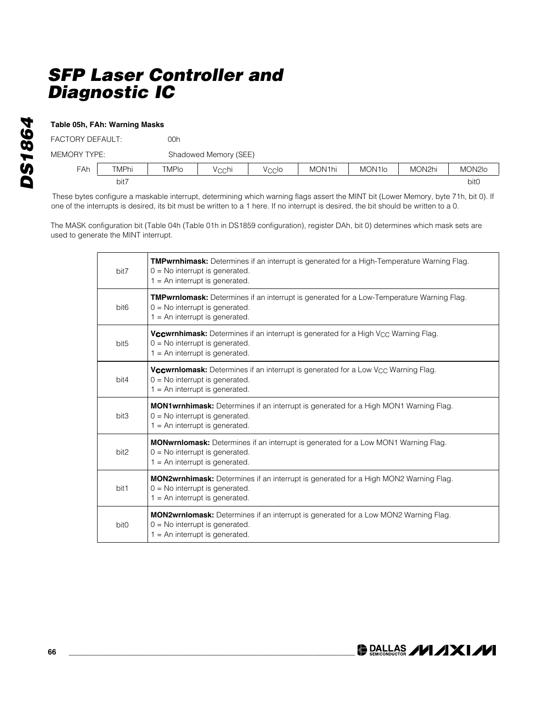### **Table 05h, FAh: Warning Masks**

| FACTORY DEFAULT: |       | 00h          |                       |       |        |                     |        |                  |  |  |
|------------------|-------|--------------|-----------------------|-------|--------|---------------------|--------|------------------|--|--|
| MEMORY TYPE:     |       |              | Shadowed Memory (SEE) |       |        |                     |        |                  |  |  |
| <b>FAh</b>       | TMPhi | <b>TMPIO</b> | Vechi                 | Veclo | MON1hi | MON <sub>1</sub> lo | MON2hi | MON2Io           |  |  |
| bit7             |       |              |                       |       |        |                     |        | bit <sub>0</sub> |  |  |

These bytes configure a maskable interrupt, determining which warning flags assert the MINT bit (Lower Memory, byte 71h, bit 0). If one of the interrupts is desired, its bit must be written to a 1 here. If no interrupt is desired, the bit should be written to a 0.

The MASK configuration bit (Table 04h (Table 01h in DS1859 configuration), register DAh, bit 0) determines which mask sets are used to generate the MINT interrupt.

| bit7             | <b>TMPwrnhimask:</b> Determines if an interrupt is generated for a High-Temperature Warning Flag.<br>$0 = No$ interrupt is generated.<br>$1 = An$ interrupt is generated.     |  |  |  |  |
|------------------|-------------------------------------------------------------------------------------------------------------------------------------------------------------------------------|--|--|--|--|
| bit <sub>6</sub> | <b>TMPwrnlomask:</b> Determines if an interrupt is generated for a Low-Temperature Warning Flag.<br>$0 = No$ interrupt is generated.<br>$1 = An$ interrupt is generated.      |  |  |  |  |
| bit <sub>5</sub> | <b>Vccwrnhimask:</b> Determines if an interrupt is generated for a High V <sub>CC</sub> Warning Flag.<br>$0 = No$ interrupt is generated.<br>$1 = An$ interrupt is generated. |  |  |  |  |
| bit4             | <b>Vccwrniomask:</b> Determines if an interrupt is generated for a Low V <sub>CC</sub> Warning Flag.<br>$0 = No$ interrupt is generated.<br>$1 = An$ interrupt is generated.  |  |  |  |  |
| bit3             | MON1wrnhimask: Determines if an interrupt is generated for a High MON1 Warning Flag.<br>$0 = No$ interrupt is generated.<br>$1 = An$ interrupt is generated.                  |  |  |  |  |
| bit2             | <b>MONwrnlomask:</b> Determines if an interrupt is generated for a Low MON1 Warning Flag.<br>$0 = No$ interrupt is generated.<br>$1 = An$ interrupt is generated.             |  |  |  |  |
| bit1             | <b>MON2wrnhimask:</b> Determines if an interrupt is generated for a High MON2 Warning Flag.<br>$0 = No$ interrupt is generated.<br>$1 = An$ interrupt is generated.           |  |  |  |  |
| bit <sub>0</sub> | <b>MON2wrnlomask:</b> Determines if an interrupt is generated for a Low MON2 Warning Flag.<br>$0 = No$ interrupt is generated.<br>$1 = An$ interrupt is generated.            |  |  |  |  |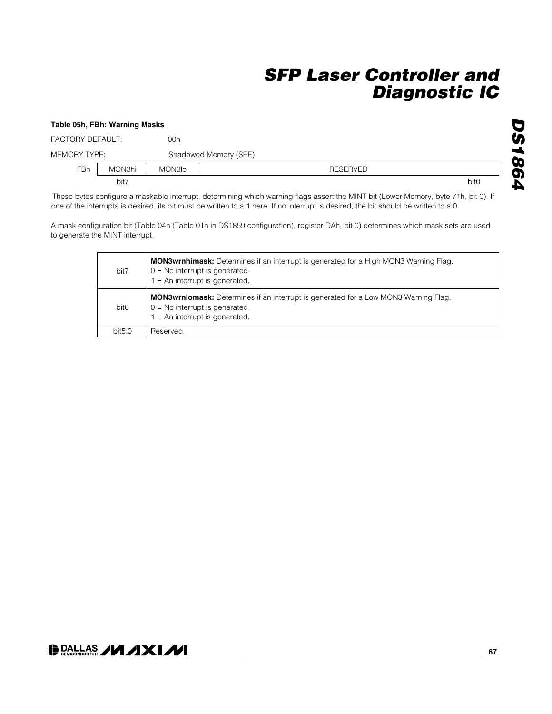### **Table 05h, FBh: Warning Masks** FACTORY DEFAULT: 00h MEMORY TYPE: Shadowed Memory (SEE) FBh MON3hi MON3lo RESERVED bit7 bit0

These bytes configure a maskable interrupt, determining which warning flags assert the MINT bit (Lower Memory, byte 71h, bit 0). If one of the interrupts is desired, its bit must be written to a 1 here. If no interrupt is desired, the bit should be written to a 0.

A mask configuration bit (Table 04h (Table 01h in DS1859 configuration), register DAh, bit 0) determines which mask sets are used to generate the MINT interrupt.

| bit7             | <b>MON3wrnhimask:</b> Determines if an interrupt is generated for a High MON3 Warning Flag.<br>$0 = No$ interrupt is generated.<br>$1 = An$ interrupt is generated. |
|------------------|---------------------------------------------------------------------------------------------------------------------------------------------------------------------|
| bit <sub>6</sub> | <b>MON3wrnlomask:</b> Determines if an interrupt is generated for a Low MON3 Warning Flag.<br>$0 = No$ interrupt is generated.<br>$1 = An$ interrupt is generated.  |
| bit5:0           | Reserved.                                                                                                                                                           |

**DS1864** *DS1864*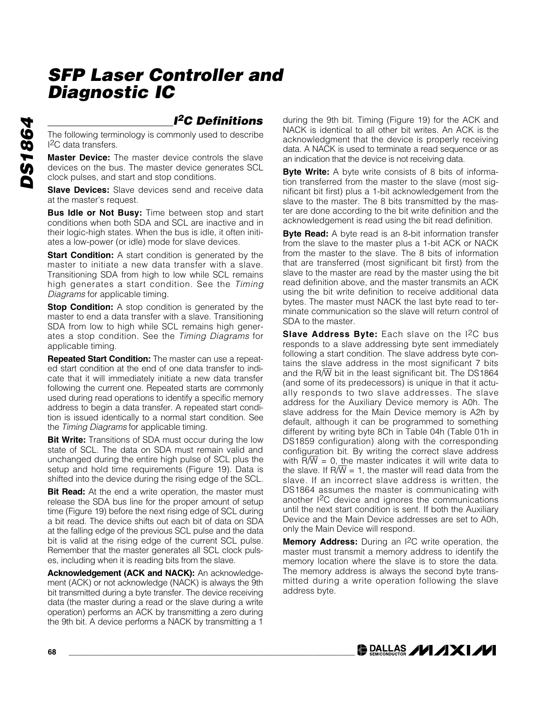### *I2C Definitions*

The following terminology is commonly used to describe I2C data transfers.

**Master Device:** The master device controls the slave devices on the bus. The master device generates SCL clock pulses, and start and stop conditions.

**Slave Devices:** Slave devices send and receive data at the master's request.

**Bus Idle or Not Busy:** Time between stop and start conditions when both SDA and SCL are inactive and in their logic-high states. When the bus is idle, it often initiates a low-power (or idle) mode for slave devices.

**Start Condition:** A start condition is generated by the master to initiate a new data transfer with a slave. Transitioning SDA from high to low while SCL remains high generates a start condition. See the *Timing Diagrams* for applicable timing.

**Stop Condition:** A stop condition is generated by the master to end a data transfer with a slave. Transitioning SDA from low to high while SCL remains high generates a stop condition. See the *Timing Diagrams* for applicable timing.

**Repeated Start Condition:** The master can use a repeated start condition at the end of one data transfer to indicate that it will immediately initiate a new data transfer following the current one. Repeated starts are commonly used during read operations to identify a specific memory address to begin a data transfer. A repeated start condition is issued identically to a normal start condition. See the *Timing Diagrams* for applicable timing.

**Bit Write:** Transitions of SDA must occur during the low state of SCL. The data on SDA must remain valid and unchanged during the entire high pulse of SCL plus the setup and hold time requirements (Figure 19). Data is shifted into the device during the rising edge of the SCL.

**Bit Read:** At the end a write operation, the master must release the SDA bus line for the proper amount of setup time (Figure 19) before the next rising edge of SCL during a bit read. The device shifts out each bit of data on SDA at the falling edge of the previous SCL pulse and the data bit is valid at the rising edge of the current SCL pulse. Remember that the master generates all SCL clock pulses, including when it is reading bits from the slave.

**Acknowledgement (ACK and NACK):** An acknowledgement (ACK) or not acknowledge (NACK) is always the 9th bit transmitted during a byte transfer. The device receiving data (the master during a read or the slave during a write operation) performs an ACK by transmitting a zero during the 9th bit. A device performs a NACK by transmitting a 1

during the 9th bit. Timing (Figure 19) for the ACK and NACK is identical to all other bit writes. An ACK is the acknowledgment that the device is properly receiving data. A NACK is used to terminate a read sequence or as an indication that the device is not receiving data.

**Byte Write:** A byte write consists of 8 bits of information transferred from the master to the slave (most significant bit first) plus a 1-bit acknowledgement from the slave to the master. The 8 bits transmitted by the master are done according to the bit write definition and the acknowledgement is read using the bit read definition.

**Byte Read:** A byte read is an 8-bit information transfer from the slave to the master plus a 1-bit ACK or NACK from the master to the slave. The 8 bits of information that are transferred (most significant bit first) from the slave to the master are read by the master using the bit read definition above, and the master transmits an ACK using the bit write definition to receive additional data bytes. The master must NACK the last byte read to terminate communication so the slave will return control of SDA to the master.

**Slave Address Byte:** Each slave on the I<sup>2</sup>C bus responds to a slave addressing byte sent immediately following a start condition. The slave address byte contains the slave address in the most significant 7 bits and the R/W bit in the least significant bit. The DS1864 (and some of its predecessors) is unique in that it actually responds to two slave addresses. The slave address for the Auxiliary Device memory is A0h. The slave address for the Main Device memory is A2h by default, although it can be programmed to something different by writing byte 8Ch in Table 04h (Table 01h in DS1859 configuration) along with the corresponding configuration bit. By writing the correct slave address with  $R/\overline{W} = 0$ , the master indicates it will write data to the slave. If R $\sqrt{W}$  = 1, the master will read data from the slave. If an incorrect slave address is written, the DS1864 assumes the master is communicating with another I<sup>2</sup>C device and ignores the communications until the next start condition is sent. If both the Auxiliary Device and the Main Device addresses are set to A0h, only the Main Device will respond.

**Memory Address:** During an I2C write operation, the master must transmit a memory address to identify the memory location where the slave is to store the data. The memory address is always the second byte transmitted during a write operation following the slave address byte.

**DALLAS /VI /IXI/VI**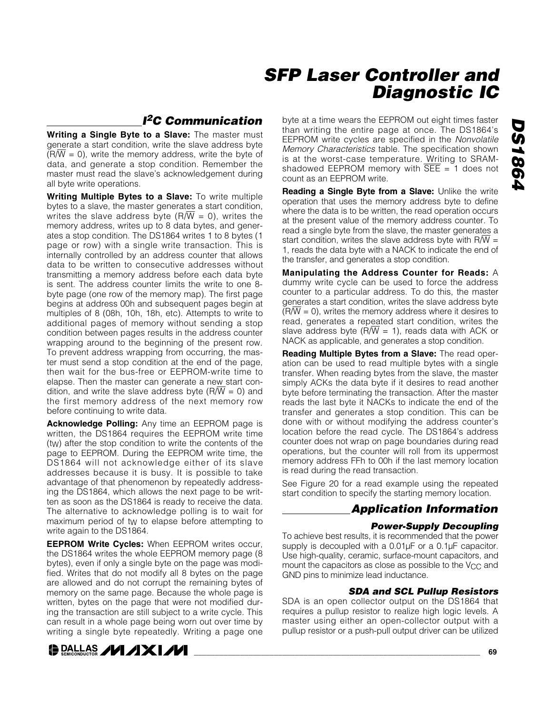### *I2C Communication*

**Writing a Single Byte to a Slave:** The master must generate a start condition, write the slave address byte  $(R/\overline{W} = 0)$ , write the memory address, write the byte of data, and generate a stop condition. Remember the master must read the slave's acknowledgement during all byte write operations.

**Writing Multiple Bytes to a Slave:** To write multiple bytes to a slave, the master generates a start condition, writes the slave address byte  $(R/W = 0)$ , writes the memory address, writes up to 8 data bytes, and generates a stop condition. The DS1864 writes 1 to 8 bytes (1 page or row) with a single write transaction. This is internally controlled by an address counter that allows data to be written to consecutive addresses without transmitting a memory address before each data byte is sent. The address counter limits the write to one 8 byte page (one row of the memory map). The first page begins at address 00h and subsequent pages begin at multiples of 8 (08h, 10h, 18h, etc). Attempts to write to additional pages of memory without sending a stop condition between pages results in the address counter wrapping around to the beginning of the present row. To prevent address wrapping from occurring, the master must send a stop condition at the end of the page, then wait for the bus-free or EEPROM-write time to elapse. Then the master can generate a new start condition, and write the slave address byte ( $R/\overline{W} = 0$ ) and the first memory address of the next memory row before continuing to write data.

**Acknowledge Polling:** Any time an EEPROM page is written, the DS1864 requires the EEPROM write time (tW) after the stop condition to write the contents of the page to EEPROM. During the EEPROM write time, the DS1864 will not acknowledge either of its slave addresses because it is busy. It is possible to take advantage of that phenomenon by repeatedly addressing the DS1864, which allows the next page to be written as soon as the DS1864 is ready to receive the data. The alternative to acknowledge polling is to wait for maximum period of tw to elapse before attempting to write again to the DS1864.

**EEPROM Write Cycles:** When EEPROM writes occur, the DS1864 writes the whole EEPROM memory page (8 bytes), even if only a single byte on the page was modified. Writes that do not modify all 8 bytes on the page are allowed and do not corrupt the remaining bytes of memory on the same page. Because the whole page is written, bytes on the page that were not modified during the transaction are still subject to a write cycle. This can result in a whole page being worn out over time by writing a single byte repeatedly. Writing a page one

**DAALLAS /VI /IXI/VI** 

byte at a time wears the EEPROM out eight times faster than writing the entire page at once. The DS1864's EEPROM write cycles are specified in the *Nonvolatile Memory Characteristics* table. The specification shown is at the worst-case temperature. Writing to SRAMshadowed EEPROM memory with  $\overline{\text{SEE}} = 1$  does not count as an EEPROM write.

**Reading a Single Byte from a Slave:** Unlike the write operation that uses the memory address byte to define where the data is to be written, the read operation occurs at the present value of the memory address counter. To read a single byte from the slave, the master generates a start condition, writes the slave address byte with  $R/W =$ 1, reads the data byte with a NACK to indicate the end of the transfer, and generates a stop condition.

**Manipulating the Address Counter for Reads:** A dummy write cycle can be used to force the address counter to a particular address. To do this, the master generates a start condition, writes the slave address byte  $(R/\overline{W} = 0)$ , writes the memory address where it desires to read, generates a repeated start condition, writes the slave address byte (R $\overline{W}$  = 1), reads data with ACK or NACK as applicable, and generates a stop condition.

**Reading Multiple Bytes from a Slave:** The read operation can be used to read multiple bytes with a single transfer. When reading bytes from the slave, the master simply ACKs the data byte if it desires to read another byte before terminating the transaction. After the master reads the last byte it NACKs to indicate the end of the transfer and generates a stop condition. This can be done with or without modifying the address counter's location before the read cycle. The DS1864's address counter does not wrap on page boundaries during read operations, but the counter will roll from its uppermost memory address FFh to 00h if the last memory location is read during the read transaction.

See Figure 20 for a read example using the repeated start condition to specify the starting memory location.

### *Application Information*

### *Power-Supply Decoupling*

To achieve best results, it is recommended that the power supply is decoupled with a 0.01µF or a 0.1µF capacitor. Use high-quality, ceramic, surface-mount capacitors, and mount the capacitors as close as possible to the V<sub>CC</sub> and GND pins to minimize lead inductance.

### *SDA and SCL Pullup Resistors*

SDA is an open collector output on the DS1864 that requires a pullup resistor to realize high logic levels. A master using either an open-collector output with a pullup resistor or a push-pull output driver can be utilized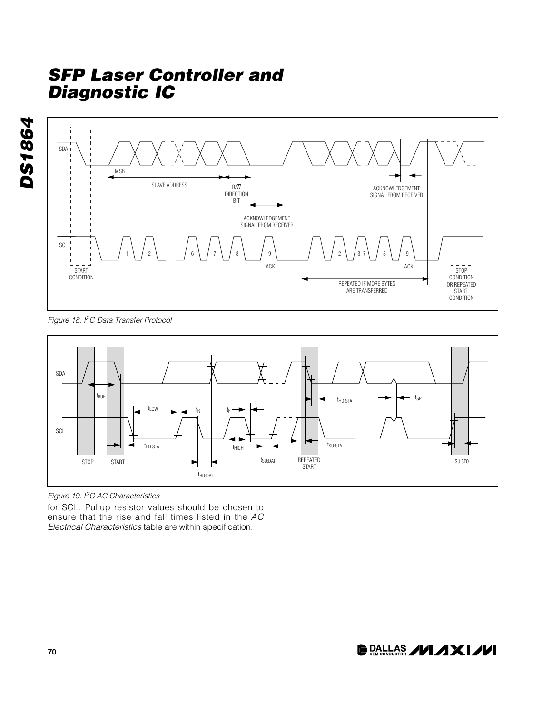



*Figure 18. I2C Data Transfer Protocol*





for SCL. Pullup resistor values should be chosen to ensure that the rise and fall times listed in the *AC Electrical Characteristics* table are within specification.

**DALLAS /VI/IXI/VI**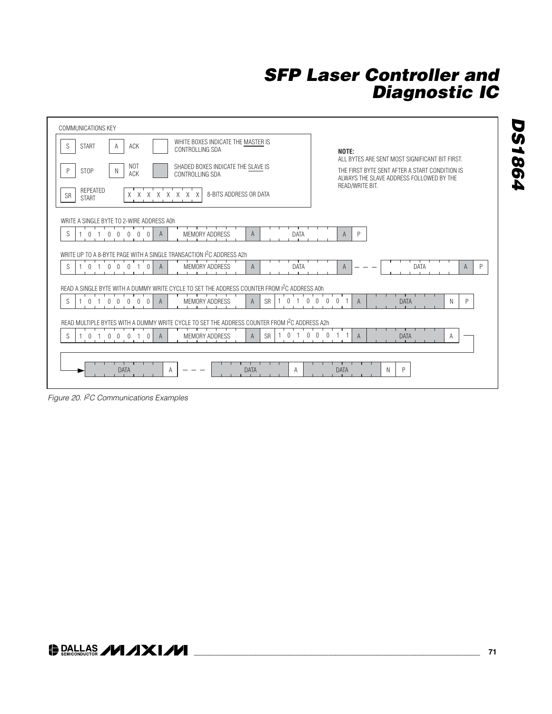| COMMUNICATIONS KEY                                                                                                           |                                                                                                                                                                 |  |  |  |
|------------------------------------------------------------------------------------------------------------------------------|-----------------------------------------------------------------------------------------------------------------------------------------------------------------|--|--|--|
| WHITE BOXES INDICATE THE MASTER IS<br>S<br>ACK<br><b>START</b><br>A<br>CONTROLLING SDA                                       | NOTE:                                                                                                                                                           |  |  |  |
| NOT<br>SHADED BOXES INDICATE THE SLAVE IS<br><b>STOP</b><br>P<br>N<br>ACK<br>CONTROLLING SDA                                 | ALL BYTES ARE SENT MOST SIGNIFICANT BIT FIRST.<br>THE FIRST BYTE SENT AFTER A START CONDITION IS<br>ALWAYS THE SLAVE ADDRESS FOLLOWED BY THE<br>READ/WRITE BIT. |  |  |  |
| REPEATED<br>8-BITS ADDRESS OR DATA<br>$\chi$<br>$X \times$<br>$\chi$<br>X<br>X<br>$\times$<br>X<br><b>SR</b><br><b>START</b> |                                                                                                                                                                 |  |  |  |
| WRITE A SINGLE BYTE TO 2-WIRE ADDRESS AOh                                                                                    |                                                                                                                                                                 |  |  |  |
| S<br>A<br>DATA<br>A<br><b>MEMORY ADDRESS</b><br>$\Omega$<br>U                                                                | P<br>$\mathsf{A}$                                                                                                                                               |  |  |  |
| WRITE UP TO A 8-BYTE PAGE WITH A SINGLE TRANSACTION I <sup>2</sup> C ADDRESS A2h                                             |                                                                                                                                                                 |  |  |  |
| <b>MEMORY ADDRESS</b><br>S<br><b>DATA</b><br>$\Omega$<br>A<br>Α                                                              | DATA<br>P<br>A<br>A                                                                                                                                             |  |  |  |
| READ A SINGLE BYTE WITH A DUMMY WRITE CYCLE TO SET THE ADDRESS COUNTER FROM I <sup>2</sup> C ADDRESS A0h                     |                                                                                                                                                                 |  |  |  |
| <b>MEMORY ADDRESS</b><br><b>SR</b><br>S<br>$\Omega$<br><sup>n</sup><br>$\mathsf{A}$<br>A                                     | <b>DATA</b><br>N<br>P<br>$\mathsf{A}$                                                                                                                           |  |  |  |
| READ MULTIPLE BYTES WITH A DUMMY WRITE CYCLE TO SET THE ADDRESS COUNTER FROM 1 <sup>2</sup> C ADDRESS A2h                    |                                                                                                                                                                 |  |  |  |
| S<br><b>SR</b><br>$\mathbf{0}$<br>$\cup$<br>$\Omega$<br>0<br>$\cup$<br>$\cup$<br><b>MEMORY ADDRESS</b><br>$\theta$<br>A<br>A | <b>DATA</b><br>Α<br>$\cup$<br>$\mathsf{A}$                                                                                                                      |  |  |  |
|                                                                                                                              |                                                                                                                                                                 |  |  |  |
| <b>DATA</b><br><b>DATA</b><br>A<br>A                                                                                         | P<br><b>DATA</b><br>N                                                                                                                                           |  |  |  |
|                                                                                                                              |                                                                                                                                                                 |  |  |  |

*Figure 20. I2C Communications Examples*

**DS1864** *DS1864*